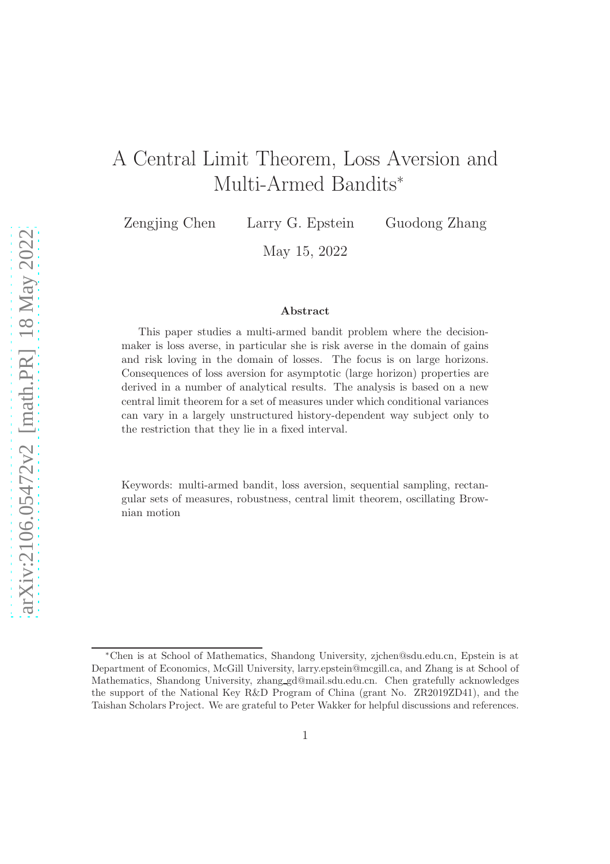# A Central Limit Theorem, Loss Aversion and Multi-Armed Bandits<sup>∗</sup>

Zengjing Chen Larry G. Epstein Guodong Zhang

May 15, 2022

#### Abstract

This paper studies a multi-armed bandit problem where the decisionmaker is loss averse, in particular she is risk averse in the domain of gains and risk loving in the domain of losses. The focus is on large horizons. Consequences of loss aversion for asymptotic (large horizon) properties are derived in a number of analytical results. The analysis is based on a new central limit theorem for a set of measures under which conditional variances can vary in a largely unstructured history-dependent way subject only to the restriction that they lie in a fixed interval.

Keywords: multi-armed bandit, loss aversion, sequential sampling, rectangular sets of measures, robustness, central limit theorem, oscillating Brownian motion

<sup>∗</sup>Chen is at School of Mathematics, Shandong University, zjchen@sdu.edu.cn, Epstein is at Department of Economics, McGill University, larry.epstein@mcgill.ca, and Zhang is at School of Mathematics, Shandong University, zhang gd@mail.sdu.edu.cn. Chen gratefully acknowledges the support of the National Key R&D Program of China (grant No. ZR2019ZD41), and the Taishan Scholars Project. We are grateful to Peter Wakker for helpful discussions and references.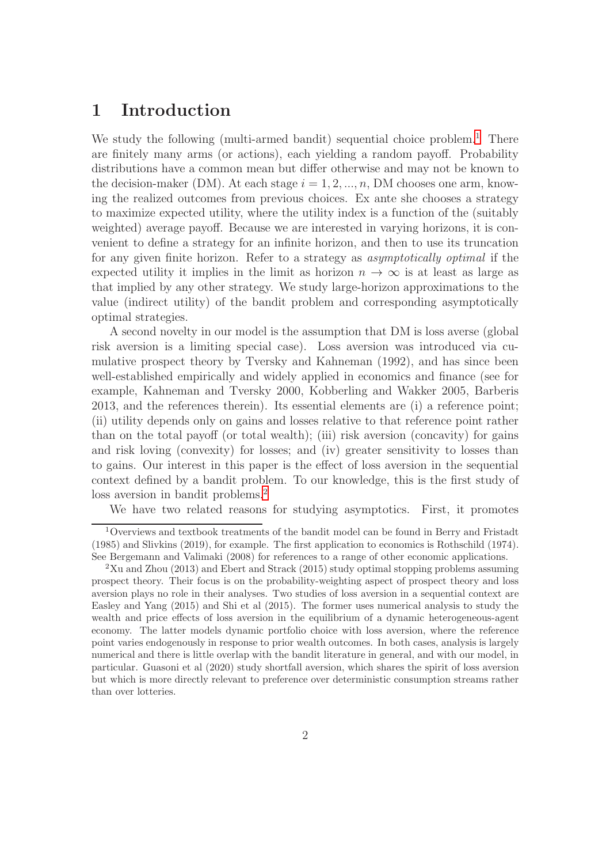## 1 Introduction

We study the following (multi-armed bandit) sequential choice problem.<sup>[1](#page-1-0)</sup> There are finitely many arms (or actions), each yielding a random payoff. Probability distributions have a common mean but differ otherwise and may not be known to the decision-maker (DM). At each stage  $i = 1, 2, ..., n$ , DM chooses one arm, knowing the realized outcomes from previous choices. Ex ante she chooses a strategy to maximize expected utility, where the utility index is a function of the (suitably weighted) average payoff. Because we are interested in varying horizons, it is convenient to define a strategy for an infinite horizon, and then to use its truncation for any given finite horizon. Refer to a strategy as asymptotically optimal if the expected utility it implies in the limit as horizon  $n \to \infty$  is at least as large as that implied by any other strategy. We study large-horizon approximations to the value (indirect utility) of the bandit problem and corresponding asymptotically optimal strategies.

A second novelty in our model is the assumption that DM is loss averse (global risk aversion is a limiting special case). Loss aversion was introduced via cumulative prospect theory by Tversky and Kahneman (1992), and has since been well-established empirically and widely applied in economics and finance (see for example, Kahneman and Tversky 2000, Kobberling and Wakker 2005, Barberis 2013, and the references therein). Its essential elements are (i) a reference point; (ii) utility depends only on gains and losses relative to that reference point rather than on the total payoff (or total wealth); (iii) risk aversion (concavity) for gains and risk loving (convexity) for losses; and (iv) greater sensitivity to losses than to gains. Our interest in this paper is the effect of loss aversion in the sequential context defined by a bandit problem. To our knowledge, this is the first study of loss aversion in bandit problems.<sup>[2](#page-1-1)</sup>

We have two related reasons for studying asymptotics. First, it promotes

<span id="page-1-0"></span><sup>1</sup>Overviews and textbook treatments of the bandit model can be found in Berry and Fristadt (1985) and Slivkins (2019), for example. The first application to economics is Rothschild (1974). See Bergemann and Valimaki (2008) for references to a range of other economic applications.

<span id="page-1-1"></span> $2$ Xu and Zhou (2013) and Ebert and Strack (2015) study optimal stopping problems assuming prospect theory. Their focus is on the probability-weighting aspect of prospect theory and loss aversion plays no role in their analyses. Two studies of loss aversion in a sequential context are Easley and Yang (2015) and Shi et al (2015). The former uses numerical analysis to study the wealth and price effects of loss aversion in the equilibrium of a dynamic heterogeneous-agent economy. The latter models dynamic portfolio choice with loss aversion, where the reference point varies endogenously in response to prior wealth outcomes. In both cases, analysis is largely numerical and there is little overlap with the bandit literature in general, and with our model, in particular. Guasoni et al (2020) study shortfall aversion, which shares the spirit of loss aversion but which is more directly relevant to preference over deterministic consumption streams rather than over lotteries.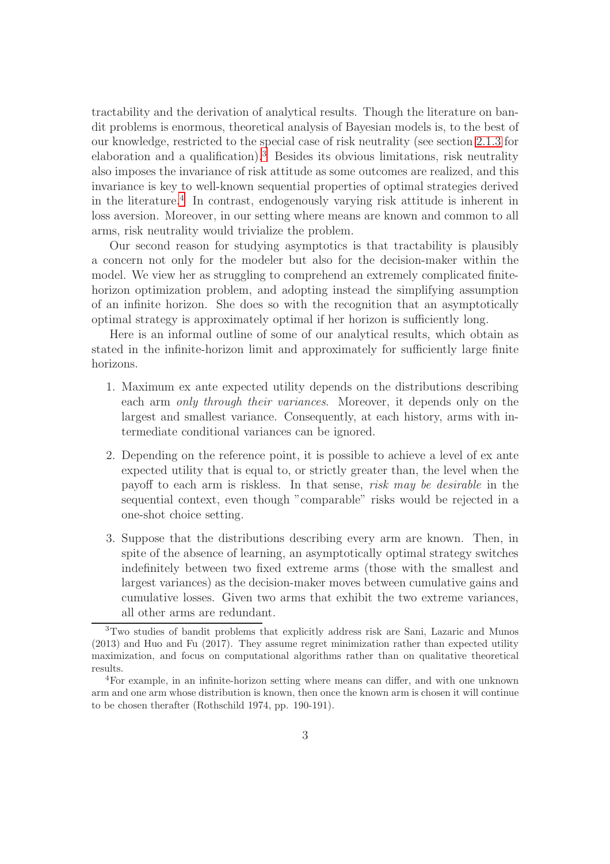tractability and the derivation of analytical results. Though the literature on bandit problems is enormous, theoretical analysis of Bayesian models is, to the best of our knowledge, restricted to the special case of risk neutrality (see section [2.1.3](#page-9-0) for elaboration and a qualification).<sup>[3](#page-2-0)</sup> Besides its obvious limitations, risk neutrality also imposes the invariance of risk attitude as some outcomes are realized, and this invariance is key to well-known sequential properties of optimal strategies derived in the literature.[4](#page-2-1) In contrast, endogenously varying risk attitude is inherent in loss aversion. Moreover, in our setting where means are known and common to all arms, risk neutrality would trivialize the problem.

Our second reason for studying asymptotics is that tractability is plausibly a concern not only for the modeler but also for the decision-maker within the model. We view her as struggling to comprehend an extremely complicated finitehorizon optimization problem, and adopting instead the simplifying assumption of an infinite horizon. She does so with the recognition that an asymptotically optimal strategy is approximately optimal if her horizon is sufficiently long.

Here is an informal outline of some of our analytical results, which obtain as stated in the infinite-horizon limit and approximately for sufficiently large finite horizons.

- 1. Maximum ex ante expected utility depends on the distributions describing each arm only through their variances. Moreover, it depends only on the largest and smallest variance. Consequently, at each history, arms with intermediate conditional variances can be ignored.
- 2. Depending on the reference point, it is possible to achieve a level of ex ante expected utility that is equal to, or strictly greater than, the level when the payoff to each arm is riskless. In that sense, risk may be desirable in the sequential context, even though "comparable" risks would be rejected in a one-shot choice setting.
- 3. Suppose that the distributions describing every arm are known. Then, in spite of the absence of learning, an asymptotically optimal strategy switches indefinitely between two fixed extreme arms (those with the smallest and largest variances) as the decision-maker moves between cumulative gains and cumulative losses. Given two arms that exhibit the two extreme variances, all other arms are redundant.

<span id="page-2-0"></span><sup>3</sup>Two studies of bandit problems that explicitly address risk are Sani, Lazaric and Munos (2013) and Huo and Fu (2017). They assume regret minimization rather than expected utility maximization, and focus on computational algorithms rather than on qualitative theoretical results.

<span id="page-2-1"></span><sup>4</sup>For example, in an infinite-horizon setting where means can differ, and with one unknown arm and one arm whose distribution is known, then once the known arm is chosen it will continue to be chosen therafter (Rothschild 1974, pp. 190-191).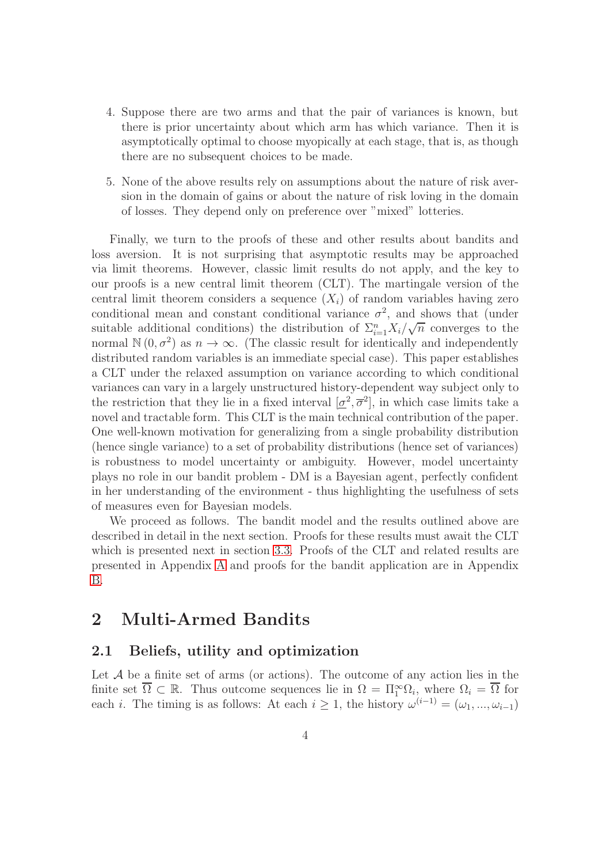- 4. Suppose there are two arms and that the pair of variances is known, but there is prior uncertainty about which arm has which variance. Then it is asymptotically optimal to choose myopically at each stage, that is, as though there are no subsequent choices to be made.
- 5. None of the above results rely on assumptions about the nature of risk aversion in the domain of gains or about the nature of risk loving in the domain of losses. They depend only on preference over "mixed" lotteries.

Finally, we turn to the proofs of these and other results about bandits and loss aversion. It is not surprising that asymptotic results may be approached via limit theorems. However, classic limit results do not apply, and the key to our proofs is a new central limit theorem (CLT). The martingale version of the central limit theorem considers a sequence  $(X<sub>i</sub>)$  of random variables having zero conditional mean and constant conditional variance  $\sigma^2$ , and shows that (under suitable additional conditions) the distribution of  $\sum_{i=1}^{n} X_i/\sqrt{n}$  converges to the normal  $\mathbb{N}(0, \sigma^2)$  as  $n \to \infty$ . (The classic result for identically and independently distributed random variables is an immediate special case). This paper establishes a CLT under the relaxed assumption on variance according to which conditional variances can vary in a largely unstructured history-dependent way subject only to the restriction that they lie in a fixed interval  $[\underline{\sigma}^2, \overline{\sigma}^2]$ , in which case limits take a novel and tractable form. This CLT is the main technical contribution of the paper. One well-known motivation for generalizing from a single probability distribution (hence single variance) to a set of probability distributions (hence set of variances) is robustness to model uncertainty or ambiguity. However, model uncertainty plays no role in our bandit problem - DM is a Bayesian agent, perfectly confident in her understanding of the environment - thus highlighting the usefulness of sets of measures even for Bayesian models.

We proceed as follows. The bandit model and the results outlined above are described in detail in the next section. Proofs for these results must await the CLT which is presented next in section [3.3.](#page-23-0) Proofs of the CLT and related results are presented in Appendix [A](#page-25-0) and proofs for the bandit application are in Appendix [B.](#page-33-0)

## 2 Multi-Armed Bandits

### 2.1 Beliefs, utility and optimization

Let  $A$  be a finite set of arms (or actions). The outcome of any action lies in the finite set  $\overline{\Omega} \subset \mathbb{R}$ . Thus outcome sequences lie in  $\Omega = \Pi_1^{\infty} \Omega_i$ , where  $\Omega_i = \overline{\Omega}$  for each *i*. The timing is as follows: At each  $i \geq 1$ , the history  $\omega^{(i-1)} = (\omega_1, ..., \omega_{i-1})$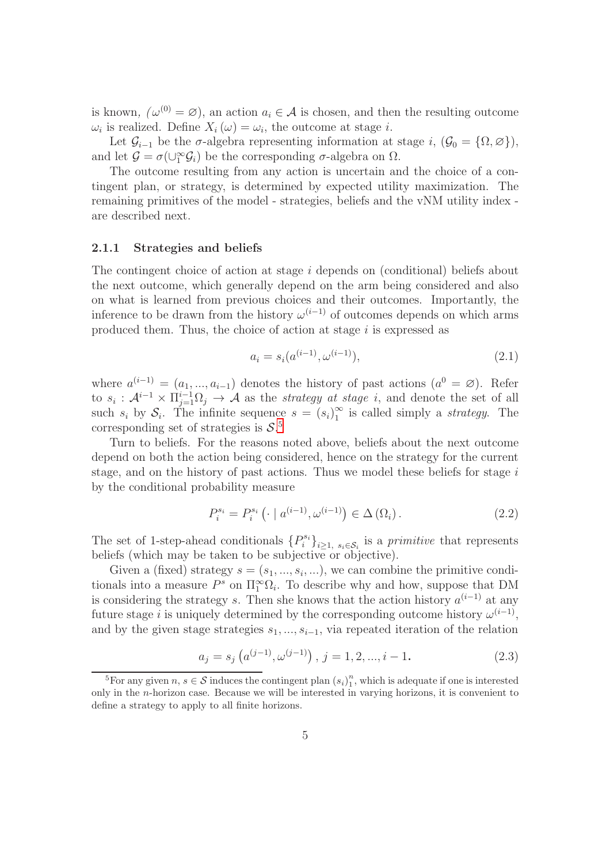is known,  $(\omega^{(0)} = \varnothing)$ , an action  $a_i \in \mathcal{A}$  is chosen, and then the resulting outcome  $\omega_i$  is realized. Define  $X_i(\omega) = \omega_i$ , the outcome at stage *i*.

Let  $\mathcal{G}_{i-1}$  be the  $\sigma$ -algebra representing information at stage i,  $(\mathcal{G}_0 = {\Omega, \emptyset} )$ , and let  $\mathcal{G} = \sigma(\cup_1^{\infty} \mathcal{G}_i)$  be the corresponding  $\sigma$ -algebra on  $\Omega$ .

The outcome resulting from any action is uncertain and the choice of a contingent plan, or strategy, is determined by expected utility maximization. The remaining primitives of the model - strategies, beliefs and the vNM utility index are described next.

#### <span id="page-4-3"></span>2.1.1 Strategies and beliefs

The contingent choice of action at stage i depends on (conditional) beliefs about the next outcome, which generally depend on the arm being considered and also on what is learned from previous choices and their outcomes. Importantly, the inference to be drawn from the history  $\omega^{(i-1)}$  of outcomes depends on which arms produced them. Thus, the choice of action at stage  $i$  is expressed as

$$
a_i = s_i(a^{(i-1)}, \omega^{(i-1)}), \tag{2.1}
$$

where  $a^{(i-1)} = (a_1, ..., a_{i-1})$  denotes the history of past actions  $(a^0 = \emptyset)$ . Refer to  $s_i$ :  $\mathcal{A}^{i-1} \times \prod_{j=1}^{i-1} \Omega_j \rightarrow \mathcal{A}$  as the *strategy at stage i*, and denote the set of all such  $s_i$  by  $S_i$ . The infinite sequence  $s = (s_i)_1^{\infty}$  is called simply a *strategy*. The corresponding set of strategies is  $S$ <sup>[5](#page-4-0)</sup>

Turn to beliefs. For the reasons noted above, beliefs about the next outcome depend on both the action being considered, hence on the strategy for the current stage, and on the history of past actions. Thus we model these beliefs for stage  $i$ by the conditional probability measure

<span id="page-4-1"></span>
$$
P_i^{s_i} = P_i^{s_i} \left( \cdot \mid a^{(i-1)}, \omega^{(i-1)} \right) \in \Delta \left( \Omega_i \right). \tag{2.2}
$$

The set of 1-step-ahead conditionals  $\{P_i^{s_i}\}_{i\geq 1, s_i\in \mathcal{S}_i}$  is a primitive that represents beliefs (which may be taken to be subjective or objective).

Given a (fixed) strategy  $s = (s_1, ..., s_i, ...)$ , we can combine the primitive conditionals into a measure  $P^s$  on  $\Pi_1^{\infty} \Omega_i$ . To describe why and how, suppose that DM is considering the strategy s. Then she knows that the action history  $a^{(i-1)}$  at any future stage *i* is uniquely determined by the corresponding outcome history  $\omega^{(i-1)}$ , and by the given stage strategies  $s_1, ..., s_{i-1}$ , via repeated iteration of the relation

<span id="page-4-2"></span>
$$
a_j = s_j \left( a^{(j-1)}, \omega^{(j-1)} \right), \ j = 1, 2, ..., i - 1.
$$
 (2.3)

<span id="page-4-0"></span><sup>&</sup>lt;sup>5</sup>For any given  $n, s \in \mathcal{S}$  induces the contingent plan  $(s_i)_1^n$  $\frac{n}{1}$ , which is adequate if one is interested only in the n-horizon case. Because we will be interested in varying horizons, it is convenient to define a strategy to apply to all finite horizons.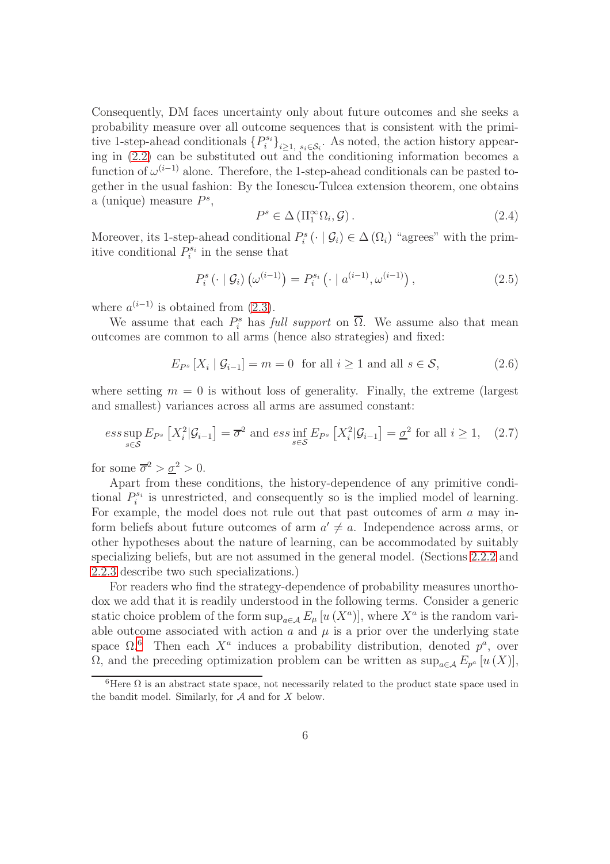Consequently, DM faces uncertainty only about future outcomes and she seeks a probability measure over all outcome sequences that is consistent with the primitive 1-step-ahead conditionals  $\{P_i^{s_i}\}_{i\geq 1, s_i\in \mathcal{S}_i}$ . As noted, the action history appearing in [\(2.2\)](#page-4-1) can be substituted out and the conditioning information becomes a function of  $\omega^{(i-1)}$  alone. Therefore, the 1-step-ahead conditionals can be pasted together in the usual fashion: By the Ionescu-Tulcea extension theorem, one obtains a (unique) measure  $P^s$ ,

<span id="page-5-4"></span>
$$
P^s \in \Delta\left(\Pi_1^{\infty}\Omega_i, \mathcal{G}\right). \tag{2.4}
$$

Moreover, its 1-step-ahead conditional  $P_i^s(\cdot | \mathcal{G}_i) \in \Delta(\Omega_i)$  "agrees" with the primitive conditional  $P_i^{s_i}$  in the sense that

<span id="page-5-3"></span>
$$
P_i^s \left( \cdot \mid \mathcal{G}_i \right) \left( \omega^{(i-1)} \right) = P_i^{s_i} \left( \cdot \mid a^{(i-1)}, \omega^{(i-1)} \right), \tag{2.5}
$$

where  $a^{(i-1)}$  is obtained from  $(2.3)$ .

We assume that each  $P_i^s$  has full support on  $\overline{\Omega}$ . We assume also that mean outcomes are common to all arms (hence also strategies) and fixed:

<span id="page-5-1"></span>
$$
E_{P^s}[X_i \mid \mathcal{G}_{i-1}] = m = 0 \text{ for all } i \ge 1 \text{ and all } s \in \mathcal{S},\tag{2.6}
$$

where setting  $m = 0$  is without loss of generality. Finally, the extreme (largest and smallest) variances across all arms are assumed constant:

<span id="page-5-2"></span>
$$
ess \sup_{s \in \mathcal{S}} E_{P^s} \left[ X_i^2 | \mathcal{G}_{i-1} \right] = \overline{\sigma}^2 \text{ and } ess \inf_{s \in \mathcal{S}} E_{P^s} \left[ X_i^2 | \mathcal{G}_{i-1} \right] = \underline{\sigma}^2 \text{ for all } i \ge 1, \quad (2.7)
$$

for some  $\overline{\sigma}^2 > \underline{\sigma}^2 > 0$ .

Apart from these conditions, the history-dependence of any primitive conditional  $P_i^{s_i}$  is unrestricted, and consequently so is the implied model of learning. For example, the model does not rule out that past outcomes of arm a may inform beliefs about future outcomes of arm  $a' \neq a$ . Independence across arms, or other hypotheses about the nature of learning, can be accommodated by suitably specializing beliefs, but are not assumed in the general model. (Sections [2.2.2](#page-13-0) and [2.2.3](#page-15-0) describe two such specializations.)

For readers who find the strategy-dependence of probability measures unorthodox we add that it is readily understood in the following terms. Consider a generic static choice problem of the form  $\sup_{a \in A} E_{\mu} [u(X^a)]$ , where  $X^a$  is the random variable outcome associated with action  $a$  and  $\mu$  is a prior over the underlying state space  $\Omega$ .<sup>[6](#page-5-0)</sup> Then each  $X^a$  induces a probability distribution, denoted  $p^a$ , over  $\Omega$ , and the preceding optimization problem can be written as  $\sup_{a \in \mathcal{A}} E_{p^a}[u(X)],$ 

<span id="page-5-0"></span><sup>&</sup>lt;sup>6</sup>Here  $\Omega$  is an abstract state space, not necessarily related to the product state space used in the bandit model. Similarly, for  $A$  and for  $X$  below.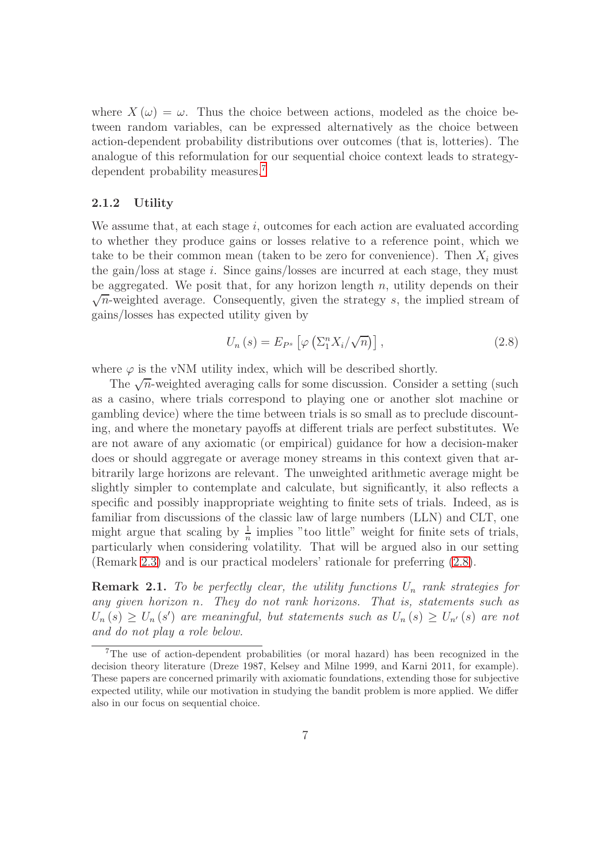where  $X(\omega) = \omega$ . Thus the choice between actions, modeled as the choice between random variables, can be expressed alternatively as the choice between action-dependent probability distributions over outcomes (that is, lotteries). The analogue of this reformulation for our sequential choice context leads to strategy-dependent probability measures.<sup>[7](#page-6-0)</sup>

#### 2.1.2 Utility

We assume that, at each stage  $i$ , outcomes for each action are evaluated according to whether they produce gains or losses relative to a reference point, which we take to be their common mean (taken to be zero for convenience). Then  $X_i$  gives the gain/loss at stage i. Since gains/losses are incurred at each stage, they must be aggregated. We posit that, for any horizon length  $n$ , utility depends on their  $\sqrt{n}$ -weighted average. Consequently, given the strategy s, the implied stream of gains/losses has expected utility given by

<span id="page-6-1"></span>
$$
U_n(s) = E_{P^s} \left[ \varphi \left( \Sigma_1^n X_i / \sqrt{n} \right) \right], \tag{2.8}
$$

where  $\varphi$  is the vNM utility index, which will be described shortly.

The  $\sqrt{n}$ -weighted averaging calls for some discussion. Consider a setting (such as a casino, where trials correspond to playing one or another slot machine or gambling device) where the time between trials is so small as to preclude discounting, and where the monetary payoffs at different trials are perfect substitutes. We are not aware of any axiomatic (or empirical) guidance for how a decision-maker does or should aggregate or average money streams in this context given that arbitrarily large horizons are relevant. The unweighted arithmetic average might be slightly simpler to contemplate and calculate, but significantly, it also reflects a specific and possibly inappropriate weighting to finite sets of trials. Indeed, as is familiar from discussions of the classic law of large numbers (LLN) and CLT, one might argue that scaling by  $\frac{1}{n}$  implies "too little" weight for finite sets of trials, particularly when considering volatility. That will be argued also in our setting (Remark [2.3\)](#page-12-0) and is our practical modelers' rationale for preferring [\(2.8\)](#page-6-1).

**Remark 2.1.** To be perfectly clear, the utility functions  $U_n$  rank strategies for any given horizon n. They do not rank horizons. That is, statements such as  $U_n(s) \ge U_n(s')$  are meaningful, but statements such as  $U_n(s) \ge U_{n'}(s)$  are not and do not play a role below.

<span id="page-6-0"></span><sup>7</sup>The use of action-dependent probabilities (or moral hazard) has been recognized in the decision theory literature (Dreze 1987, Kelsey and Milne 1999, and Karni 2011, for example). These papers are concerned primarily with axiomatic foundations, extending those for subjective expected utility, while our motivation in studying the bandit problem is more applied. We differ also in our focus on sequential choice.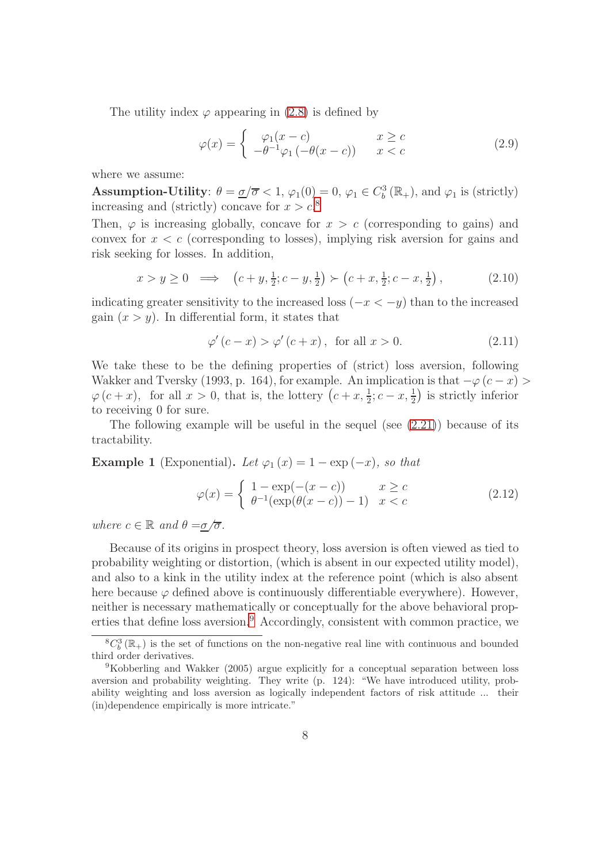The utility index  $\varphi$  appearing in [\(2.8\)](#page-6-1) is defined by

<span id="page-7-2"></span>
$$
\varphi(x) = \begin{cases} \varphi_1(x-c) & x \ge c \\ -\theta^{-1}\varphi_1(-\theta(x-c)) & x < c \end{cases}
$$
 (2.9)

where we assume:

**Assumption-Utility**:  $\theta = \underline{\sigma}/\overline{\sigma} < 1$ ,  $\varphi_1(0) = 0$ ,  $\varphi_1 \in C_b^3(\mathbb{R}_+)$ , and  $\varphi_1$  is (strictly) increasing and (strictly) concave for  $x > c$ <sup>[8](#page-7-0)</sup>

Then,  $\varphi$  is increasing globally, concave for  $x > c$  (corresponding to gains) and convex for  $x < c$  (corresponding to losses), implying risk aversion for gains and risk seeking for losses. In addition,

<span id="page-7-3"></span>
$$
x > y \ge 0 \implies (c + y, \frac{1}{2}; c - y, \frac{1}{2}) \succ (c + x, \frac{1}{2}; c - x, \frac{1}{2}), \tag{2.10}
$$

indicating greater sensitivity to the increased loss  $(-x < -y)$  than to the increased gain  $(x > y)$ . In differential form, it states that

$$
\varphi'(c-x) > \varphi'(c+x), \text{ for all } x > 0. \tag{2.11}
$$

We take these to be the defining properties of (strict) loss aversion, following Wakker and Tversky (1993, p. 164), for example. An implication is that  $-\varphi(c-x)$  $\varphi(c+x)$ , for all  $x > 0$ , that is, the lottery  $(c+x, \frac{1}{2}; c-x, \frac{1}{2})$  is strictly inferior to receiving 0 for sure.

The following example will be useful in the sequel (see [\(2.21\)](#page-11-0)) because of its tractability.

**Example 1** (Exponential). Let  $\varphi_1(x) = 1 - \exp(-x)$ , so that

<span id="page-7-4"></span>
$$
\varphi(x) = \begin{cases} 1 - \exp(-(x - c)) & x \ge c \\ \theta^{-1}(\exp(\theta(x - c)) - 1) & x < c \end{cases}
$$
\n(2.12)

where  $c \in \mathbb{R}$  and  $\theta = \sigma/\overline{\sigma}$ .

Because of its origins in prospect theory, loss aversion is often viewed as tied to probability weighting or distortion, (which is absent in our expected utility model), and also to a kink in the utility index at the reference point (which is also absent here because  $\varphi$  defined above is continuously differentiable everywhere). However, neither is necessary mathematically or conceptually for the above behavioral prop-erties that define loss aversion.<sup>[9](#page-7-1)</sup> Accordingly, consistent with common practice, we

<span id="page-7-0"></span> ${}^{8}C_{b}^{3}(\mathbb{R}_{+})$  is the set of functions on the non-negative real line with continuous and bounded third order derivatives.

<span id="page-7-1"></span><sup>9</sup>Kobberling and Wakker (2005) argue explicitly for a conceptual separation between loss aversion and probability weighting. They write (p. 124): "We have introduced utility, probability weighting and loss aversion as logically independent factors of risk attitude ... their (in)dependence empirically is more intricate."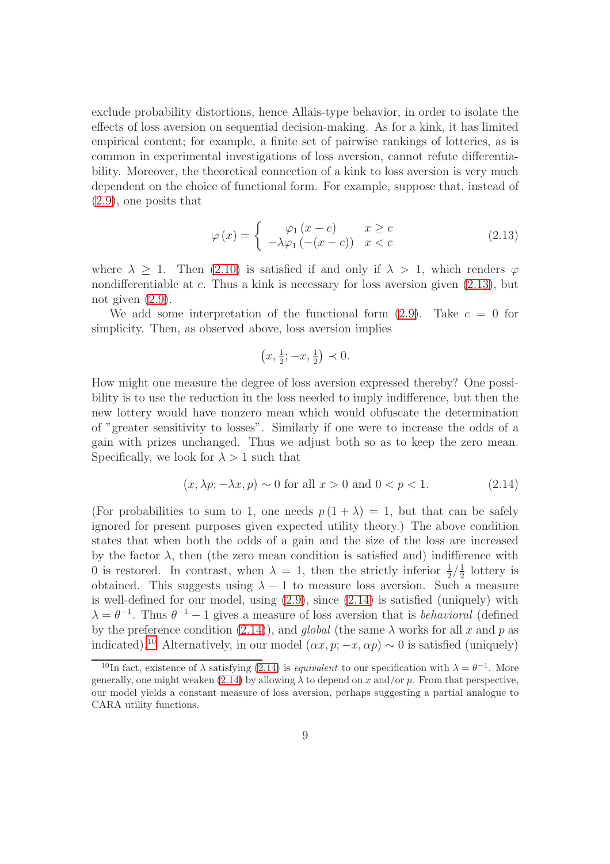exclude probability distortions, hence Allais-type behavior, in order to isolate the effects of loss aversion on sequential decision-making. As for a kink, it has limited empirical content; for example, a finite set of pairwise rankings of lotteries, as is common in experimental investigations of loss aversion, cannot refute differentiability. Moreover, the theoretical connection of a kink to loss aversion is very much dependent on the choice of functional form. For example, suppose that, instead of [\(2.9\)](#page-7-2), one posits that

<span id="page-8-0"></span>
$$
\varphi(x) = \begin{cases} \varphi_1(x-c) & x \ge c \\ -\lambda \varphi_1(-(x-c)) & x < c \end{cases}
$$
\n(2.13)

where  $\lambda > 1$ . Then [\(2.10\)](#page-7-3) is satisfied if and only if  $\lambda > 1$ , which renders  $\varphi$ nondifferentiable at c. Thus a kink is necessary for loss aversion given [\(2.13\)](#page-8-0), but not given  $(2.9)$ .

We add some interpretation of the functional form  $(2.9)$ . Take  $c = 0$  for simplicity. Then, as observed above, loss aversion implies

$$
(x, \frac{1}{2}; -x, \frac{1}{2}) \prec 0.
$$

How might one measure the degree of loss aversion expressed thereby? One possibility is to use the reduction in the loss needed to imply indifference, but then the new lottery would have nonzero mean which would obfuscate the determination of "greater sensitivity to losses". Similarly if one were to increase the odds of a gain with prizes unchanged. Thus we adjust both so as to keep the zero mean. Specifically, we look for  $\lambda > 1$  such that

<span id="page-8-1"></span>
$$
(x, \lambda p; -\lambda x, p) \sim 0 \text{ for all } x > 0 \text{ and } 0 < p < 1. \tag{2.14}
$$

(For probabilities to sum to 1, one needs  $p(1 + \lambda) = 1$ , but that can be safely ignored for present purposes given expected utility theory.) The above condition states that when both the odds of a gain and the size of the loss are increased by the factor  $\lambda$ , then (the zero mean condition is satisfied and) indifference with 0 is restored. In contrast, when  $\lambda = 1$ , then the strictly inferior  $\frac{1}{2}/\frac{1}{2}$  $\frac{1}{2}$  lottery is obtained. This suggests using  $\lambda - 1$  to measure loss aversion. Such a measure is well-defined for our model, using [\(2.9\)](#page-7-2), since [\(2.14\)](#page-8-1) is satisfied (uniquely) with  $\lambda = \theta^{-1}$ . Thus  $\theta^{-1} - 1$  gives a measure of loss aversion that is *behavioral* (defined by the preference condition [\(2.14\)](#page-8-1)), and global (the same  $\lambda$  works for all x and p as indicated).<sup>[10](#page-8-2)</sup> Alternatively, in our model  $(\alpha x, p; -x, \alpha p) \sim 0$  is satisfied (uniquely)

<span id="page-8-2"></span><sup>&</sup>lt;sup>10</sup>In fact, existence of  $\lambda$  satisfying [\(2.14\)](#page-8-1) is *equivalent* to our specification with  $\lambda = \theta^{-1}$ . More generally, one might weaken [\(2.14\)](#page-8-1) by allowing  $\lambda$  to depend on x and/or p. From that perspective, our model yields a constant measure of loss aversion, perhaps suggesting a partial analogue to CARA utility functions.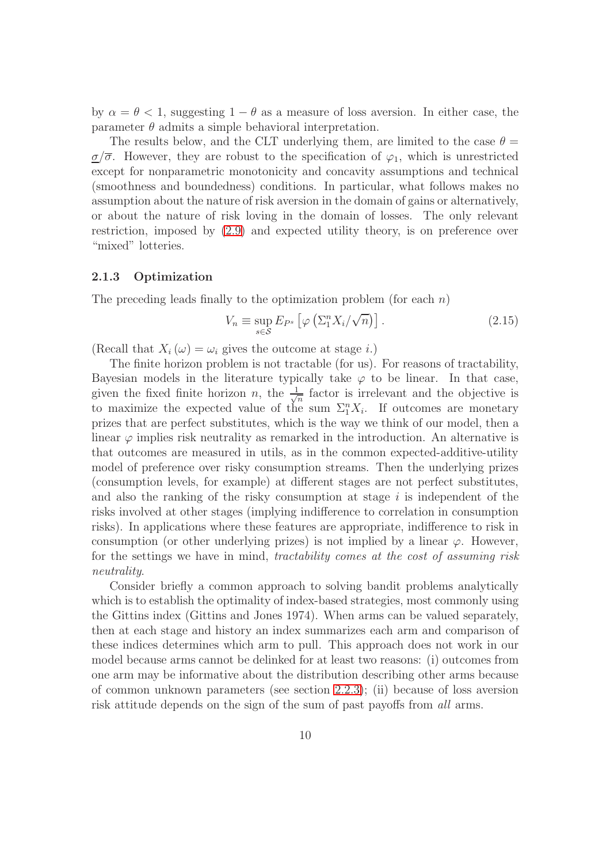by  $\alpha = \theta < 1$ , suggesting  $1 - \theta$  as a measure of loss aversion. In either case, the parameter  $\theta$  admits a simple behavioral interpretation.

The results below, and the CLT underlying them, are limited to the case  $\theta =$  $\sigma/\overline{\sigma}$ . However, they are robust to the specification of  $\varphi_1$ , which is unrestricted except for nonparametric monotonicity and concavity assumptions and technical (smoothness and boundedness) conditions. In particular, what follows makes no assumption about the nature of risk aversion in the domain of gains or alternatively, or about the nature of risk loving in the domain of losses. The only relevant restriction, imposed by [\(2.9\)](#page-7-2) and expected utility theory, is on preference over "mixed" lotteries.

#### <span id="page-9-0"></span>2.1.3 Optimization

The preceding leads finally to the optimization problem (for each  $n$ )

<span id="page-9-1"></span>
$$
V_n \equiv \sup_{s \in \mathcal{S}} E_{P^s} \left[ \varphi \left( \Sigma_1^n X_i / \sqrt{n} \right) \right]. \tag{2.15}
$$

(Recall that  $X_i(\omega) = \omega_i$  gives the outcome at stage i.)

The finite horizon problem is not tractable (for us). For reasons of tractability, Bayesian models in the literature typically take  $\varphi$  to be linear. In that case, given the fixed finite horizon n, the  $\frac{1}{\sqrt{2}}$  $\frac{1}{n}$  factor is irrelevant and the objective is to maximize the expected value of the sum  $\Sigma_1^n X_i$ . If outcomes are monetary prizes that are perfect substitutes, which is the way we think of our model, then a linear  $\varphi$  implies risk neutrality as remarked in the introduction. An alternative is that outcomes are measured in utils, as in the common expected-additive-utility model of preference over risky consumption streams. Then the underlying prizes (consumption levels, for example) at different stages are not perfect substitutes, and also the ranking of the risky consumption at stage  $i$  is independent of the risks involved at other stages (implying indifference to correlation in consumption risks). In applications where these features are appropriate, indifference to risk in consumption (or other underlying prizes) is not implied by a linear  $\varphi$ . However, for the settings we have in mind, tractability comes at the cost of assuming risk neutrality.

Consider briefly a common approach to solving bandit problems analytically which is to establish the optimality of index-based strategies, most commonly using the Gittins index (Gittins and Jones 1974). When arms can be valued separately, then at each stage and history an index summarizes each arm and comparison of these indices determines which arm to pull. This approach does not work in our model because arms cannot be delinked for at least two reasons: (i) outcomes from one arm may be informative about the distribution describing other arms because of common unknown parameters (see section [2.2.3\)](#page-15-0); (ii) because of loss aversion risk attitude depends on the sign of the sum of past payoffs from all arms.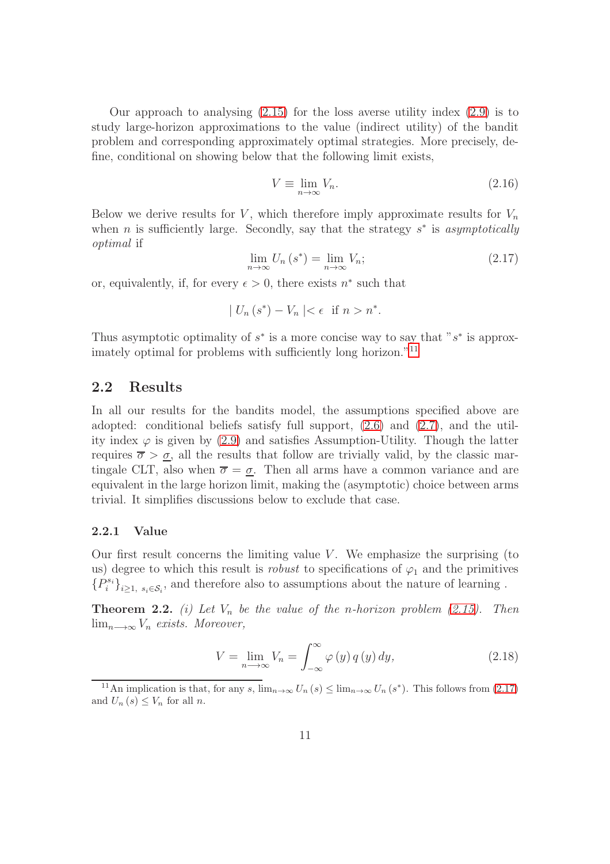Our approach to analysing  $(2.15)$  for the loss averse utility index  $(2.9)$  is to study large-horizon approximations to the value (indirect utility) of the bandit problem and corresponding approximately optimal strategies. More precisely, define, conditional on showing below that the following limit exists,

$$
V \equiv \lim_{n \to \infty} V_n. \tag{2.16}
$$

Below we derive results for V, which therefore imply approximate results for  $V_n$ when *n* is sufficiently large. Secondly, say that the strategy  $s^*$  is asymptotically optimal if

<span id="page-10-1"></span>
$$
\lim_{n \to \infty} U_n \left( s^* \right) = \lim_{n \to \infty} V_n; \tag{2.17}
$$

or, equivalently, if, for every  $\epsilon > 0$ , there exists  $n^*$  such that

$$
|U_n(s^*) - V_n| < \epsilon \quad \text{if } n > n^*.
$$

Thus asymptotic optimality of  $s^*$  is a more concise way to say that " $s^*$  is approx-imately optimal for problems with sufficiently long horizon."<sup>[11](#page-10-0)</sup>

### 2.2 Results

In all our results for the bandits model, the assumptions specified above are adopted: conditional beliefs satisfy full support,  $(2.6)$  and  $(2.7)$ , and the utility index  $\varphi$  is given by [\(2.9\)](#page-7-2) and satisfies Assumption-Utility. Though the latter requires  $\overline{\sigma} > \underline{\sigma}$ , all the results that follow are trivially valid, by the classic martingale CLT, also when  $\overline{\sigma} = \underline{\sigma}$ . Then all arms have a common variance and are equivalent in the large horizon limit, making the (asymptotic) choice between arms trivial. It simplifies discussions below to exclude that case.

#### 2.2.1 Value

Our first result concerns the limiting value  $V$ . We emphasize the surprising (to us) degree to which this result is *robust* to specifications of  $\varphi_1$  and the primitives  $\{P_i^{s_i}\}_{i\geq 1,\ s_i\in\mathcal{S}_i},$  and therefore also to assumptions about the nature of learning .

<span id="page-10-3"></span>**Theorem 2.2.** (i) Let  $V_n$  be the value of the n-horizon problem [\(2.15\)](#page-9-1). Then lim<sub>n→∞</sub>  $V_n$  exists. Moreover,

<span id="page-10-2"></span>
$$
V = \lim_{n \to \infty} V_n = \int_{-\infty}^{\infty} \varphi(y) q(y) dy,
$$
 (2.18)

<span id="page-10-0"></span><sup>11</sup>An implication is that, for any s,  $\lim_{n\to\infty} U_n(s) \leq \lim_{n\to\infty} U_n(s^*)$ . This follows from [\(2.17\)](#page-10-1) and  $U_n(s) \leq V_n$  for all n.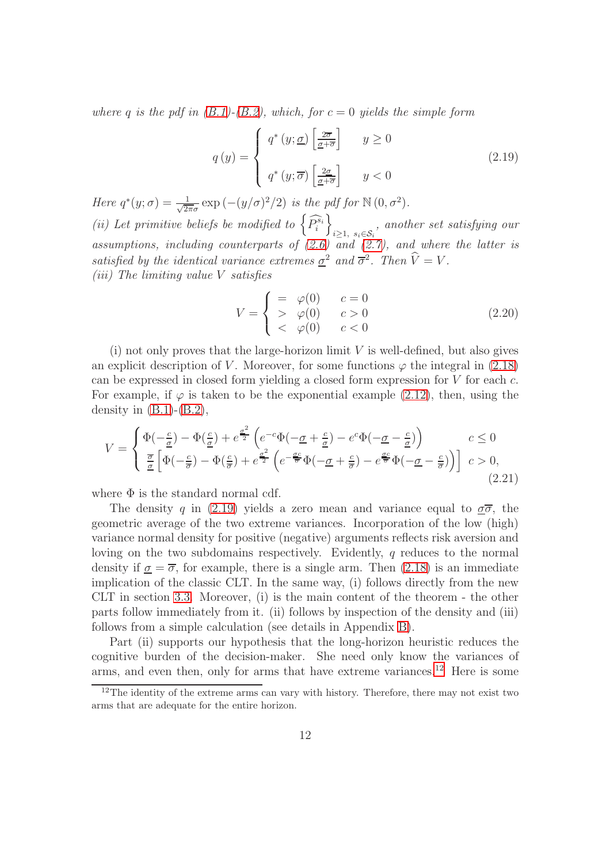where q is the pdf in  $(B.1)$ - $(B.2)$ , which, for  $c = 0$  yields the simple form

<span id="page-11-1"></span>
$$
q(y) = \begin{cases} q^*(y; \underline{\sigma}) \left[ \frac{2\overline{\sigma}}{\underline{\sigma} + \overline{\sigma}} \right] & y \ge 0 \\ q^*(y; \overline{\sigma}) \left[ \frac{2\underline{\sigma}}{\underline{\sigma} + \overline{\sigma}} \right] & y < 0 \end{cases}
$$
 (2.19)

Here  $q^*(y; \sigma) = \frac{1}{\sqrt{2}}$  $\frac{1}{2\pi\sigma}$  exp  $(-(y/\sigma)^2/2)$  is the pdf for  $\mathbb{N}(0,\sigma^2)$ . (ii) Let primitive beliefs be modified to  $\left\{\widehat{P_i^{s_i}}\right\}$  $\overline{1}$  $i≥1, s_i∈S_i$ , another set satisfying our assumptions, including counterparts of  $(2.6)$  and  $(2.7)$ , and where the latter is satisfied by the identical variance extremes  $\underline{\sigma}^2$  and  $\overline{\sigma}^2$ . Then  $\widehat{V} = V$ . (iii) The limiting value V satisfies

$$
V = \begin{cases} = & \varphi(0) & c = 0 \\ > & \varphi(0) & c > 0 \\ < & \varphi(0) & c < 0 \end{cases}
$$
 (2.20)

(i) not only proves that the large-horizon limit  $V$  is well-defined, but also gives an explicit description of V. Moreover, for some functions  $\varphi$  the integral in [\(2.18\)](#page-10-2) can be expressed in closed form yielding a closed form expression for V for each c. For example, if  $\varphi$  is taken to be the exponential example [\(2.12\)](#page-7-4), then, using the density in  $(B.1)-(B.2)$  $(B.1)-(B.2)$ ,

<span id="page-11-0"></span>
$$
V = \begin{cases} \Phi(-\frac{c}{\sigma}) - \Phi(\frac{c}{\sigma}) + e^{\frac{\sigma^2}{2}} \left( e^{-c} \Phi(-\underline{\sigma} + \frac{c}{\underline{\sigma}}) - e^c \Phi(-\underline{\sigma} - \frac{c}{\underline{\sigma}}) \right) & c \le 0 \\ \frac{\overline{\sigma}}{\underline{\sigma}} \left[ \Phi(-\frac{c}{\overline{\sigma}}) - \Phi(\frac{c}{\overline{\sigma}}) + e^{\frac{\sigma^2}{2}} \left( e^{-\frac{\sigma c}{\overline{\sigma}}} \Phi(-\underline{\sigma} + \frac{c}{\overline{\sigma}}) - e^{\frac{\sigma c}{\overline{\sigma}}} \Phi(-\underline{\sigma} - \frac{c}{\overline{\sigma}}) \right) \right] & c > 0, \end{cases}
$$
\n(2.21)

where  $\Phi$  is the standard normal cdf.

The density q in [\(2.19\)](#page-11-1) yields a zero mean and variance equal to  $\sigma\bar{\sigma}$ , the geometric average of the two extreme variances. Incorporation of the low (high) variance normal density for positive (negative) arguments reflects risk aversion and loving on the two subdomains respectively. Evidently, q reduces to the normal density if  $\sigma = \overline{\sigma}$ , for example, there is a single arm. Then [\(2.18\)](#page-10-2) is an immediate implication of the classic CLT. In the same way, (i) follows directly from the new CLT in section [3.3.](#page-23-0) Moreover, (i) is the main content of the theorem - the other parts follow immediately from it. (ii) follows by inspection of the density and (iii) follows from a simple calculation (see details in Appendix [B\)](#page-33-0).

Part (ii) supports our hypothesis that the long-horizon heuristic reduces the cognitive burden of the decision-maker. She need only know the variances of arms, and even then, only for arms that have extreme variances.<sup>[12](#page-11-2)</sup> Here is some

<span id="page-11-2"></span> $12$ The identity of the extreme arms can vary with history. Therefore, there may not exist two arms that are adequate for the entire horizon.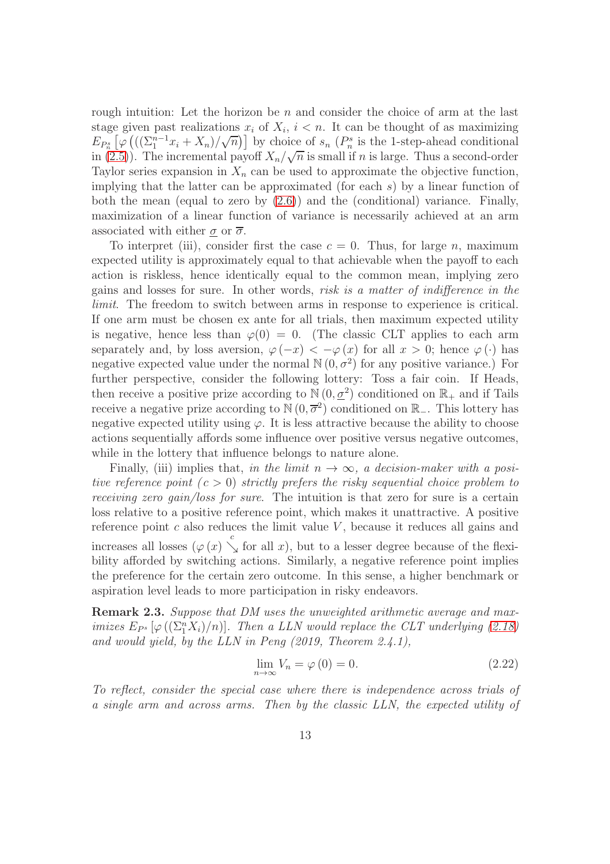rough intuition: Let the horizon be  $n$  and consider the choice of arm at the last stage given past realizations  $x_i$  of  $X_i$ ,  $i < n$ . It can be thought of as maximizing  $E_{P_n^s}\left[\varphi\left(\left(\left(\sum_{1}^{n-1}x_i+X_n\right)/\sqrt{n}\right)\right]\right)$  by choice of  $s_n$  ( $P_n^s$  is the 1-step-ahead conditional in  $(2.5)$ ). The incremental payoff  $X_n/\sqrt{n}$  is small if n is large. Thus a second-order Taylor series expansion in  $X_n$  can be used to approximate the objective function, implying that the latter can be approximated (for each  $s$ ) by a linear function of both the mean (equal to zero by [\(2.6\)](#page-5-1)) and the (conditional) variance. Finally, maximization of a linear function of variance is necessarily achieved at an arm associated with either  $\sigma$  or  $\overline{\sigma}$ .

To interpret (iii), consider first the case  $c = 0$ . Thus, for large n, maximum expected utility is approximately equal to that achievable when the payoff to each action is riskless, hence identically equal to the common mean, implying zero gains and losses for sure. In other words, risk is a matter of indifference in the limit. The freedom to switch between arms in response to experience is critical. If one arm must be chosen ex ante for all trials, then maximum expected utility is negative, hence less than  $\varphi(0) = 0$ . (The classic CLT applies to each arm separately and, by loss aversion,  $\varphi(-x) < -\varphi(x)$  for all  $x > 0$ ; hence  $\varphi(\cdot)$  has negative expected value under the normal  $\mathbb{N}(0, \sigma^2)$  for any positive variance.) For further perspective, consider the following lottery: Toss a fair coin. If Heads, then receive a positive prize according to  $\mathbb{N}(0, \underline{\sigma}^2)$  conditioned on  $\mathbb{R}_+$  and if Tails receive a negative prize according to  $\mathbb{N}(0, \overline{\sigma}^2)$  conditioned on  $\mathbb{R}_-$ . This lottery has negative expected utility using  $\varphi$ . It is less attractive because the ability to choose actions sequentially affords some influence over positive versus negative outcomes, while in the lottery that influence belongs to nature alone.

Finally, (iii) implies that, in the limit  $n \to \infty$ , a decision-maker with a positive reference point  $(c > 0)$  strictly prefers the risky sequential choice problem to receiving zero gain/loss for sure. The intuition is that zero for sure is a certain loss relative to a positive reference point, which makes it unattractive. A positive reference point  $c$  also reduces the limit value  $V$ , because it reduces all gains and increases all losses  $(\varphi(x) \searrow c$  for all x), but to a lesser degree because of the flexibility afforded by switching actions. Similarly, a negative reference point implies the preference for the certain zero outcome. In this sense, a higher benchmark or aspiration level leads to more participation in risky endeavors.

<span id="page-12-0"></span>Remark 2.3. Suppose that DM uses the unweighted arithmetic average and maximizes  $E_{P^s}[\varphi((\Sigma_1^n X_i)/n)]$ . Then a LLN would replace the CLT underlying [\(2.18\)](#page-10-2) and would yield, by the LLN in Peng (2019, Theorem 2.4.1),

<span id="page-12-1"></span>
$$
\lim_{n \to \infty} V_n = \varphi(0) = 0. \tag{2.22}
$$

To reflect, consider the special case where there is independence across trials of a single arm and across arms. Then by the classic LLN, the expected utility of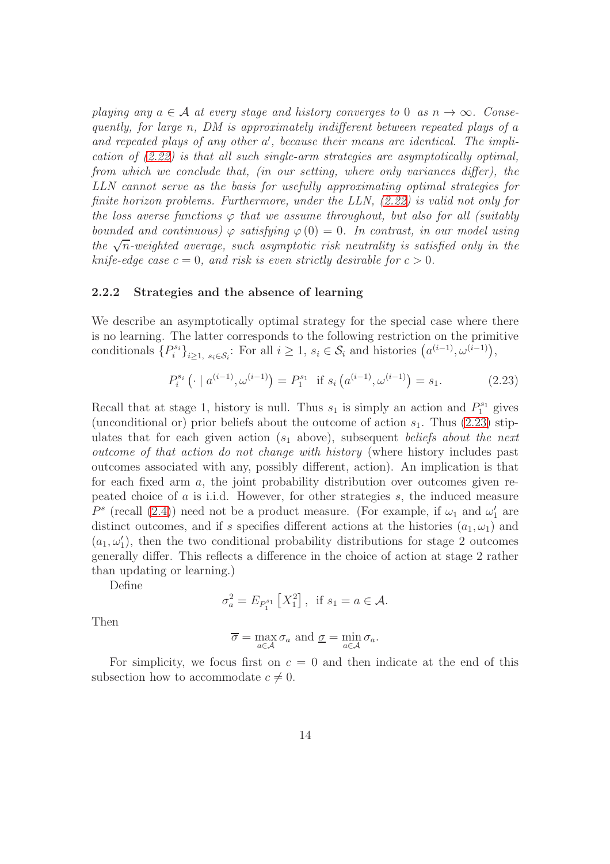playing any  $a \in \mathcal{A}$  at every stage and history converges to 0 as  $n \to \infty$ . Consequently, for large n, DM is approximately indifferent between repeated plays of a and repeated plays of any other a', because their means are identical. The implication of [\(2.22\)](#page-12-1) is that all such single-arm strategies are asymptotically optimal, from which we conclude that, (in our setting, where only variances differ), the LLN cannot serve as the basis for usefully approximating optimal strategies for finite horizon problems. Furthermore, under the LLN, [\(2.22\)](#page-12-1) is valid not only for the loss averse functions  $\varphi$  that we assume throughout, but also for all (suitably bounded and continuous)  $\varphi$  satisfying  $\varphi(0) = 0$ . In contrast, in our model using the  $\sqrt{n}$ -weighted average, such asymptotic risk neutrality is satisfied only in the knife-edge case  $c = 0$ , and risk is even strictly desirable for  $c > 0$ .

#### <span id="page-13-0"></span>2.2.2 Strategies and the absence of learning

We describe an asymptotically optimal strategy for the special case where there is no learning. The latter corresponds to the following restriction on the primitive conditionals  $\{P_i^{s_i}\}_{i\geq 1, s_i\in \mathcal{S}_i}$ : For all  $i\geq 1, s_i\in \mathcal{S}_i$  and histories  $(a^{(i-1)}, \omega^{(i-1)})$ ,

<span id="page-13-1"></span>
$$
P_i^{s_i} \left( \cdot \mid a^{(i-1)}, \omega^{(i-1)} \right) = P_1^{s_1} \text{ if } s_i \left( a^{(i-1)}, \omega^{(i-1)} \right) = s_1. \tag{2.23}
$$

Recall that at stage 1, history is null. Thus  $s_1$  is simply an action and  $P_1^{s_1}$  gives (unconditional or) prior beliefs about the outcome of action  $s_1$ . Thus [\(2.23\)](#page-13-1) stipulates that for each given action  $(s_1)$  above), subsequent beliefs about the next outcome of that action do not change with history (where history includes past outcomes associated with any, possibly different, action). An implication is that for each fixed arm a, the joint probability distribution over outcomes given repeated choice of a is i.i.d. However, for other strategies s, the induced measure  $P^s$  (recall [\(2.4\)](#page-5-4)) need not be a product measure. (For example, if  $\omega_1$  and  $\omega'_1$  are distinct outcomes, and if s specifies different actions at the histories  $(a_1, \omega_1)$  and  $(a_1,\omega'_1)$ , then the two conditional probability distributions for stage 2 outcomes generally differ. This reflects a difference in the choice of action at stage 2 rather than updating or learning.)

Define

$$
\sigma_a^2 = E_{P_1^{s_1}} [X_1^2], \text{ if } s_1 = a \in \mathcal{A}.
$$

Then

$$
\overline{\sigma} = \max_{a \in \mathcal{A}} \sigma_a \text{ and } \underline{\sigma} = \min_{a \in \mathcal{A}} \sigma_a.
$$

For simplicity, we focus first on  $c = 0$  and then indicate at the end of this subsection how to accommodate  $c \neq 0$ .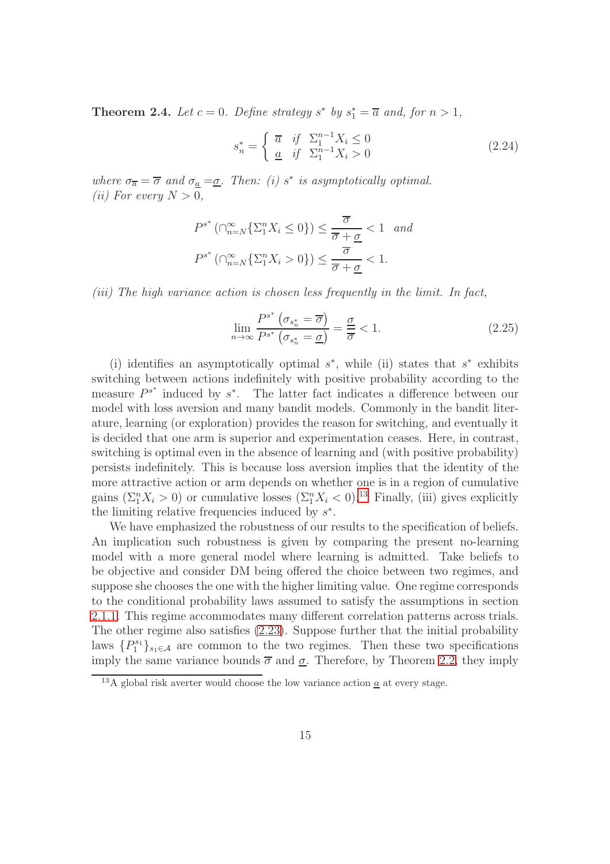<span id="page-14-1"></span>**Theorem 2.4.** Let  $c = 0$ . Define strategy  $s^*$  by  $s_1^* = \overline{a}$  and, for  $n > 1$ ,

<span id="page-14-3"></span>
$$
s_n^* = \begin{cases} \overline{a} & \text{if } \Sigma_1^{n-1} X_i \le 0 \\ \underline{a} & \text{if } \Sigma_1^{n-1} X_i > 0 \end{cases} \tag{2.24}
$$

where  $\sigma_{\overline{a}} = \overline{\sigma}$  and  $\sigma_{\underline{a}} = \underline{\sigma}$ . Then: (i) s<sup>\*</sup> is asymptotically optimal. (*ii*) For every  $N > 0$ ,

$$
P^{s^*}(\bigcap_{n=N}^{\infty} \{\Sigma_1^n X_i \le 0\}) \le \frac{\overline{\sigma}}{\overline{\sigma} + \underline{\sigma}} < 1 \quad and
$$
  

$$
P^{s^*}(\bigcap_{n=N}^{\infty} \{\Sigma_1^n X_i > 0\}) \le \frac{\overline{\sigma}}{\overline{\sigma} + \underline{\sigma}} < 1.
$$

(iii) The high variance action is chosen less frequently in the limit. In fact,

<span id="page-14-2"></span>
$$
\lim_{n \to \infty} \frac{P^{s^*} \left(\sigma_{s_n^*} = \overline{\sigma}\right)}{P^{s^*} \left(\sigma_{s_n^*} = \underline{\sigma}\right)} = \frac{\underline{\sigma}}{\overline{\sigma}} < 1. \tag{2.25}
$$

(i) identifies an asymptotically optimal  $s^*$ , while (ii) states that  $s^*$  exhibits switching between actions indefinitely with positive probability according to the measure  $P^{s^*}$  induced by  $s^*$ . The latter fact indicates a difference between our model with loss aversion and many bandit models. Commonly in the bandit literature, learning (or exploration) provides the reason for switching, and eventually it is decided that one arm is superior and experimentation ceases. Here, in contrast, switching is optimal even in the absence of learning and (with positive probability) persists indefinitely. This is because loss aversion implies that the identity of the more attractive action or arm depends on whether one is in a region of cumulative gains  $(\Sigma_1^n X_i > 0)$  or cumulative losses  $(\Sigma_1^n X_i < 0)$ .<sup>[13](#page-14-0)</sup> Finally, (iii) gives explicitly the limiting relative frequencies induced by  $s^*$ .

We have emphasized the robustness of our results to the specification of beliefs. An implication such robustness is given by comparing the present no-learning model with a more general model where learning is admitted. Take beliefs to be objective and consider DM being offered the choice between two regimes, and suppose she chooses the one with the higher limiting value. One regime corresponds to the conditional probability laws assumed to satisfy the assumptions in section [2.1.1.](#page-4-3) This regime accommodates many different correlation patterns across trials. The other regime also satisfies [\(2.23\)](#page-13-1). Suppose further that the initial probability laws  $\{P_1^{s_1}\}_{s_1\in\mathcal{A}}$  are common to the two regimes. Then these two specifications imply the same variance bounds  $\bar{\sigma}$  and  $\sigma$ . Therefore, by Theorem [2.2,](#page-10-3) they imply

<span id="page-14-0"></span><sup>&</sup>lt;sup>13</sup>A global risk averter would choose the low variance action  $\underline{a}$  at every stage.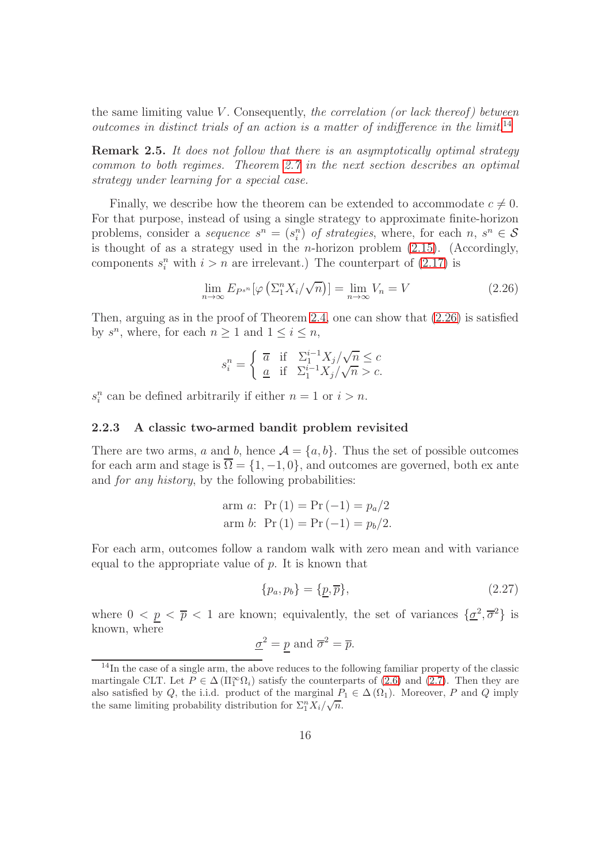the same limiting value V. Consequently, the correlation (or lack thereof) between outcomes in distinct trials of an action is a matter of indifference in the limit.<sup>[14](#page-15-1)</sup>

Remark 2.5. It does not follow that there is an asymptotically optimal strategy common to both regimes. Theorem [2.7](#page-18-0) in the next section describes an optimal strategy under learning for a special case.

Finally, we describe how the theorem can be extended to accommodate  $c \neq 0$ . For that purpose, instead of using a single strategy to approximate finite-horizon problems, consider a *sequence*  $s^n = (s_i^n)$  of *strategies*, where, for each  $n, s^n \in \mathcal{S}$ is thought of as a strategy used in the *n*-horizon problem  $(2.15)$ . (Accordingly, components  $s_i^n$  with  $i > n$  are irrelevant.) The counterpart of  $(2.17)$  is

<span id="page-15-2"></span>
$$
\lim_{n \to \infty} E_{P^{s^n}}[\varphi \left( \Sigma_1^n X_i / \sqrt{n} \right)] = \lim_{n \to \infty} V_n = V \tag{2.26}
$$

Then, arguing as in the proof of Theorem [2.4,](#page-14-1) one can show that  $(2.26)$  is satisfied by  $s^n$ , where, for each  $n \geq 1$  and  $1 \leq i \leq n$ ,

$$
s_i^n = \begin{cases} \overline{a} & \text{if} \quad \Sigma_1^{i-1} X_j / \sqrt{n} \le c \\ \underline{a} & \text{if} \quad \Sigma_1^{i-1} X_j / \sqrt{n} > c. \end{cases}
$$

 $s_i^n$  can be defined arbitrarily if either  $n = 1$  or  $i > n$ .

#### <span id="page-15-0"></span>2.2.3 A classic two-armed bandit problem revisited

There are two arms, a and b, hence  $A = \{a, b\}$ . Thus the set of possible outcomes for each arm and stage is  $\overline{\Omega} = \{1, -1, 0\}$ , and outcomes are governed, both ex ante and *for any history*, by the following probabilities:

arm a: Pr (1) = Pr (-1) = 
$$
p_a/2
$$
  
arm b: Pr (1) = Pr (-1) =  $p_b/2$ .

For each arm, outcomes follow a random walk with zero mean and with variance equal to the appropriate value of  $p$ . It is known that

<span id="page-15-3"></span>
$$
\{p_a, p_b\} = \{\underline{p}, \overline{p}\},\tag{2.27}
$$

where  $0 \leq p \leq \bar{p} \leq 1$  are known; equivalently, the set of variances  $\{\underline{\sigma}^2, \overline{\sigma}^2\}$  is known, where

$$
\underline{\sigma}^2 = \underline{p} \text{ and } \overline{\sigma}^2 = \overline{p}.
$$

<span id="page-15-1"></span><sup>&</sup>lt;sup>14</sup>In the case of a single arm, the above reduces to the following familiar property of the classic martingale CLT. Let  $P \in \Delta(\Pi_1^{\infty}\Omega_i)$  satisfy the counterparts of [\(2.6\)](#page-5-1) and [\(2.7\)](#page-5-2). Then they are also satisfied by Q, the i.i.d. product of the marginal  $P_1 \in \Delta(\Omega_1)$ . Moreover, P and Q imply the same limiting probability distribution for  $\Sigma_1^n X_i / \sqrt{n}$ .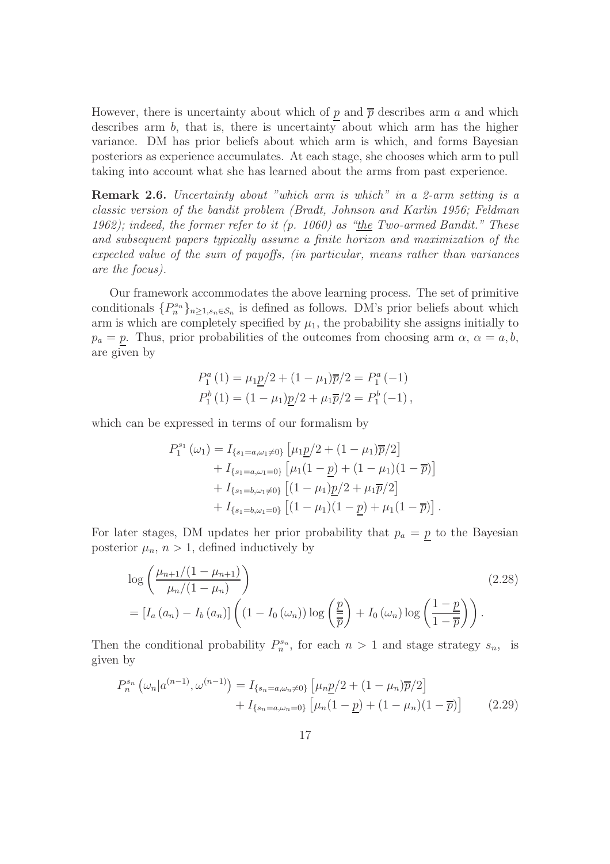However, there is uncertainty about which of p and  $\bar{p}$  describes arm a and which describes arm  $b$ , that is, there is uncertainty about which arm has the higher variance. DM has prior beliefs about which arm is which, and forms Bayesian posteriors as experience accumulates. At each stage, she chooses which arm to pull taking into account what she has learned about the arms from past experience.

<span id="page-16-0"></span>Remark 2.6. Uncertainty about "which arm is which" in a 2-arm setting is a classic version of the bandit problem (Bradt, Johnson and Karlin 1956; Feldman 1962); indeed, the former refer to it  $(p. 1060)$  as "the Two-armed Bandit." These and subsequent papers typically assume a finite horizon and maximization of the expected value of the sum of payoffs, (in particular, means rather than variances are the focus).

Our framework accommodates the above learning process. The set of primitive conditionals  $\{P_n^{s_n}\}_{n\geq 1, s_n\in\mathcal{S}_n}$  is defined as follows. DM's prior beliefs about which arm is which are completely specified by  $\mu_1$ , the probability she assigns initially to  $p_a = p$ . Thus, prior probabilities of the outcomes from choosing arm  $\alpha$ ,  $\alpha = a, b$ , are given by

$$
P_1^a(1) = \mu_1 \underline{p}/2 + (1 - \mu_1)\overline{p}/2 = P_1^a(-1)
$$
  
\n
$$
P_1^b(1) = (1 - \mu_1)\underline{p}/2 + \mu_1\overline{p}/2 = P_1^b(-1),
$$

which can be expressed in terms of our formalism by

<span id="page-16-2"></span>
$$
P_1^{s_1}(\omega_1) = I_{\{s_1 = a, \omega_1 \neq 0\}} \left[ \mu_1 \underline{p}/2 + (1 - \mu_1) \overline{p}/2 \right] + I_{\{s_1 = a, \omega_1 = 0\}} \left[ \mu_1 (1 - \underline{p}) + (1 - \mu_1) (1 - \overline{p}) \right] + I_{\{s_1 = b, \omega_1 \neq 0\}} \left[ (1 - \mu_1) \underline{p}/2 + \mu_1 \overline{p}/2 \right] + I_{\{s_1 = b, \omega_1 = 0\}} \left[ (1 - \mu_1) (1 - \underline{p}) + \mu_1 (1 - \overline{p}) \right].
$$

For later stages, DM updates her prior probability that  $p_a = p$  to the Bayesian posterior  $\mu_n$ ,  $n > 1$ , defined inductively by

$$
\log\left(\frac{\mu_{n+1}/(1-\mu_{n+1})}{\mu_n/(1-\mu_n)}\right)
$$
\n
$$
= [I_a(a_n) - I_b(a_n)] \left( (1 - I_0(\omega_n)) \log\left(\frac{p}{\overline{p}}\right) + I_0(\omega_n) \log\left(\frac{1-p}{1-\overline{p}}\right) \right).
$$
\n(2.28)

Then the conditional probability  $P_n^{s_n}$ , for each  $n > 1$  and stage strategy  $s_n$ , is given by

<span id="page-16-1"></span>
$$
P_n^{s_n}(\omega_n|a^{(n-1)},\omega^{(n-1)}) = I_{\{s_n = a,\omega_n \neq 0\}} \left[\mu_n \underline{p}/2 + (1 - \mu_n)\overline{p}/2\right] + I_{\{s_n = a,\omega_n = 0\}} \left[\mu_n (1 - \underline{p}) + (1 - \mu_n)(1 - \overline{p})\right]
$$
(2.29)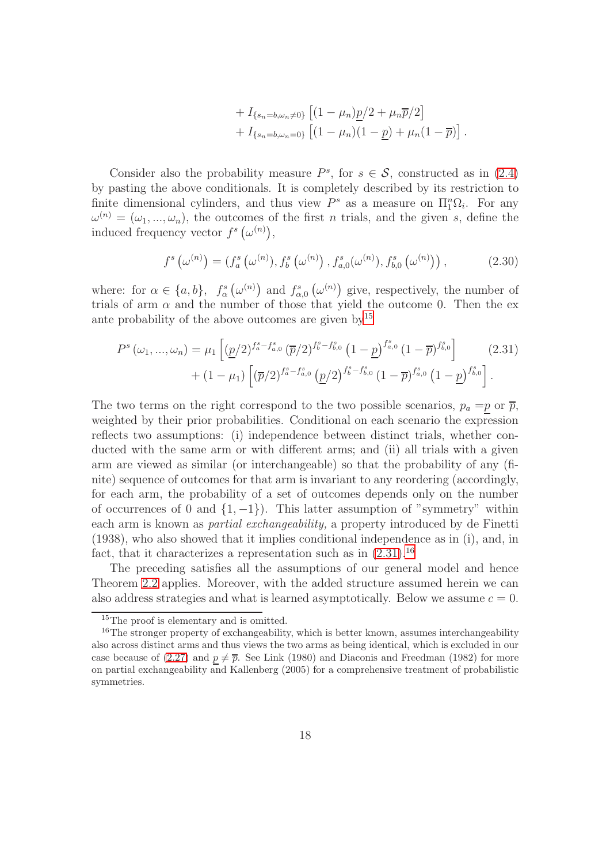+ 
$$
I_{\{s_n=b,\omega_n\neq 0\}} [(1-\mu_n)\underline{p}/2 + \mu_n\overline{p}/2]
$$
  
+  $I_{\{s_n=b,\omega_n=0\}} [(1-\mu_n)(1-\underline{p}) + \mu_n(1-\overline{p})].$ 

Consider also the probability measure  $P^s$ , for  $s \in S$ , constructed as in [\(2.4\)](#page-5-4) by pasting the above conditionals. It is completely described by its restriction to finite dimensional cylinders, and thus view  $P^s$  as a measure on  $\Pi_1^n \Omega_i$ . For any  $\omega^{(n)} = (\omega_1, ..., \omega_n)$ , the outcomes of the first n trials, and the given s, define the induced frequency vector  $f^s(\omega^{(n)})$ ,

<span id="page-17-1"></span>
$$
f^{s}\left(\omega^{(n)}\right) = \left(f^{s}_{a}\left(\omega^{(n)}\right), f^{s}_{b}\left(\omega^{(n)}\right), f^{s}_{a,0}(\omega^{(n)}), f^{s}_{b,0}\left(\omega^{(n)}\right)\right),\tag{2.30}
$$

where: for  $\alpha \in \{a, b\}$ ,  $f^s_\alpha(\omega^{(n)})$  and  $f^s_{\alpha,0}(\omega^{(n)})$  give, respectively, the number of trials of arm  $\alpha$  and the number of those that yield the outcome 0. Then the exante probability of the above outcomes are given  $by<sup>15</sup>$  $by<sup>15</sup>$  $by<sup>15</sup>$ 

$$
P^{s}(\omega_{1},...,\omega_{n}) = \mu_{1} \left[ \left( \underline{p}/2 \right)^{f_{a}^{s} - f_{a,0}^{s}} \left( \overline{p}/2 \right)^{f_{b}^{s} - f_{b,0}^{s}} \left( 1 - \underline{p} \right)^{f_{a,0}^{s}} \left( 1 - \overline{p} \right)^{f_{b,0}^{s}} \right] + (1 - \mu_{1}) \left[ \left( \overline{p}/2 \right)^{f_{a}^{s} - f_{a,0}^{s}} \left( \underline{p}/2 \right)^{f_{b}^{s} - f_{b,0}^{s}} \left( 1 - \overline{p} \right)^{f_{a,0}^{s}} \left( 1 - \underline{p} \right)^{f_{b,0}^{s}} \right].
$$
\n(2.31)

The two terms on the right correspond to the two possible scenarios,  $p_a = p$  or  $\bar{p}$ , weighted by their prior probabilities. Conditional on each scenario the expression reflects two assumptions: (i) independence between distinct trials, whether conducted with the same arm or with different arms; and (ii) all trials with a given arm are viewed as similar (or interchangeable) so that the probability of any (finite) sequence of outcomes for that arm is invariant to any reordering (accordingly, for each arm, the probability of a set of outcomes depends only on the number of occurrences of 0 and  $\{1, -1\}$ ). This latter assumption of "symmetry" within each arm is known as partial exchangeability, a property introduced by de Finetti (1938), who also showed that it implies conditional independence as in (i), and, in fact, that it characterizes a representation such as in  $(2.31).^{16}$  $(2.31).^{16}$  $(2.31).^{16}$ 

The preceding satisfies all the assumptions of our general model and hence Theorem [2.2](#page-10-3) applies. Moreover, with the added structure assumed herein we can also address strategies and what is learned asymptotically. Below we assume  $c = 0$ .

<span id="page-17-0"></span><sup>&</sup>lt;sup>15</sup>The proof is elementary and is omitted.

<span id="page-17-2"></span> $16$ The stronger property of exchangeability, which is better known, assumes interchangeability also across distinct arms and thus views the two arms as being identical, which is excluded in our case because of [\(2.27\)](#page-15-3) and  $p \neq \overline{p}$ . See Link (1980) and Diaconis and Freedman (1982) for more on partial exchangeability and Kallenberg (2005) for a comprehensive treatment of probabilistic symmetries.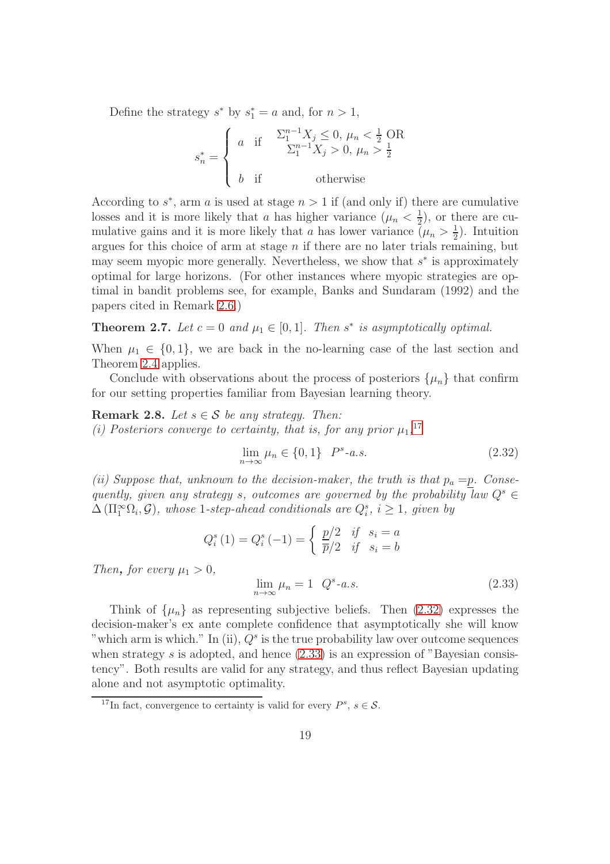Define the strategy  $s^*$  by  $s_1^* = a$  and, for  $n > 1$ ,

$$
s_n^* = \begin{cases} a & \text{if } & \frac{\sum_{1}^{n-1} X_j \leq 0, \ \mu_n < \frac{1}{2} \text{ OR} \\ & \sum_{1}^{n-1} X_j > 0, \ \mu_n > \frac{1}{2} \\ b & \text{if } & \text{otherwise} \end{cases}
$$

According to  $s^*$ , arm a is used at stage  $n > 1$  if (and only if) there are cumulative losses and it is more likely that a has higher variance  $(\mu_n < \frac{1}{2})$  $(\frac{1}{2})$ , or there are cumulative gains and it is more likely that a has lower variance  $(\mu_n > \frac{1}{2})$  $(\frac{1}{2})$ . Intuition argues for this choice of arm at stage  $n$  if there are no later trials remaining, but may seem myopic more generally. Nevertheless, we show that  $s^*$  is approximately optimal for large horizons. (For other instances where myopic strategies are optimal in bandit problems see, for example, Banks and Sundaram (1992) and the papers cited in Remark [2.6.](#page-16-0))

<span id="page-18-0"></span>**Theorem 2.7.** Let  $c = 0$  and  $\mu_1 \in [0, 1]$ . Then  $s^*$  is asymptotically optimal.

When  $\mu_1 \in \{0, 1\}$ , we are back in the no-learning case of the last section and Theorem [2.4](#page-14-1) applies.

Conclude with observations about the process of posteriors  $\{\mu_n\}$  that confirm for our setting properties familiar from Bayesian learning theory.

<span id="page-18-4"></span>Remark 2.8. Let  $s \in \mathcal{S}$  be any strategy. Then: (i) Posteriors converge to certainty, that is, for any prior  $\mu_1$ ,<sup>[17](#page-18-1)</sup>

<span id="page-18-2"></span>
$$
\lim_{n \to \infty} \mu_n \in \{0, 1\} \quad P^s - a.s. \tag{2.32}
$$

(ii) Suppose that, unknown to the decision-maker, the truth is that  $p_a = p$ . Consequently, given any strategy s, outcomes are governed by the probability law  $Q^s \in$  $\Delta(\Pi_1^{\infty}\Omega_i,\mathcal{G})$ , whose 1-step-ahead conditionals are  $Q_i^s$ ,  $i \geq 1$ , given by

$$
Q_i^s(1) = Q_i^s(-1) = \begin{cases} \frac{p}{2} & \text{if } s_i = a \\ \frac{p}{2} & \text{if } s_i = b \end{cases}
$$

Then, for every  $\mu_1 > 0$ ,

<span id="page-18-3"></span>
$$
\lim_{n \to \infty} \mu_n = 1 \quad Q^s - a.s. \tag{2.33}
$$

Think of  $\{\mu_n\}$  as representing subjective beliefs. Then  $(2.32)$  expresses the decision-maker's ex ante complete confidence that asymptotically she will know "which arm is which." In (ii),  $Q^s$  is the true probability law over outcome sequences when strategy  $s$  is adopted, and hence  $(2.33)$  is an expression of "Bayesian consistency". Both results are valid for any strategy, and thus reflect Bayesian updating alone and not asymptotic optimality.

<span id="page-18-1"></span><sup>&</sup>lt;sup>17</sup>In fact, convergence to certainty is valid for every  $P^s$ ,  $s \in \mathcal{S}$ .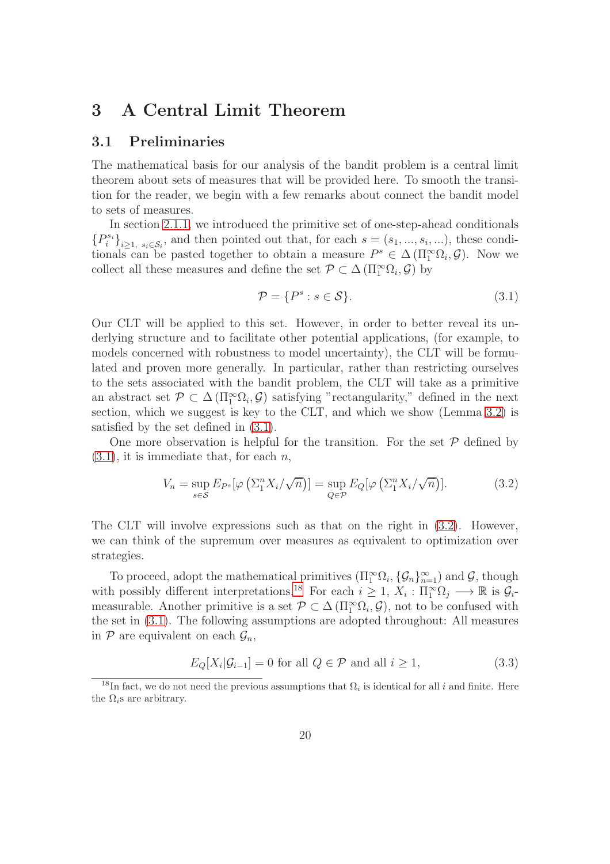## 3 A Central Limit Theorem

### 3.1 Preliminaries

The mathematical basis for our analysis of the bandit problem is a central limit theorem about sets of measures that will be provided here. To smooth the transition for the reader, we begin with a few remarks about connect the bandit model to sets of measures.

In section [2.1.1,](#page-4-3) we introduced the primitive set of one-step-ahead conditionals  ${P_i^{s_i}}_{i \geq 1, s_i \in S_i}$ , and then pointed out that, for each  $s = (s_1, ..., s_i, ...)$ , these conditionals can be pasted together to obtain a measure  $P^s \in \Delta(\Pi_1^{\infty}\Omega_i, \mathcal{G})$ . Now we collect all these measures and define the set  $\mathcal{P} \subset \Delta(\Pi_1^{\infty}\Omega_i, \mathcal{G})$  by

<span id="page-19-0"></span>
$$
\mathcal{P} = \{P^s : s \in \mathcal{S}\}.
$$
\n
$$
(3.1)
$$

Our CLT will be applied to this set. However, in order to better reveal its underlying structure and to facilitate other potential applications, (for example, to models concerned with robustness to model uncertainty), the CLT will be formulated and proven more generally. In particular, rather than restricting ourselves to the sets associated with the bandit problem, the CLT will take as a primitive an abstract set  $\mathcal{P} \subset \Delta(\Pi_1^{\infty}\Omega_i, \mathcal{G})$  satisfying "rectangularity," defined in the next section, which we suggest is key to the CLT, and which we show (Lemma [3.2\)](#page-22-0) is satisfied by the set defined in [\(3.1\)](#page-19-0).

One more observation is helpful for the transition. For the set  $\mathcal P$  defined by  $(3.1)$ , it is immediate that, for each  $n$ ,

<span id="page-19-1"></span>
$$
V_n = \sup_{s \in \mathcal{S}} E_{P^s}[\varphi \left( \Sigma_1^n X_i / \sqrt{n} \right)] = \sup_{Q \in \mathcal{P}} E_Q[\varphi \left( \Sigma_1^n X_i / \sqrt{n} \right)]. \tag{3.2}
$$

The CLT will involve expressions such as that on the right in [\(3.2\)](#page-19-1). However, we can think of the supremum over measures as equivalent to optimization over strategies.

To proceed, adopt the mathematical primitives  $(\Pi_1^{\infty} \Omega_i, {\{\mathcal{G}_n\}}_{n=1}^{\infty})$  and  $\mathcal{G}$ , though with possibly different interpretations.<sup>[18](#page-19-2)</sup> For each  $i \geq 1$ ,  $X_i : \Pi_1^{\infty} \Omega_j \longrightarrow \mathbb{R}$  is  $\mathcal{G}_i$ . measurable. Another primitive is a set  $\mathcal{P} \subset \Delta(\Pi_1^{\infty}\Omega_i, \mathcal{G})$ , not to be confused with the set in [\(3.1\)](#page-19-0). The following assumptions are adopted throughout: All measures in  $P$  are equivalent on each  $\mathcal{G}_n$ ,

<span id="page-19-3"></span>
$$
E_Q[X_i|\mathcal{G}_{i-1}] = 0 \text{ for all } Q \in \mathcal{P} \text{ and all } i \ge 1,
$$
\n(3.3)

<span id="page-19-2"></span><sup>&</sup>lt;sup>18</sup>In fact, we do not need the previous assumptions that  $\Omega_i$  is identical for all i and finite. Here the  $\Omega_i$ s are arbitrary.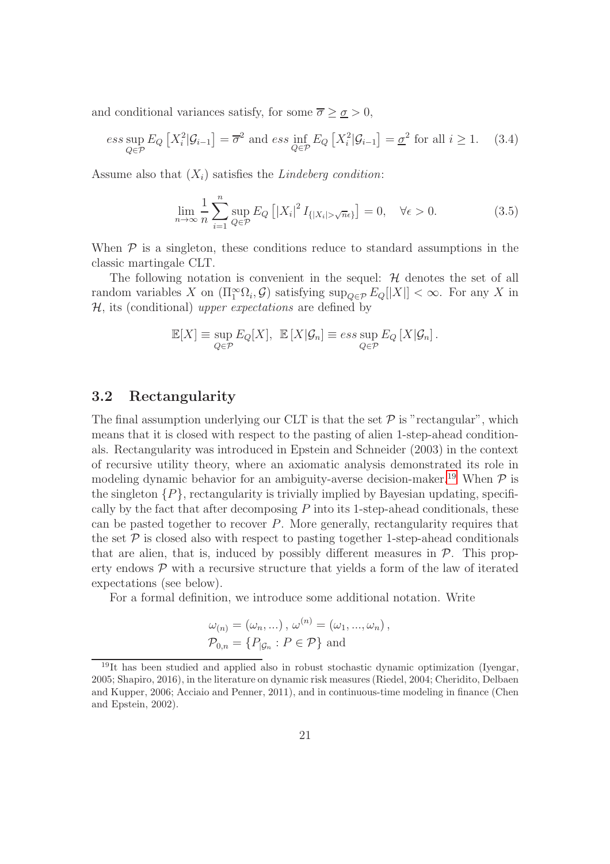and conditional variances satisfy, for some  $\overline{\sigma} \geq \underline{\sigma} > 0$ ,

<span id="page-20-1"></span>
$$
ess \sup_{Q \in \mathcal{P}} E_Q \left[ X_i^2 | \mathcal{G}_{i-1} \right] = \overline{\sigma}^2 \text{ and } ess \inf_{Q \in \mathcal{P}} E_Q \left[ X_i^2 | \mathcal{G}_{i-1} \right] = \underline{\sigma}^2 \text{ for all } i \ge 1. \tag{3.4}
$$

Assume also that  $(X_i)$  satisfies the *Lindeberg condition*:

<span id="page-20-2"></span>
$$
\lim_{n \to \infty} \frac{1}{n} \sum_{i=1}^{n} \sup_{Q \in \mathcal{P}} E_Q \left[ |X_i|^2 I_{\{|X_i| > \sqrt{n}\epsilon\}} \right] = 0, \quad \forall \epsilon > 0. \tag{3.5}
$$

When  $P$  is a singleton, these conditions reduce to standard assumptions in the classic martingale CLT.

The following notation is convenient in the sequel:  $H$  denotes the set of all random variables X on  $(\Pi_1^{\infty} \Omega_i, \mathcal{G})$  satisfying  $\sup_{Q \in \mathcal{P}} E_Q[|X|] < \infty$ . For any X in  $H$ , its (conditional) upper expectations are defined by

$$
\mathbb{E}[X] \equiv \sup_{Q \in \mathcal{P}} E_Q[X], \quad \mathbb{E}[X|\mathcal{G}_n] \equiv \operatorname{ess} \sup_{Q \in \mathcal{P}} E_Q[X|\mathcal{G}_n].
$$

### 3.2 Rectangularity

The final assumption underlying our CLT is that the set  $P$  is "rectangular", which means that it is closed with respect to the pasting of alien 1-step-ahead conditionals. Rectangularity was introduced in Epstein and Schneider (2003) in the context of recursive utility theory, where an axiomatic analysis demonstrated its role in modeling dynamic behavior for an ambiguity-averse decision-maker.<sup>[19](#page-20-0)</sup> When  $\mathcal P$  is the singleton  $\{P\}$ , rectangularity is trivially implied by Bayesian updating, specifically by the fact that after decomposing  $P$  into its 1-step-ahead conditionals, these can be pasted together to recover  $P$ . More generally, rectangularity requires that the set  $\mathcal P$  is closed also with respect to pasting together 1-step-ahead conditionals that are alien, that is, induced by possibly different measures in  $P$ . This property endows  $P$  with a recursive structure that yields a form of the law of iterated expectations (see below).

For a formal definition, we introduce some additional notation. Write

$$
\omega_{(n)} = (\omega_n, \ldots), \, \omega^{(n)} = (\omega_1, \ldots, \omega_n),
$$
  

$$
\mathcal{P}_{0,n} = \{P_{|\mathcal{G}_n} : P \in \mathcal{P}\} \text{ and}
$$

<span id="page-20-0"></span> $19$ It has been studied and applied also in robust stochastic dynamic optimization (Iyengar, 2005; Shapiro, 2016), in the literature on dynamic risk measures (Riedel, 2004; Cheridito, Delbaen and Kupper, 2006; Acciaio and Penner, 2011), and in continuous-time modeling in finance (Chen and Epstein, 2002).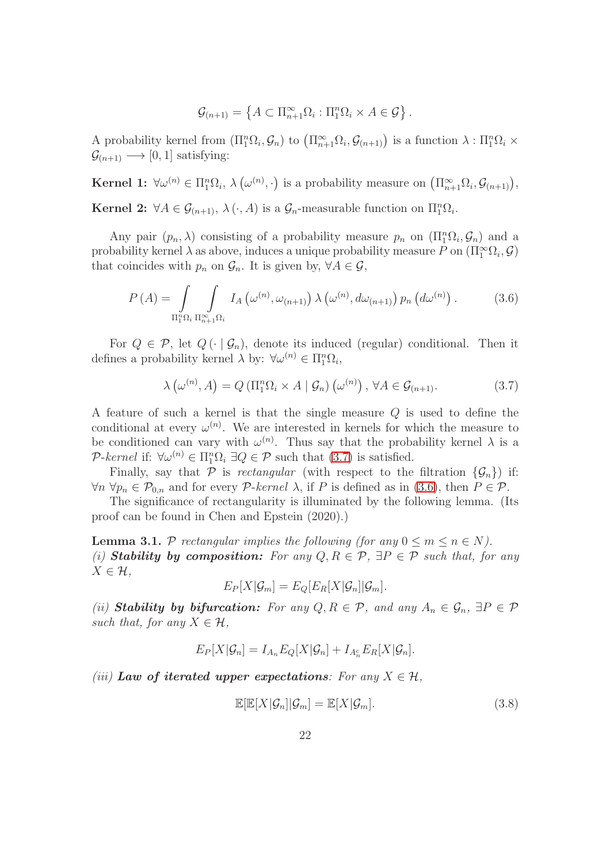$$
\mathcal{G}_{(n+1)} = \left\{ A \subset \Pi_{n+1}^{\infty} \Omega_i : \Pi_1^n \Omega_i \times A \in \mathcal{G} \right\}.
$$

A probability kernel from  $(\Pi_1^n \Omega_i, \mathcal{G}_n)$  to  $(\Pi_{n+1}^{\infty} \Omega_i, \mathcal{G}_{(n+1)})$  is a function  $\lambda : \Pi_1^n \Omega_i \times$  $\mathcal{G}_{(n+1)} \longrightarrow [0, 1]$  satisfying:

**Kernel 1:**  $\forall \omega^{(n)} \in \Pi_1^n \Omega_i$ ,  $\lambda(\omega^{(n)},\cdot)$  is a probability measure on  $(\Pi_{n+1}^{\infty} \Omega_i, \mathcal{G}_{(n+1)}),$ **Kernel 2:**  $\forall A \in \mathcal{G}_{(n+1)}, \ \lambda(\cdot, A)$  is a  $\mathcal{G}_n$ -measurable function on  $\Pi_1^n \Omega_i$ .

Any pair  $(p_n, \lambda)$  consisting of a probability measure  $p_n$  on  $(\Pi_1^n \Omega_i, \mathcal{G}_n)$  and a probability kernel  $\lambda$  as above, induces a unique probability measure P on  $(\Pi_1^{\infty} \Omega_i, \mathcal{G})$ that coincides with  $p_n$  on  $\mathcal{G}_n$ . It is given by,  $\forall A \in \mathcal{G}$ ,

<span id="page-21-1"></span>
$$
P(A) = \int_{\Pi_1^n \Omega_i} \int_{\Pi_{n+1}^\infty \Omega_i} I_A(\omega^{(n)}, \omega_{(n+1)}) \lambda(\omega^{(n)}, d\omega_{(n+1)}) p_n(d\omega^{(n)}) . \tag{3.6}
$$

For  $Q \in \mathcal{P}$ , let  $Q(\cdot | \mathcal{G}_n)$ , denote its induced (regular) conditional. Then it defines a probability kernel  $\lambda$  by:  $\forall \omega^{(n)} \in \Pi_1^n \Omega_i$ ,

<span id="page-21-0"></span>
$$
\lambda\left(\omega^{(n)}, A\right) = Q\left(\Pi_1^n \Omega_i \times A \mid \mathcal{G}_n\right)\left(\omega^{(n)}\right), \forall A \in \mathcal{G}_{(n+1)}.\tag{3.7}
$$

A feature of such a kernel is that the single measure Q is used to define the conditional at every  $\omega^{(n)}$ . We are interested in kernels for which the measure to be conditioned can vary with  $\omega^{(n)}$ . Thus say that the probability kernel  $\lambda$  is a P-kernel if:  $\forall \omega^{(n)} \in \Pi_1^n \Omega_i \exists Q \in \mathcal{P}$  such that [\(3.7\)](#page-21-0) is satisfied.

Finally, say that P is rectangular (with respect to the filtration  $\{\mathcal{G}_n\}$ ) if:  $\forall n \ \forall p_n \in \mathcal{P}_{0,n}$  and for every  $\mathcal{P}\text{-}kernel \lambda$ , if P is defined as in [\(3.6\)](#page-21-1), then  $P \in \mathcal{P}$ .

The significance of rectangularity is illuminated by the following lemma. (Its proof can be found in Chen and Epstein (2020).)

<span id="page-21-2"></span>**Lemma 3.1.** P rectangular implies the following (for any  $0 \le m \le n \in N$ ). (i) Stability by composition: For any  $Q, R \in \mathcal{P}$ ,  $\exists P \in \mathcal{P}$  such that, for any  $X \in \mathcal{H}$ ,

$$
E_P[X|\mathcal{G}_m] = E_Q[E_R[X|\mathcal{G}_n]|\mathcal{G}_m].
$$

(ii) Stability by bifurcation: For any  $Q, R \in \mathcal{P}$ , and any  $A_n \in \mathcal{G}_n$ ,  $\exists P \in \mathcal{P}$ such that, for any  $X \in \mathcal{H}$ ,

$$
E_P[X|\mathcal{G}_n] = I_{A_n} E_Q[X|\mathcal{G}_n] + I_{A_n^c} E_R[X|\mathcal{G}_n].
$$

(iii) Law of iterated upper expectations: For any  $X \in \mathcal{H}$ ,

$$
\mathbb{E}[\mathbb{E}[X|\mathcal{G}_n]|\mathcal{G}_m] = \mathbb{E}[X|\mathcal{G}_m].
$$
\n(3.8)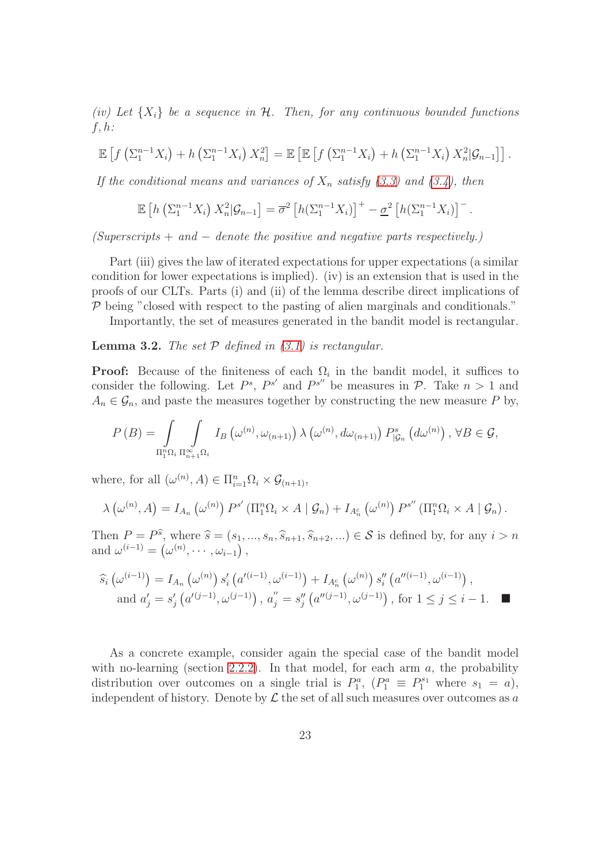(iv) Let  $\{X_i\}$  be a sequence in H. Then, for any continuous bounded functions  $f, h$ :

$$
\mathbb{E}\left[f\left(\sum_{1}^{n-1}X_{i}\right)+h\left(\sum_{1}^{n-1}X_{i}\right)X_{n}^{2}\right]=\mathbb{E}\left[\mathbb{E}\left[f\left(\sum_{1}^{n-1}X_{i}\right)+h\left(\sum_{1}^{n-1}X_{i}\right)X_{n}^{2}|G_{n-1}\right]\right].
$$

If the conditional means and variances of  $X_n$  satisfy [\(3.3\)](#page-19-3) and [\(3.4\)](#page-20-1), then

$$
\mathbb{E}\left[h\left(\sum_{1}^{n-1}X_{i}\right)X_{n}^{2}|\mathcal{G}_{n-1}\right]=\overline{\sigma}^{2}\left[h\left(\sum_{1}^{n-1}X_{i}\right)\right]^{+}-\underline{\sigma}^{2}\left[h\left(\sum_{1}^{n-1}X_{i}\right)\right]^{-}.
$$

 $(Superscripts + and - denote the positive and negative parts respectively.)$ 

Part (iii) gives the law of iterated expectations for upper expectations (a similar condition for lower expectations is implied). (iv) is an extension that is used in the proofs of our CLTs. Parts (i) and (ii) of the lemma describe direct implications of  $P$  being "closed with respect to the pasting of alien marginals and conditionals."

Importantly, the set of measures generated in the bandit model is rectangular.

<span id="page-22-0"></span>**Lemma 3.2.** The set  $P$  defined in [\(3.1\)](#page-19-0) is rectangular.

**Proof:** Because of the finiteness of each  $\Omega_i$  in the bandit model, it suffices to consider the following. Let  $P^s$ ,  $P^{s'}$  and  $P^{s''}$  be measures in  $P$ . Take  $n > 1$  and  $A_n \in \mathcal{G}_n$ , and paste the measures together by constructing the new measure P by,

$$
P(B) = \int_{\Pi_1^n \Omega_i} \int_{\Pi_{n+1}^\infty \Omega_i} I_B(\omega^{(n)}, \omega_{(n+1)}) \lambda(\omega^{(n)}, d\omega_{(n+1)}) P_{|\mathcal{G}_n}^s(d\omega^{(n)}) , \forall B \in \mathcal{G},
$$

where, for all  $(\omega^{(n)}, A) \in \Pi_{i=1}^n \Omega_i \times \mathcal{G}_{(n+1)},$ 

$$
\lambda\left(\omega^{(n)},A\right)=I_{A_n}\left(\omega^{(n)}\right)P^{s'}\left(\Pi_1^n\Omega_i\times A\mid \mathcal{G}_n\right)+I_{A_n^c}\left(\omega^{(n)}\right)P^{s''}\left(\Pi_1^n\Omega_i\times A\mid \mathcal{G}_n\right).
$$

Then  $P = P^{\hat{s}}$ , where  $\hat{s} = (s_1, ..., s_n, \hat{s}_{n+1}, \hat{s}_{n+2}, ...) \in S$  is defined by, for any  $i > n$ and  $\omega^{(i-1)} = (\omega^{(n)}, \cdots, \omega_{i-1}),$ 

$$
\begin{aligned} \hat{s}_i\left(\omega^{(i-1)}\right) &= I_{A_n}\left(\omega^{(n)}\right)s'_i\left(a'^{(i-1)},\omega^{(i-1)}\right) + I_{A_n^c}\left(\omega^{(n)}\right)s''_i\left(a''^{(i-1)},\omega^{(i-1)}\right),\\ \text{and } a'_j &= s'_j\left(a'^{(j-1)},\omega^{(j-1)}\right), \, a''_j = s''_j\left(a''^{(j-1)},\omega^{(j-1)}\right), \text{ for } 1 \le j \le i-1. \end{aligned}
$$

As a concrete example, consider again the special case of the bandit model with no-learning (section [2.2.2\)](#page-13-0). In that model, for each arm  $a$ , the probability distribution over outcomes on a single trial is  $P_1^a$ ,  $(P_1^a \equiv P_1^{s_1}$  where  $s_1 = a)$ , independent of history. Denote by  $\mathcal L$  the set of all such measures over outcomes as a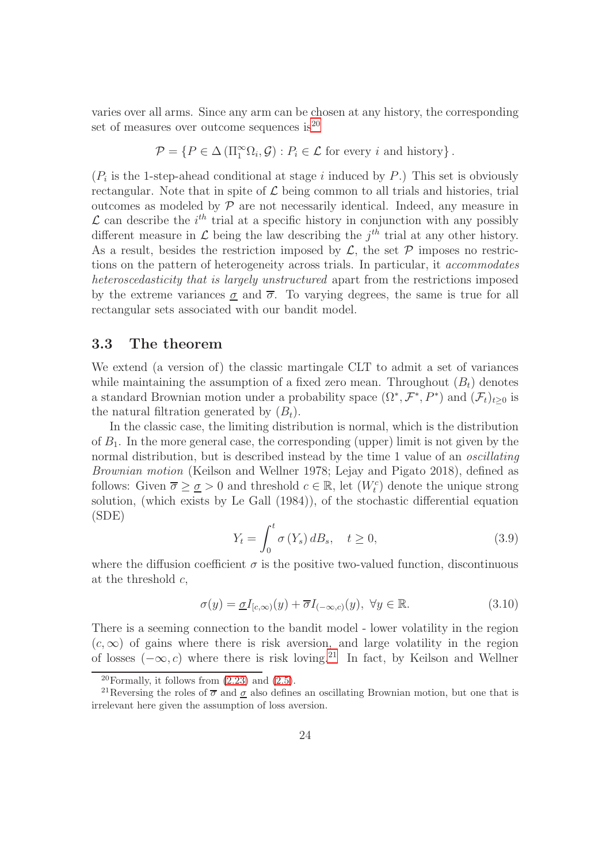varies over all arms. Since any arm can be chosen at any history, the corresponding set of measures over outcome sequences is  $2^0$ 

$$
\mathcal{P} = \{ P \in \Delta \left( \Pi_1^{\infty} \Omega_i, \mathcal{G} \right) : P_i \in \mathcal{L} \text{ for every } i \text{ and history} \}.
$$

 $(P_i$  is the 1-step-ahead conditional at stage i induced by P.) This set is obviously rectangular. Note that in spite of  $\mathcal L$  being common to all trials and histories, trial outcomes as modeled by  $P$  are not necessarily identical. Indeed, any measure in  $\mathcal{L}$  can describe the *i*<sup>th</sup> trial at a specific history in conjunction with any possibly different measure in  $\mathcal L$  being the law describing the  $j<sup>th</sup>$  trial at any other history. As a result, besides the restriction imposed by  $\mathcal{L}$ , the set  $\mathcal{P}$  imposes no restrictions on the pattern of heterogeneity across trials. In particular, it accommodates heteroscedasticity that is largely unstructured apart from the restrictions imposed by the extreme variances  $\sigma$  and  $\bar{\sigma}$ . To varying degrees, the same is true for all rectangular sets associated with our bandit model.

### <span id="page-23-0"></span>3.3 The theorem

We extend (a version of) the classic martingale CLT to admit a set of variances while maintaining the assumption of a fixed zero mean. Throughout  $(B_t)$  denotes a standard Brownian motion under a probability space  $(\Omega^*, \mathcal{F}^*, P^*)$  and  $(\mathcal{F}_t)_{t\geq 0}$  is the natural filtration generated by  $(B_t)$ .

In the classic case, the limiting distribution is normal, which is the distribution of  $B_1$ . In the more general case, the corresponding (upper) limit is not given by the normal distribution, but is described instead by the time 1 value of an *oscillating* Brownian motion (Keilson and Wellner 1978; Lejay and Pigato 2018), defined as follows: Given  $\overline{\sigma} \geq \underline{\sigma} > 0$  and threshold  $c \in \mathbb{R}$ , let  $(W_t^c)$  denote the unique strong solution, (which exists by Le Gall (1984)), of the stochastic differential equation (SDE)

<span id="page-23-3"></span>
$$
Y_t = \int_0^t \sigma(Y_s) dB_s, \quad t \ge 0,
$$
\n(3.9)

where the diffusion coefficient  $\sigma$  is the positive two-valued function, discontinuous at the threshold  $c$ ,

<span id="page-23-4"></span>
$$
\sigma(y) = \underline{\sigma} I_{[c,\infty)}(y) + \overline{\sigma} I_{(-\infty,c)}(y), \ \forall y \in \mathbb{R}.
$$
\n(3.10)

There is a seeming connection to the bandit model - lower volatility in the region  $(c, \infty)$  of gains where there is risk aversion, and large volatility in the region of losses  $(-\infty, c)$  where there is risk loving.<sup>[21](#page-23-2)</sup> In fact, by Keilson and Wellner

<span id="page-23-1"></span><sup>&</sup>lt;sup>20</sup>Formally, it follows from  $(2.23)$  and  $(2.5)$ .

<span id="page-23-2"></span><sup>&</sup>lt;sup>21</sup>Reversing the roles of  $\overline{\sigma}$  and <u> $\sigma$ </u> also defines an oscillating Brownian motion, but one that is irrelevant here given the assumption of loss aversion.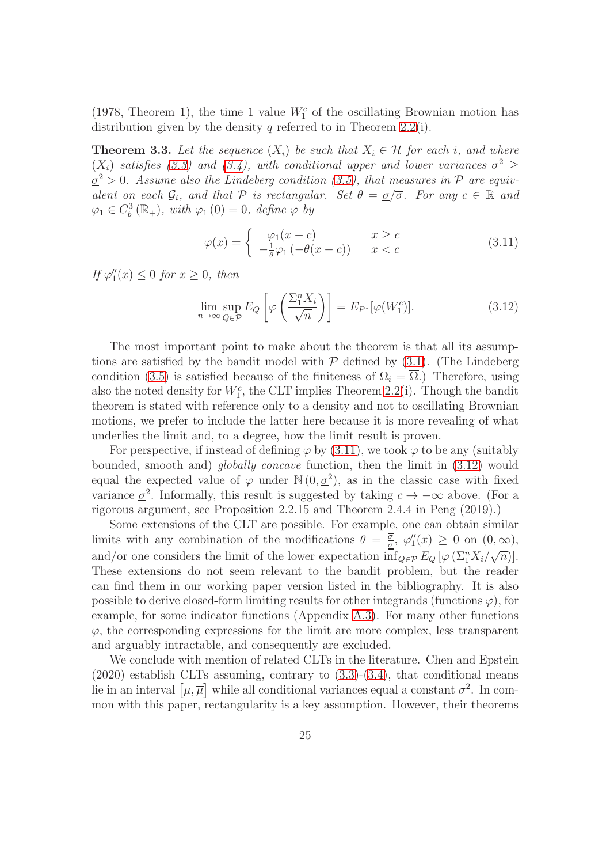(1978, Theorem 1), the time 1 value  $W_1^c$  of the oscillating Brownian motion has distribution given by the density  $q$  referred to in Theorem [2.2\(](#page-10-3)i).

<span id="page-24-2"></span>**Theorem 3.3.** Let the sequence  $(X_i)$  be such that  $X_i \in \mathcal{H}$  for each i, and where  $(X_i)$  satisfies [\(3.3\)](#page-19-3) and [\(3.4\)](#page-20-1), with conditional upper and lower variances  $\overline{\sigma}^2 \geq$  $\underline{\sigma}^2 > 0$ . Assume also the Lindeberg condition [\(3.5\)](#page-20-2), that measures in  $\mathcal P$  are equivalent on each  $\mathcal{G}_i$ , and that  $\mathcal P$  is rectangular. Set  $\theta = \underline{\sigma}/\overline{\sigma}$ . For any  $c \in \mathbb R$  and  $\varphi_1 \in C_b^3(\mathbb{R}_+), \text{ with } \varphi_1(0) = 0, \text{ define } \varphi \text{ by }$ 

<span id="page-24-0"></span>
$$
\varphi(x) = \begin{cases} \varphi_1(x-c) & x \ge c \\ -\frac{1}{\theta}\varphi_1(-\theta(x-c)) & x < c \end{cases}
$$
 (3.11)

If  $\varphi_1''(x) \leq 0$  for  $x \geq 0$ , then

<span id="page-24-1"></span>
$$
\lim_{n \to \infty} \sup_{Q \in \mathcal{P}} E_Q \left[ \varphi \left( \frac{\Sigma_1^n X_i}{\sqrt{n}} \right) \right] = E_{P^*}[\varphi(W_1^c)]. \tag{3.12}
$$

The most important point to make about the theorem is that all its assumptions are satisfied by the bandit model with  $P$  defined by  $(3.1)$ . (The Lindeberg condition [\(3.5\)](#page-20-2) is satisfied because of the finiteness of  $\Omega_i = \overline{\Omega}$ .) Therefore, using also the noted density for  $W_1^c$ , the CLT implies Theorem [2.2\(](#page-10-3)i). Though the bandit theorem is stated with reference only to a density and not to oscillating Brownian motions, we prefer to include the latter here because it is more revealing of what underlies the limit and, to a degree, how the limit result is proven.

For perspective, if instead of defining  $\varphi$  by [\(3.11\)](#page-24-0), we took  $\varphi$  to be any (suitably bounded, smooth and) globally concave function, then the limit in [\(3.12\)](#page-24-1) would equal the expected value of  $\varphi$  under  $\mathbb{N}(0, \underline{\sigma}^2)$ , as in the classic case with fixed variance  $\underline{\sigma}^2$ . Informally, this result is suggested by taking  $c \to -\infty$  above. (For a rigorous argument, see Proposition 2.2.15 and Theorem 2.4.4 in Peng (2019).)

Some extensions of the CLT are possible. For example, one can obtain similar limits with any combination of the modifications  $\theta = \frac{\overline{\sigma}}{\sigma}$  $\frac{\sigma}{\sigma}$ ,  $\varphi''_1(x) \geq 0$  on  $(0,\infty)$ , and/or one considers the limit of the lower expectation  $\inf_{Q \in \mathcal{P}} E_Q \left[ \varphi \left( \Sigma_1^n X_i / \sqrt{n} \right) \right]$ . These extensions do not seem relevant to the bandit problem, but the reader can find them in our working paper version listed in the bibliography. It is also possible to derive closed-form limiting results for other integrands (functions  $\varphi$ ), for example, for some indicator functions (Appendix [A.3\)](#page-31-0). For many other functions  $\varphi$ , the corresponding expressions for the limit are more complex, less transparent and arguably intractable, and consequently are excluded.

We conclude with mention of related CLTs in the literature. Chen and Epstein  $(2020)$  establish CLTs assuming, contrary to  $(3.3)-(3.4)$  $(3.3)-(3.4)$ , that conditional means lie in an interval  $[\mu, \overline{\mu}]$  while all conditional variances equal a constant  $\sigma^2$ . In common with this paper, rectangularity is a key assumption. However, their theorems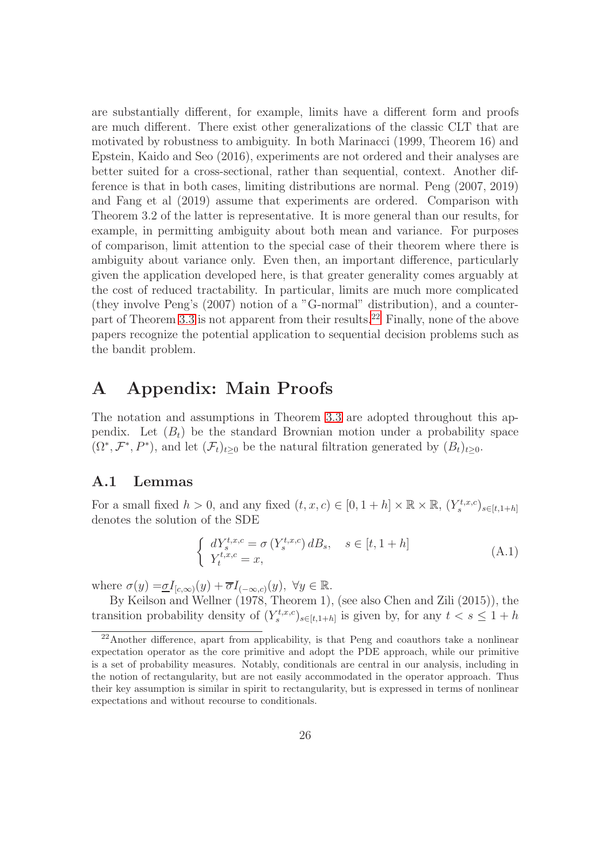are substantially different, for example, limits have a different form and proofs are much different. There exist other generalizations of the classic CLT that are motivated by robustness to ambiguity. In both Marinacci (1999, Theorem 16) and Epstein, Kaido and Seo (2016), experiments are not ordered and their analyses are better suited for a cross-sectional, rather than sequential, context. Another difference is that in both cases, limiting distributions are normal. Peng (2007, 2019) and Fang et al (2019) assume that experiments are ordered. Comparison with Theorem 3.2 of the latter is representative. It is more general than our results, for example, in permitting ambiguity about both mean and variance. For purposes of comparison, limit attention to the special case of their theorem where there is ambiguity about variance only. Even then, an important difference, particularly given the application developed here, is that greater generality comes arguably at the cost of reduced tractability. In particular, limits are much more complicated (they involve Peng's (2007) notion of a "G-normal" distribution), and a counterpart of Theorem [3.3](#page-24-2) is not apparent from their results.[22](#page-25-1) Finally, none of the above papers recognize the potential application to sequential decision problems such as the bandit problem.

## <span id="page-25-0"></span>A Appendix: Main Proofs

The notation and assumptions in Theorem [3.3](#page-24-2) are adopted throughout this appendix. Let  $(B_t)$  be the standard Brownian motion under a probability space  $(\Omega^*, \mathcal{F}^*, P^*)$ , and let  $(\mathcal{F}_t)_{t\geq 0}$  be the natural filtration generated by  $(B_t)_{t\geq 0}$ .

### A.1 Lemmas

For a small fixed  $h > 0$ , and any fixed  $(t, x, c) \in [0, 1 + h] \times \mathbb{R} \times \mathbb{R}$ ,  $(Y_s^{t, x, c})_{s \in [t, 1 + h]}$ denotes the solution of the SDE

$$
\begin{cases} dY_{s}^{t,x,c} = \sigma(Y_{s}^{t,x,c}) dB_{s}, \quad s \in [t, 1+h] \\ Y_{t}^{t,x,c} = x, \end{cases} \tag{A.1}
$$

where  $\sigma(y) = \underline{\sigma} I_{[c,\infty)}(y) + \overline{\sigma} I_{(-\infty,c)}(y)$ ,  $\forall y \in \mathbb{R}$ .

By Keilson and Wellner (1978, Theorem 1), (see also Chen and Zili (2015)), the transition probability density of  $(Y_s^{t,x,c})_{s \in [t,1+h]}$  is given by, for any  $t < s \leq 1+h$ 

<span id="page-25-1"></span><sup>&</sup>lt;sup>22</sup>Another difference, apart from applicability, is that Peng and coauthors take a nonlinear expectation operator as the core primitive and adopt the PDE approach, while our primitive is a set of probability measures. Notably, conditionals are central in our analysis, including in the notion of rectangularity, but are not easily accommodated in the operator approach. Thus their key assumption is similar in spirit to rectangularity, but is expressed in terms of nonlinear expectations and without recourse to conditionals.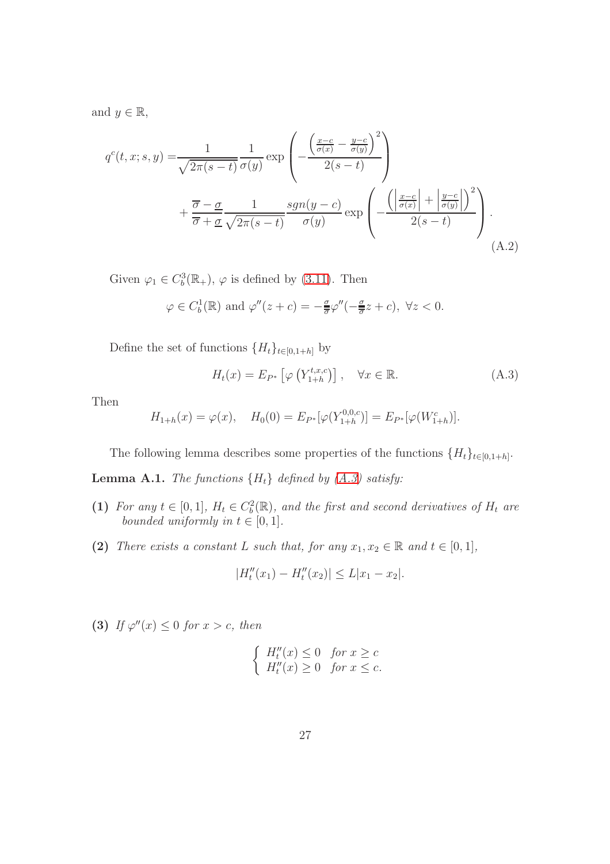and  $y \in \mathbb{R}$ ,

$$
q^{c}(t, x; s, y) = \frac{1}{\sqrt{2\pi(s-t)}} \frac{1}{\sigma(y)} \exp\left(-\frac{\left(\frac{x-c}{\sigma(x)} - \frac{y-c}{\sigma(y)}\right)^{2}}{2(s-t)}\right) + \frac{\overline{\sigma} - \underline{\sigma}}{\overline{\sigma} + \underline{\sigma}} \frac{1}{\sqrt{2\pi(s-t)}} \frac{\operatorname{sgn}(y-c)}{\sigma(y)} \exp\left(-\frac{\left(\left|\frac{x-c}{\sigma(x)}\right| + \left|\frac{y-c}{\sigma(y)}\right|\right)^{2}}{2(s-t)}\right).
$$
\n(A.2)

Given  $\varphi_1 \in C_b^3(\mathbb{R}_+), \varphi$  is defined by [\(3.11\)](#page-24-0). Then

$$
\varphi \in C_b^1(\mathbb{R})
$$
 and  $\varphi''(z+c) = -\frac{\sigma}{\overline{\sigma}}\varphi''(-\frac{\sigma}{\overline{\sigma}}z+c)$ ,  $\forall z < 0$ .

Define the set of functions  $\{H_t\}_{t\in[0,1+h]}$  by

<span id="page-26-1"></span><span id="page-26-0"></span>
$$
H_t(x) = E_{P^*} \left[ \varphi \left( Y_{1+h}^{t,x,c} \right) \right], \quad \forall x \in \mathbb{R}.
$$
 (A.3)

Then

$$
H_{1+h}(x) = \varphi(x), \quad H_0(0) = E_{P^*}[\varphi(Y_{1+h}^{0,0,c})] = E_{P^*}[\varphi(W_{1+h}^c)].
$$

The following lemma describes some properties of the functions  $\{H_t\}_{t\in[0,1+h]}$ .

<span id="page-26-2"></span>**Lemma A.1.** The functions  ${H_t}$  defined by  $(A.3)$  satisfy:

- (1) For any  $t \in [0,1]$ ,  $H_t \in C_b^2(\mathbb{R})$ , and the first and second derivatives of  $H_t$  are bounded uniformly in  $t \in [0, 1]$ .
- (2) There exists a constant L such that, for any  $x_1, x_2 \in \mathbb{R}$  and  $t \in [0,1]$ ,

$$
|H''_t(x_1) - H''_t(x_2)| \le L|x_1 - x_2|.
$$

(3) If  $\varphi''(x) \leq 0$  for  $x > c$ , then

$$
\begin{cases}\nH_t''(x) \le 0 & \text{for } x \ge c \\
H_t''(x) \ge 0 & \text{for } x \le c.\n\end{cases}
$$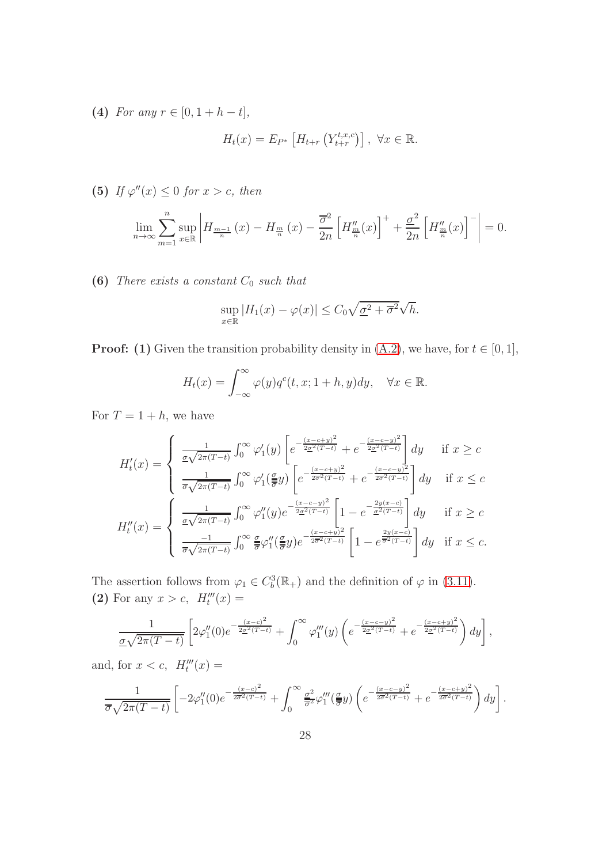(4) For any  $r \in [0, 1 + h - t]$ ,

$$
H_t(x) = E_{P^*} \left[ H_{t+r} \left( Y_{t+r}^{t,x,c} \right) \right], \ \forall x \in \mathbb{R}.
$$

(5) If  $\varphi''(x) \leq 0$  for  $x > c$ , then

$$
\lim_{n \to \infty} \sum_{m=1}^{n} \sup_{x \in \mathbb{R}} \left| H_{\frac{m-1}{n}}(x) - H_{\frac{m}{n}}(x) - \frac{\overline{\sigma}^2}{2n} \left[ H_{\frac{m}{n}}''(x) \right]^+ + \frac{\underline{\sigma}^2}{2n} \left[ H_{\frac{m}{n}}''(x) \right]^- \right| = 0.
$$

(6) There exists a constant  $C_0$  such that

$$
\sup_{x \in \mathbb{R}} |H_1(x) - \varphi(x)| \le C_0 \sqrt{\underline{\sigma}^2 + \overline{\sigma}^2} \sqrt{h}.
$$

**Proof:** (1) Given the transition probability density in  $(A.2)$ , we have, for  $t \in [0, 1]$ ,

$$
H_t(x) = \int_{-\infty}^{\infty} \varphi(y) q^c(t, x; 1+h, y) dy, \quad \forall x \in \mathbb{R}.
$$

For  $T = 1 + h$ , we have

$$
H'_{t}(x) = \begin{cases} \frac{1}{\sigma\sqrt{2\pi(T-t)}} \int_{0}^{\infty} \varphi'_{1}(y) \left[ e^{-\frac{(x-c+y)^{2}}{2\sigma^{2}(T-t)}} + e^{-\frac{(x-c-y)^{2}}{2\sigma^{2}(T-t)}} \right] dy & \text{if } x \geq c\\ \frac{1}{\sigma\sqrt{2\pi(T-t)}} \int_{0}^{\infty} \varphi'_{1}(\frac{\sigma}{\sigma}y) \left[ e^{-\frac{(x-c+y)^{2}}{2\sigma^{2}(T-t)}} + e^{-\frac{(x-c-y)^{2}}{2\sigma^{2}(T-t)}} \right] dy & \text{if } x \leq c \end{cases}
$$

$$
H''_{t}(x) = \begin{cases} \frac{1}{\sigma\sqrt{2\pi(T-t)}} \int_{0}^{\infty} \varphi''_{1}(y) e^{-\frac{(x-c-y)^{2}}{2\sigma^{2}(T-t)}} \left[ 1 - e^{-\frac{2y(x-c)}{\sigma^{2}(T-t)}} \right] dy & \text{if } x \geq c\\ \frac{-1}{\sigma\sqrt{2\pi(T-t)}} \int_{0}^{\infty} \frac{\sigma}{\sigma} \varphi''_{1}(\frac{\sigma}{\sigma}y) e^{-\frac{(x-c+y)^{2}}{2\sigma^{2}(T-t)}} \left[ 1 - e^{\frac{2y(x-c)}{\sigma^{2}(T-t)}} \right] dy & \text{if } x \leq c. \end{cases}
$$

The assertion follows from  $\varphi_1 \in C_b^3(\mathbb{R}_+)$  and the definition of  $\varphi$  in [\(3.11\)](#page-24-0). (2) For any  $x > c$ ,  $H_t^{\prime\prime\prime}(x) =$ 

$$
\frac{1}{\underline{\sigma}\sqrt{2\pi(T-t)}}\left[2\varphi_1''(0)e^{-\frac{(x-c)^2}{2\underline{\sigma}^2(T-t)}}+\int_0^\infty\varphi_1'''(y)\left(e^{-\frac{(x-c-y)^2}{2\underline{\sigma}^2(T-t)}}+e^{-\frac{(x-c+y)^2}{2\underline{\sigma}^2(T-t)}}\right)dy\right],
$$

and, for  $x < c$ ,  $H_t^{\prime\prime\prime}(x) =$ 

$$
\frac{1}{\overline{\sigma}\sqrt{2\pi(T-t)}}\left[-2\varphi_1''(0)e^{-\frac{(x-c)^2}{2\overline{\sigma}^2(T-t)}}+\int_0^\infty\frac{\underline{\sigma}^2}{\overline{\sigma}^2}\varphi_1'''(\frac{\underline{\sigma}}{\overline{\sigma}}y)\left(e^{-\frac{(x-c-y)^2}{2\overline{\sigma}^2(T-t)}}+e^{-\frac{(x-c+y)^2}{2\overline{\sigma}^2(T-t)}}\right)dy\right].
$$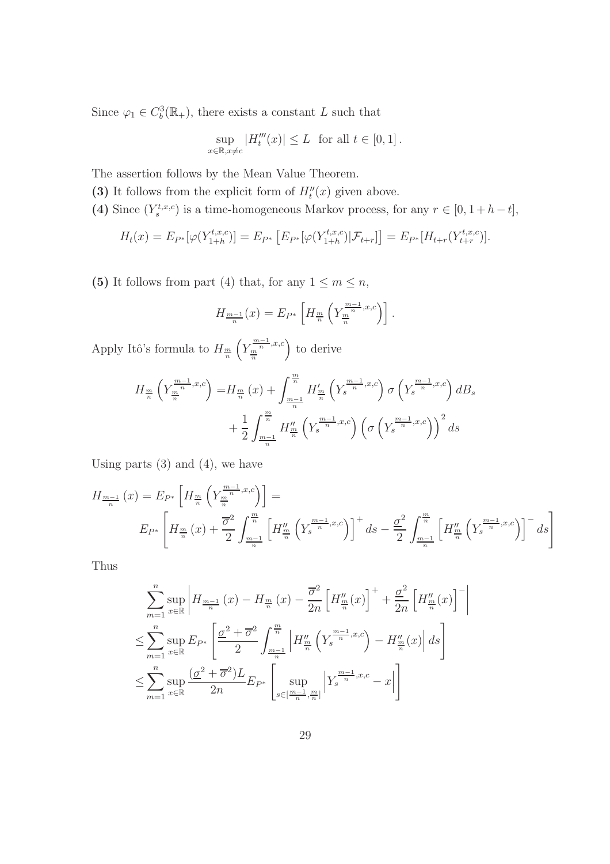Since  $\varphi_1 \in C_b^3(\mathbb{R}_+),$  there exists a constant L such that

$$
\sup_{x \in \mathbb{R}, x \neq c} |H_t'''(x)| \leq L \text{ for all } t \in [0, 1].
$$

The assertion follows by the Mean Value Theorem.

- (3) It follows from the explicit form of  $H''_t(x)$  given above.
- (4) Since  $(Y_s^{t,x,c})$  is a time-homogeneous Markov process, for any  $r \in [0, 1 + h t]$ ,

$$
H_t(x) = E_{P^*}[\varphi(Y_{1+h}^{t,x,c})] = E_{P^*}[E_{P^*}[\varphi(Y_{1+h}^{t,x,c})|\mathcal{F}_{t+r}]] = E_{P^*}[H_{t+r}(Y_{t+r}^{t,x,c})].
$$

(5) It follows from part (4) that, for any  $1 \le m \le n$ ,

$$
H_{\frac{m-1}{n}}(x) = E_{P^*} \left[ H_{\frac{m}{n}} \left( Y_{\frac{m}{n}}^{\frac{m-1}{n},x,c} \right) \right].
$$

Apply Itô's formula to  $H_{\frac{m}{n}}$  $\left(Y^{\frac{m-1}{n},x,c}_m\right)$ to derive

$$
H_{\frac{m}{n}}\left(Y_{\frac{m}{n}}^{\frac{m-1}{n},x,c}\right) = H_{\frac{m}{n}}(x) + \int_{\frac{m-1}{n}}^{\frac{m}{n}} H'_{\frac{m}{n}}\left(Y_{s}^{\frac{m-1}{n},x,c}\right) \sigma\left(Y_{s}^{\frac{m-1}{n},x,c}\right) dB_{s} + \frac{1}{2} \int_{\frac{m-1}{n}}^{\frac{m}{n}} H''_{\frac{m}{n}}\left(Y_{s}^{\frac{m-1}{n},x,c}\right) \left(\sigma\left(Y_{s}^{\frac{m-1}{n},x,c}\right)\right)^{2} ds
$$

Using parts  $(3)$  and  $(4)$ , we have

$$
H_{\frac{m-1}{n}}(x) = E_{P^*} \left[ H_{\frac{m}{n}} \left( Y_{\frac{m}{n}}^{\frac{m-1}{n},x,c} \right) \right] =
$$
  

$$
E_{P^*} \left[ H_{\frac{m}{n}}(x) + \frac{\overline{\sigma}^2}{2} \int_{\frac{m-1}{n}}^{\frac{m}{n}} \left[ H_{\frac{m}{n}}^{\prime\prime} \left( Y_{s}^{\frac{m-1}{n},x,c} \right) \right]^{+} ds - \frac{\underline{\sigma}^2}{2} \int_{\frac{m-1}{n}}^{\frac{m}{n}} \left[ H_{\frac{m}{n}}^{\prime\prime} \left( Y_{s}^{\frac{m-1}{n},x,c} \right) \right]^{-} ds \right]
$$

 $\begin{array}{c} \hline \end{array}$  $\overline{\phantom{a}}$  $\overline{\phantom{a}}$  $\begin{array}{c} \end{array}$ 

Thus

$$
\sum_{m=1}^{n} \sup_{x \in \mathbb{R}} \left| H_{\frac{m-1}{n}}(x) - H_{\frac{m}{n}}(x) - \frac{\overline{\sigma}^2}{2n} \left[ H_{\frac{m}{n}}(x) \right]^+ + \frac{\underline{\sigma}^2}{2n} \left[ H_{\frac{m}{n}}(x) \right]^- \right|
$$
  

$$
\leq \sum_{m=1}^{n} \sup_{x \in \mathbb{R}} E_{P^*} \left[ \frac{\underline{\sigma}^2 + \overline{\sigma}^2}{2} \int_{\frac{m-1}{n}}^{\frac{m}{n}} \left| H_{\frac{m}{n}}(Y_s^{\frac{m-1}{n}, x, c}) - H_{\frac{m}{n}}(x) \right| ds \right]
$$
  

$$
\leq \sum_{m=1}^{n} \sup_{x \in \mathbb{R}} \frac{(\underline{\sigma}^2 + \overline{\sigma}^2)L}{2n} E_{P^*} \left[ \sup_{s \in \left[\frac{m-1}{n}, \frac{m}{n}\right]} \left| Y_s^{\frac{m-1}{n}, x, c} - x \right| \right]
$$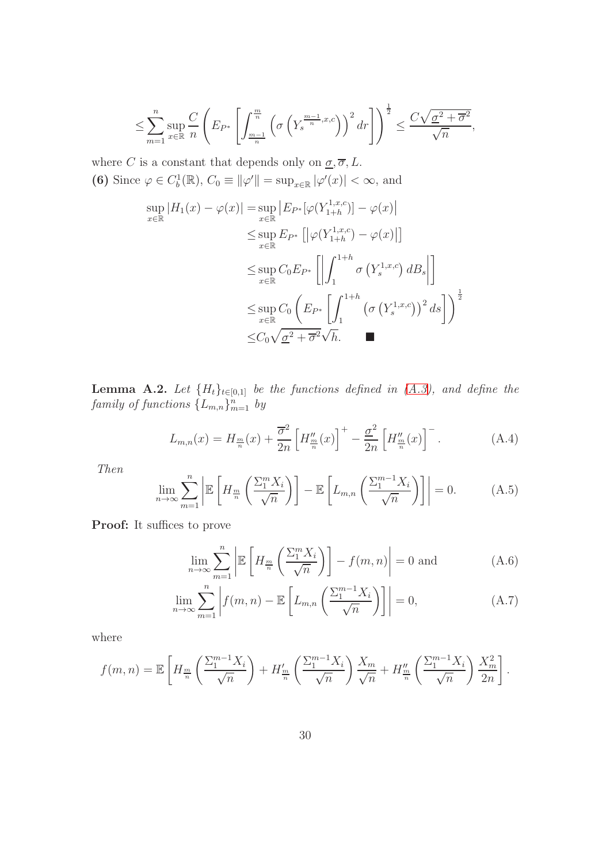$$
\leq \sum_{m=1}^n \sup_{x \in \mathbb{R}} \frac{C}{n} \left( E_{P^*} \left[ \int_{\frac{m-1}{n}}^{\frac{m}{n}} \left( \sigma \left( Y_s^{\frac{m-1}{n}, x, c} \right) \right)^2 dr \right] \right)^{\frac{1}{2}} \leq \frac{C \sqrt{\sigma^2 + \overline{\sigma}^2}}{\sqrt{n}},
$$

where C is a constant that depends only on  $\underline{\sigma}, \overline{\sigma}, L$ . (6) Since  $\varphi \in C_b^1(\mathbb{R})$ ,  $C_0 \equiv ||\varphi'|| = \sup_{x \in \mathbb{R}} |\varphi'(x)| < \infty$ , and

$$
\sup_{x \in \mathbb{R}} |H_1(x) - \varphi(x)| = \sup_{x \in \mathbb{R}} |E_{P^*}[\varphi(Y_{1+h}^{1,x,c})] - \varphi(x)|
$$
  
\n
$$
\leq \sup_{x \in \mathbb{R}} E_{P^*} [|\varphi(Y_{1+h}^{1,x,c}) - \varphi(x)|]
$$
  
\n
$$
\leq \sup_{x \in \mathbb{R}} C_0 E_{P^*} [|\int_1^{1+h} \sigma(Y_s^{1,x,c}) dB_s|]
$$
  
\n
$$
\leq \sup_{x \in \mathbb{R}} C_0 (E_{P^*} [\int_1^{1+h} (\sigma(Y_s^{1,x,c}))^2 ds])^{\frac{1}{2}}
$$
  
\n
$$
\leq C_0 \sqrt{\underline{\sigma}^2 + \overline{\sigma}^2} \sqrt{h}.
$$

<span id="page-29-2"></span>**Lemma A.2.** Let  $\{H_t\}_{t\in[0,1]}$  be the functions defined in  $(A.3)$ , and define the family of functions  $\{L_{m,n}\}_{m=1}^n$  by

<span id="page-29-3"></span>
$$
L_{m,n}(x) = H_{\frac{m}{n}}(x) + \frac{\overline{\sigma}^2}{2n} \left[ H_{\frac{m}{n}}(x) \right]^+ - \frac{\underline{\sigma}^2}{2n} \left[ H_{\frac{m}{n}}(x) \right]^-.
$$
 (A.4)

Then

<span id="page-29-4"></span>
$$
\lim_{n \to \infty} \sum_{m=1}^{n} \left| \mathbb{E} \left[ H_m^{\mathcal{I}} \left( \frac{\sum_{i=1}^{m} X_i}{\sqrt{n}} \right) \right] - \mathbb{E} \left[ L_{m,n} \left( \frac{\sum_{i=1}^{m-1} X_i}{\sqrt{n}} \right) \right] \right| = 0. \tag{A.5}
$$

Proof: It suffices to prove

<span id="page-29-1"></span><span id="page-29-0"></span>
$$
\lim_{n \to \infty} \sum_{m=1}^{n} \left| \mathbb{E} \left[ H_{\frac{m}{n}} \left( \frac{\sum_{1}^{m} X_i}{\sqrt{n}} \right) \right] - f(m, n) \right| = 0 \text{ and } (A.6)
$$

$$
\lim_{n \to \infty} \sum_{m=1}^{n} \left| f(m, n) - \mathbb{E}\left[L_{m,n}\left(\frac{\sum_{1}^{m-1} X_i}{\sqrt{n}}\right)\right] \right| = 0,
$$
\n(A.7)

where

$$
f(m,n) = \mathbb{E}\left[H_{\frac{m}{n}}\left(\frac{\sum_{1}^{m-1}X_i}{\sqrt{n}}\right) + H'_{\frac{m}{n}}\left(\frac{\sum_{1}^{m-1}X_i}{\sqrt{n}}\right)\frac{X_m}{\sqrt{n}} + H''_{\frac{m}{n}}\left(\frac{\sum_{1}^{m-1}X_i}{\sqrt{n}}\right)\frac{X_m^2}{2n}\right].
$$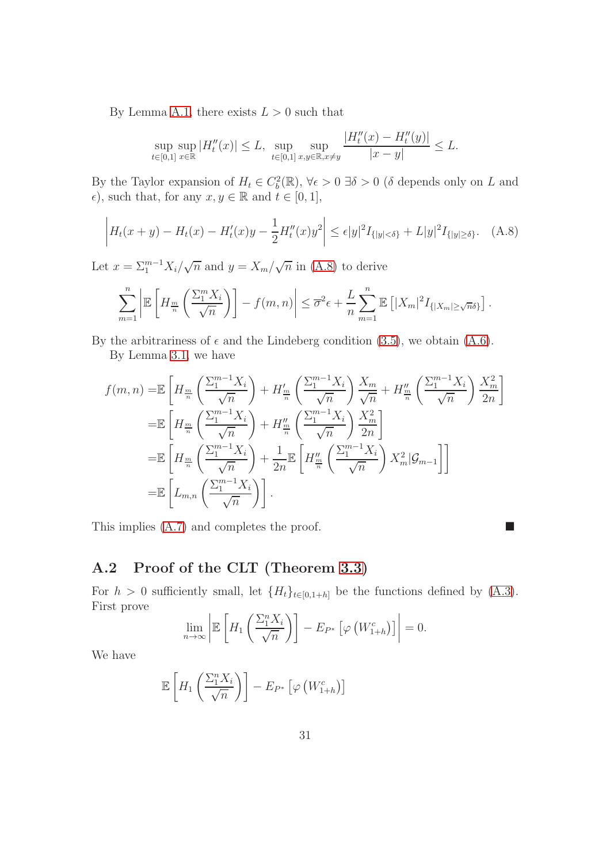By Lemma [A.1,](#page-26-2) there exists  $L > 0$  such that

$$
\sup_{t \in [0,1]} \sup_{x \in \mathbb{R}} |H''_t(x)| \le L, \sup_{t \in [0,1]} \sup_{x,y \in \mathbb{R}, x \ne y} \frac{|H''_t(x) - H''_t(y)|}{|x - y|} \le L.
$$

By the Taylor expansion of  $H_t \in C_b^2(\mathbb{R})$ ,  $\forall \epsilon > 0$   $\exists \delta > 0$  ( $\delta$  depends only on L and  $\epsilon$ ), such that, for any  $x, y \in \mathbb{R}$  and  $t \in [0, 1]$ ,

<span id="page-30-0"></span>
$$
\left| H_t(x+y) - H_t(x) - H'_t(x)y - \frac{1}{2}H''_t(x)y^2 \right| \le \epsilon |y|^2 I_{\{|y| < \delta\}} + L|y|^2 I_{\{|y| \ge \delta\}}.
$$
 (A.8)

Let  $x = \sum_{1}^{m-1} X_i / \sqrt{n}$  and  $y = X_m / \sqrt{n}$  in [\(A.8\)](#page-30-0) to derive

$$
\sum_{m=1}^n \left| \mathbb{E}\left[H_{\frac{m}{n}}\left(\frac{\sum_{1}^m X_i}{\sqrt{n}}\right)\right] - f(m,n) \right| \leq \overline{\sigma}^2 \epsilon + \frac{L}{n} \sum_{m=1}^n \mathbb{E}\left[|X_m|^2 I_{\{|X_m| \geq \sqrt{n}\delta\}}\right].
$$

By the arbitrariness of  $\epsilon$  and the Lindeberg condition [\(3.5\)](#page-20-2), we obtain [\(A.6\)](#page-29-0). By Lemma [3.1,](#page-21-2) we have

$$
f(m,n) = \mathbb{E}\left[H_{\frac{m}{n}}\left(\frac{\sum_{1}^{m-1}X_{i}}{\sqrt{n}}\right) + H_{\frac{m}{n}}'\left(\frac{\sum_{1}^{m-1}X_{i}}{\sqrt{n}}\right)\frac{X_{m}}{\sqrt{n}} + H_{\frac{m}{n}}''\left(\frac{\sum_{1}^{m-1}X_{i}}{\sqrt{n}}\right)\frac{X_{m}^{2}}{2n}\right]
$$
  
\n
$$
= \mathbb{E}\left[H_{\frac{m}{n}}\left(\frac{\sum_{1}^{m-1}X_{i}}{\sqrt{n}}\right) + H_{\frac{m}{n}}''\left(\frac{\sum_{1}^{m-1}X_{i}}{\sqrt{n}}\right)\frac{X_{m}^{2}}{2n}\right]
$$
  
\n
$$
= \mathbb{E}\left[H_{\frac{m}{n}}\left(\frac{\sum_{1}^{m-1}X_{i}}{\sqrt{n}}\right) + \frac{1}{2n}\mathbb{E}\left[H_{\frac{m}{n}}''\left(\frac{\sum_{1}^{m-1}X_{i}}{\sqrt{n}}\right)X_{m}^{2}|\mathcal{G}_{m-1}\right]\right]
$$
  
\n
$$
= \mathbb{E}\left[L_{m,n}\left(\frac{\sum_{1}^{m-1}X_{i}}{\sqrt{n}}\right)\right].
$$

This implies  $(A.7)$  and completes the proof.

## <span id="page-30-1"></span>A.2 Proof of the CLT (Theorem [3.3\)](#page-24-2)

For  $h > 0$  sufficiently small, let  $\{H_t\}_{t\in [0,1+h]}$  be the functions defined by  $(A.3)$ . First prove

$$
\lim_{n \to \infty} \left| \mathbb{E} \left[ H_1 \left( \frac{\sum_{1}^{n} X_i}{\sqrt{n}} \right) \right] - E_{P^*} \left[ \varphi \left( W_{1+h}^c \right) \right] \right| = 0.
$$

We have

$$
\mathbb{E}\left[H_1\left(\frac{\sum_{i=1}^{n}X_i}{\sqrt{n}}\right)\right] - E_{P^*}\left[\varphi\left(W_{1+h}^c\right)\right]
$$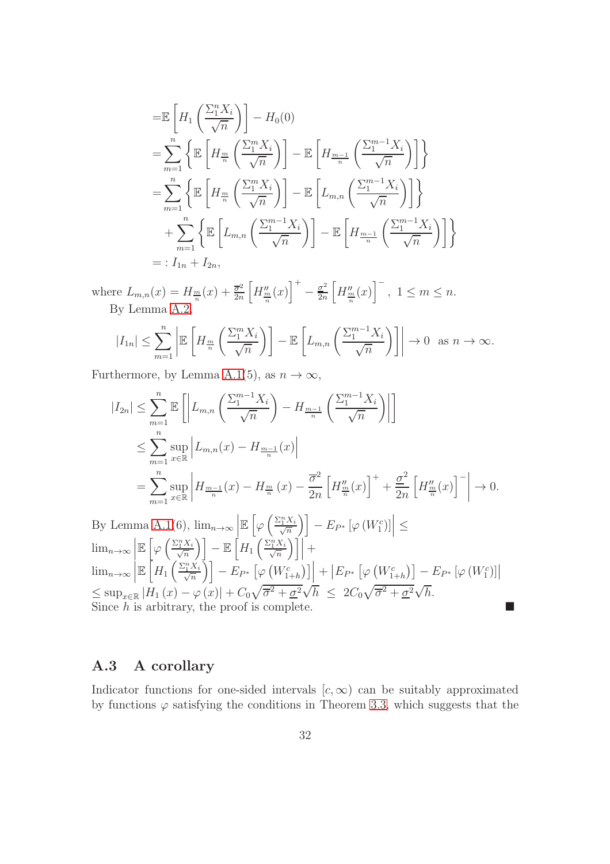$$
\begin{split}\n&= \mathbb{E}\left[H_1\left(\frac{\sum_{i=1}^{n} X_i}{\sqrt{n}}\right)\right] - H_0(0) \\
&= \sum_{m=1}^{n} \left\{ \mathbb{E}\left[H_{\frac{m}{n}}\left(\frac{\sum_{i=1}^{m} X_i}{\sqrt{n}}\right)\right] - \mathbb{E}\left[H_{\frac{m-1}{n}}\left(\frac{\sum_{i=1}^{m-1} X_i}{\sqrt{n}}\right)\right] \right\} \\
&= \sum_{m=1}^{n} \left\{ \mathbb{E}\left[H_{\frac{m}{n}}\left(\frac{\sum_{i=1}^{m} X_i}{\sqrt{n}}\right)\right] - \mathbb{E}\left[L_{m,n}\left(\frac{\sum_{i=1}^{m-1} X_i}{\sqrt{n}}\right)\right] \right\} \\
&+ \sum_{m=1}^{n} \left\{ \mathbb{E}\left[L_{m,n}\left(\frac{\sum_{i=1}^{m-1} X_i}{\sqrt{n}}\right)\right] - \mathbb{E}\left[H_{\frac{m-1}{n}}\left(\frac{\sum_{i=1}^{m-1} X_i}{\sqrt{n}}\right)\right] \right\} \\
&= : I_{1n} + I_{2n},\n\end{split}
$$

where  $L_{m,n}(x) = H_{\frac{m}{n}}(x) + \frac{\overline{\sigma}^2}{2n}$  $2n$  $\left[H_{\frac{m}{n}}^{\prime\prime}(x)\right]^{+}$  $-\frac{\sigma^2}{2n}$  $2n$  $\left[H_{\frac{m}{n}}^{\prime\prime}(x)\right]^{-}$ ,  $1 \leq m \leq n$ . By Lemma [A.2,](#page-29-2)

$$
|I_{1n}| \leq \sum_{m=1}^{n} \left| \mathbb{E}\left[H_{\frac{m}{n}}\left(\frac{\sum_{1}^{m} X_i}{\sqrt{n}}\right)\right] - \mathbb{E}\left[L_{m,n}\left(\frac{\sum_{1}^{m-1} X_i}{\sqrt{n}}\right)\right] \right| \to 0 \text{ as } n \to \infty.
$$

Furthermore, by Lemma [A.1\(](#page-26-2)5), as  $n \to \infty$ ,

$$
|I_{2n}| \leq \sum_{m=1}^{n} \mathbb{E}\left[\left|L_{m,n}\left(\frac{\sum_{1}^{m-1}X_i}{\sqrt{n}}\right) - H_{\frac{m-1}{n}}\left(\frac{\sum_{1}^{m-1}X_i}{\sqrt{n}}\right)\right|\right]
$$
  

$$
\leq \sum_{m=1}^{n} \sup_{x \in \mathbb{R}} \left|L_{m,n}(x) - H_{\frac{m-1}{n}}(x)\right|
$$
  

$$
= \sum_{m=1}^{n} \sup_{x \in \mathbb{R}} \left|H_{\frac{m-1}{n}}(x) - H_{\frac{m}{n}}(x) - \frac{\overline{\sigma}^2}{2n}\left[H_{\frac{m}{n}}''(x)\right]^{+} + \frac{\underline{\sigma}^2}{2n}\left[H_{\frac{m}{n}}''(x)\right]^{-} \right| \to 0.
$$

By Lemma [A.1\(](#page-26-2)6),  $\lim_{n\to\infty}$  $\mathbb{E}\left[\varphi\left(\frac{\Sigma_1^n X_i}{\sqrt{n}}\right)\right] - E_{P^*}\left[\varphi\left(W_1^c\right)\right] \leq$  $\lim_{n\to\infty}$  $\mathbb{E}\left[\varphi\left(\frac{\Sigma_1^nX_i}{\sqrt{n}}\right)\right]-\mathbb{E}\left[H_1\left(\frac{\Sigma_1^nX_i}{\sqrt{n}}\right)\right]$  $\int \int \left| + \right|$  $\lim_{n\to\infty}\Big|$  $\mathbb{E}\left[H_1\left(\frac{\Sigma_1^nX_i}{\sqrt{n}}\right)\right]-E_{P^*}\left[\varphi\left(W^c_{1+h}\right)\right]\right]+ \left|E_{P^*}\left[\varphi\left(W^c_{1+h}\right)\right]-E_{P^*}\left[\varphi\left(W^c_{1}\right)\right]\right|$  $\leq \sup_{x\in\mathbb{R}}|H_1(x)-\varphi(x)|+C_0\sqrt{\overline{\sigma}^2+\underline{\sigma}^2}\sqrt{h} \leq 2C_0\sqrt{\overline{\sigma}^2+\underline{\sigma}^2}\sqrt{h}.$ Since h is arbitrary, the proof is complete.

### <span id="page-31-0"></span>A.3 A corollary

Indicator functions for one-sided intervals  $[c, \infty)$  can be suitably approximated by functions  $\varphi$  satisfying the conditions in Theorem [3.3,](#page-24-2) which suggests that the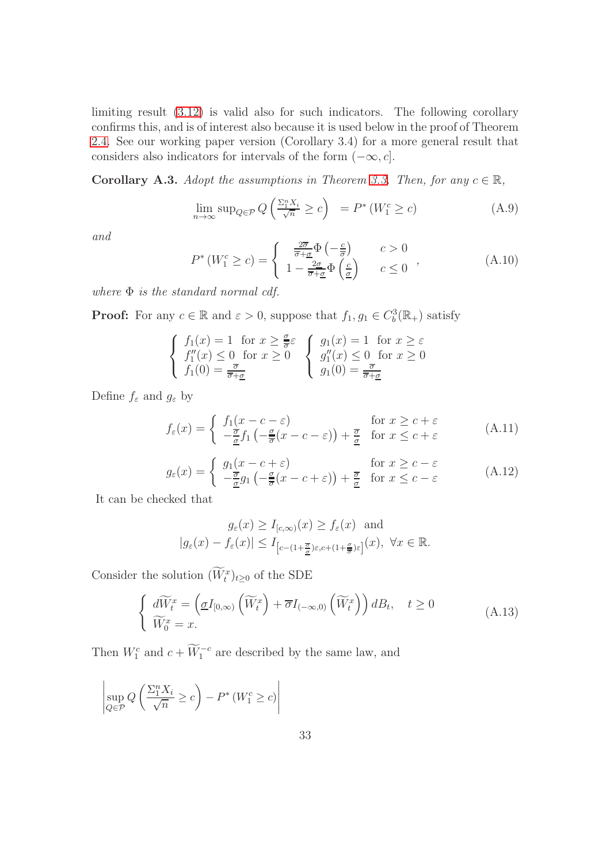limiting result [\(3.12\)](#page-24-1) is valid also for such indicators. The following corollary confirms this, and is of interest also because it is used below in the proof of Theorem [2.4.](#page-14-1) See our working paper version (Corollary 3.4) for a more general result that considers also indicators for intervals of the form  $(-\infty, c]$ .

<span id="page-32-2"></span>**Corollary A.3.** Adopt the assumptions in Theorem [3.3.](#page-24-2) Then, for any  $c \in \mathbb{R}$ ,

<span id="page-32-0"></span>
$$
\lim_{n \to \infty} \sup_{Q \in \mathcal{P}} Q\left(\frac{\Sigma_1^n X_i}{\sqrt{n}} \ge c\right) = P^* \left(W_1^c \ge c\right) \tag{A.9}
$$

and

<span id="page-32-1"></span>
$$
P^*(W_1^c \ge c) = \begin{cases} \frac{2\overline{\sigma}}{\overline{\sigma} + \underline{\sigma}} \Phi\left(-\frac{c}{\overline{\sigma}}\right) & c > 0\\ 1 - \frac{2\underline{\sigma}}{\overline{\sigma} + \underline{\sigma}} \Phi\left(\frac{c}{\underline{\sigma}}\right) & c \le 0 \end{cases}, \tag{A.10}
$$

where  $\Phi$  is the standard normal cdf.

**Proof:** For any  $c \in \mathbb{R}$  and  $\varepsilon > 0$ , suppose that  $f_1, g_1 \in C_b^3(\mathbb{R}_+)$  satisfy

$$
\begin{cases}\nf_1(x) = 1 \text{ for } x \ge \frac{\sigma}{\overline{\sigma}}\varepsilon \\
f_1''(x) \le 0 \text{ for } x \ge 0 \\
f_1(0) = \frac{\overline{\sigma}}{\overline{\sigma} + \underline{\sigma}}\n\end{cases}\n\begin{cases}\ng_1(x) = 1 \text{ for } x \ge \varepsilon \\
g_1''(x) \le 0 \text{ for } x \ge 0 \\
g_1(0) = \frac{\overline{\sigma}}{\overline{\sigma} + \underline{\sigma}}\n\end{cases}
$$

Define  $f_{\varepsilon}$  and  $g_{\varepsilon}$  by

$$
f_{\varepsilon}(x) = \begin{cases} f_1(x - c - \varepsilon) & \text{for } x \ge c + \varepsilon \\ -\frac{\overline{\sigma}}{\underline{\sigma}} f_1 \left( -\frac{\underline{\sigma}}{\overline{\sigma}} (x - c - \varepsilon) \right) + \frac{\overline{\sigma}}{\underline{\sigma}} & \text{for } x \le c + \varepsilon \end{cases}
$$
 (A.11)

$$
g_{\varepsilon}(x) = \begin{cases} g_1(x - c + \varepsilon) & \text{for } x \ge c - \varepsilon \\ -\frac{\overline{\sigma}}{\underline{\sigma}} g_1 \left( -\frac{\underline{\sigma}}{\overline{\sigma}} (x - c + \varepsilon) \right) + \frac{\overline{\sigma}}{\underline{\sigma}} & \text{for } x \le c - \varepsilon \end{cases}
$$
 (A.12)

It can be checked that

$$
g_{\varepsilon}(x) \ge I_{[c,\infty)}(x) \ge f_{\varepsilon}(x)
$$
 and  
 $|g_{\varepsilon}(x) - f_{\varepsilon}(x)| \le I_{[c-(1+\frac{\overline{\sigma}}{\overline{\sigma}})\varepsilon,c+(1+\frac{\sigma}{\overline{\sigma}})\varepsilon]}(x), \ \forall x \in \mathbb{R}.$ 

Consider the solution  $(W_t^x)_{t\geq 0}$  of the SDE

$$
\begin{cases}\n\widetilde{dW}_t^x = \left(\underline{\sigma}I_{[0,\infty)}\left(\widetilde{W}_t^x\right) + \overline{\sigma}I_{(-\infty,0)}\left(\widetilde{W}_t^x\right)\right)dB_t, \quad t \ge 0 \\
\widetilde{W}_0^x = x.\n\end{cases} \tag{A.13}
$$

Then  $W_1^c$  and  $c + \widetilde{W}_1^{-c}$  are described by the same law, and

$$
\left| \sup_{Q \in \mathcal{P}} Q\left(\frac{\Sigma_1^n X_i}{\sqrt{n}} \ge c\right) - P^* \left(W_1^c \ge c\right) \right|
$$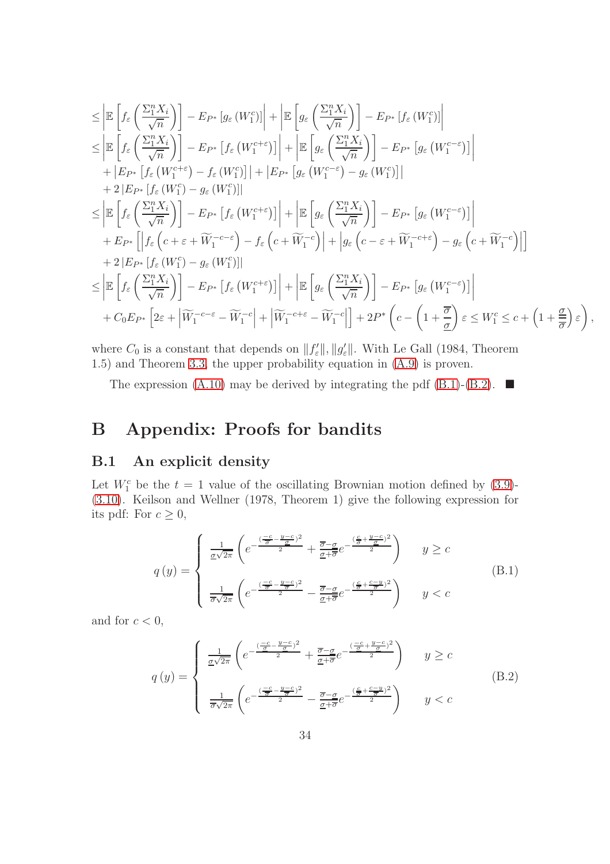$$
\leq \left| \mathbb{E} \left[ f_{\varepsilon} \left( \frac{\Sigma_{1}^{n} X_{i}}{\sqrt{n}} \right) \right] - E_{P^{*}} \left[ g_{\varepsilon} \left( W_{1}^{c} \right) \right] \right| + \left| \mathbb{E} \left[ g_{\varepsilon} \left( \frac{\Sigma_{1}^{n} X_{i}}{\sqrt{n}} \right) \right] - E_{P^{*}} \left[ f_{\varepsilon} \left( W_{1}^{c} \right) \right] \right| \n\leq \left| \mathbb{E} \left[ f_{\varepsilon} \left( \frac{\Sigma_{1}^{n} X_{i}}{\sqrt{n}} \right) \right] - E_{P^{*}} \left[ f_{\varepsilon} \left( W_{1}^{c + \varepsilon} \right) \right] \right| + \left| \mathbb{E} \left[ g_{\varepsilon} \left( \frac{\Sigma_{1}^{n} X_{i}}{\sqrt{n}} \right) \right] - E_{P^{*}} \left[ g_{\varepsilon} \left( W_{1}^{c - \varepsilon} \right) \right] \right| \n+ \left| E_{P^{*}} \left[ f_{\varepsilon} \left( W_{1}^{c} \right) - f_{\varepsilon} \left( W_{1}^{c} \right) \right] \right| + \left| E_{P^{*}} \left[ g_{\varepsilon} \left( W_{1}^{c - \varepsilon} \right) - g_{\varepsilon} \left( W_{1}^{c} \right) \right] \right| \n+ 2 \left| E_{P^{*}} \left[ f_{\varepsilon} \left( W_{1}^{c} \right) - g_{\varepsilon} \left( W_{1}^{c + \varepsilon} \right) \right] \right| + \left| \mathbb{E} \left[ g_{\varepsilon} \left( \frac{\Sigma_{1}^{n} X_{i}}{\sqrt{n}} \right) \right] - E_{P^{*}} \left[ g_{\varepsilon} \left( W_{1}^{c - \varepsilon} \right) \right] \right| \n+ E_{P^{*}} \left[ \left| f_{\varepsilon} \left( c + \varepsilon + \widetilde{W}_{1}^{-c - \varepsilon} \right) - f_{\varepsilon} \left( c + \widetilde{W}_{1}^{-c} \right) \right] \right| + \left| g_{\varepsilon} \left( c - \varepsilon + \widetilde{W}_{1}^{-c + \
$$

where  $C_0$  is a constant that depends on  $||f'_{\varepsilon}||$ ,  $||g'_{\varepsilon}||$ . With Le Gall (1984, Theorem 1.5) and Theorem [3.3,](#page-24-2) the upper probability equation in [\(A.9\)](#page-32-0) is proven.

The expression [\(A.10\)](#page-32-1) may be derived by integrating the pdf [\(B.1\)](#page-33-1)-[\(B.2\)](#page-33-2).  $\blacksquare$ 

## <span id="page-33-0"></span>B Appendix: Proofs for bandits

### B.1 An explicit density

Let  $W_1^c$  be the  $t = 1$  value of the oscillating Brownian motion defined by [\(3.9\)](#page-23-3)-[\(3.10\)](#page-23-4). Keilson and Wellner (1978, Theorem 1) give the following expression for its pdf: For  $c \geq 0$ ,

<span id="page-33-1"></span>
$$
q\left(y\right) = \begin{cases} \frac{1}{\underline{\sigma}\sqrt{2\pi}} \left( e^{-\frac{\left(-\underline{c} - \underline{y} - c\right)^2}{2}} + \frac{\overline{\sigma} - \underline{\sigma}}{\underline{\sigma} + \overline{\sigma}} e^{-\frac{\left(\frac{\underline{c}}{\underline{\sigma}} + \frac{y - c}{\underline{\sigma}}\right)^2}{2}} \right) & y \geq c\\ \frac{1}{\overline{\sigma}\sqrt{2\pi}} \left( e^{-\frac{\left(-\underline{c} - \underline{y} - c\right)^2}{2}} - \frac{\overline{\sigma} - \underline{\sigma}}{\underline{\sigma} + \overline{\sigma}} e^{-\frac{\left(\frac{\underline{c}}{\underline{\sigma}} + \frac{c - y}{\overline{\sigma}}\right)^2}{2}} \right) & y < c \end{cases} \tag{B.1}
$$

and for  $c < 0$ ,

<span id="page-33-2"></span>
$$
q\left(y\right) = \begin{cases} \frac{1}{\underline{\sigma}\sqrt{2\pi}} \left( e^{-\frac{\left(-\underline{c} - \underline{y} - \underline{c}\right)^2}{2}} + \frac{\overline{\sigma} - \underline{\sigma}}{\underline{\sigma} + \overline{\sigma}} e^{-\frac{\left(-\underline{c} - \underline{y} - \underline{c}\right)^2}{2}} \right) & y \geq c\\ \frac{1}{\overline{\sigma}\sqrt{2\pi}} \left( e^{-\frac{\left(-\underline{c} - \underline{y} - \underline{c}\right)^2}{2}} - \frac{\overline{\sigma} - \underline{\sigma}}{\underline{\sigma} + \overline{\sigma}} e^{-\frac{\left(\frac{\underline{c}}{\underline{\sigma}} + \frac{\underline{c} - \underline{y}}{\underline{\sigma}}\right)^2}{2}} \right) & y < c \end{cases} \tag{B.2}
$$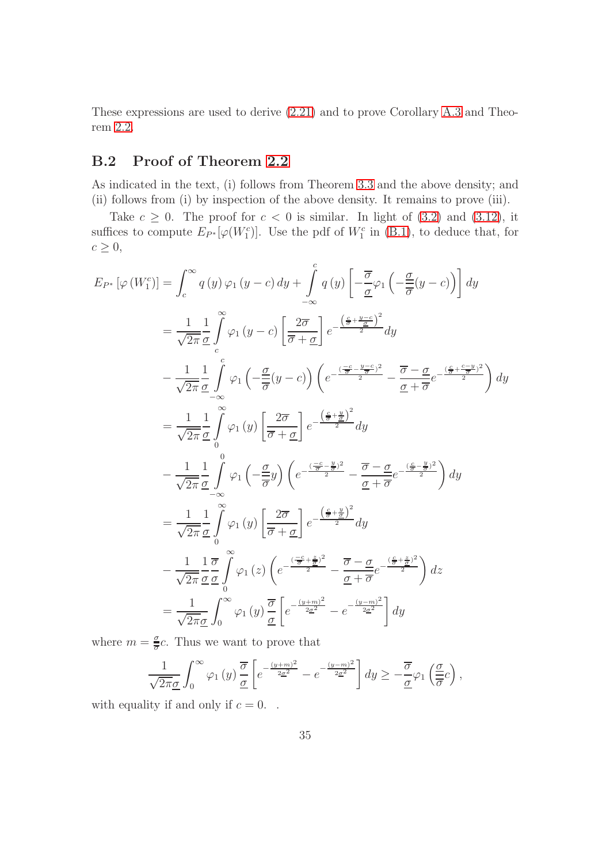These expressions are used to derive [\(2.21\)](#page-11-0) and to prove Corollary [A.3](#page-32-2) and Theorem [2.2.](#page-10-3)

## B.2 Proof of Theorem [2.2](#page-10-3)

As indicated in the text, (i) follows from Theorem [3.3](#page-24-2) and the above density; and (ii) follows from (i) by inspection of the above density. It remains to prove (iii).

Take  $c \geq 0$ . The proof for  $c < 0$  is similar. In light of [\(3.2\)](#page-19-1) and [\(3.12\)](#page-24-1), it suffices to compute  $E_{P^*}[\varphi(W_1^c)]$ . Use the pdf of  $W_1^c$  in [\(B.1\)](#page-33-1), to deduce that, for  $c \geq 0$ ,

$$
E_{P^*} [\varphi(W_1^c)] = \int_c^{\infty} q(y) \varphi_1(y-c) dy + \int_{-\infty}^c q(y) \left[ -\frac{\overline{\sigma}}{\underline{\sigma}} \varphi_1 \left( -\frac{\underline{\sigma}}{\overline{\sigma}} (y-c) \right) \right] dy
$$
  
\n
$$
= \frac{1}{\sqrt{2\pi}} \frac{1}{\underline{\sigma}} \int_c^{\infty} \varphi_1(y-c) \left[ \frac{2\overline{\sigma}}{\overline{\sigma} + \underline{\sigma}} \right] e^{-\frac{\left(\frac{c}{\overline{\sigma}} + \frac{y-c}{\underline{\sigma}}\right)^2}{2}} dy
$$
  
\n
$$
- \frac{1}{\sqrt{2\pi}} \frac{1}{\underline{\sigma}} \int_c^c \varphi_1 \left( -\frac{\underline{\sigma}}{\overline{\sigma}} (y-c) \right) \left( e^{-\frac{\left(\frac{-c}{\overline{\sigma}} - \frac{y-c}{\overline{\sigma}}\right)^2}{2}} - \frac{\overline{\sigma} - \underline{\sigma}}{\underline{\sigma} + \overline{\sigma}} e^{-\frac{\left(\frac{c}{\overline{\sigma}} + \frac{c - y}{\overline{\sigma}}\right)^2}{2}} \right) dy
$$
  
\n
$$
= \frac{1}{\sqrt{2\pi}} \frac{1}{\underline{\sigma}} \int_c^{\infty} \varphi_1(y) \left[ \frac{2\overline{\sigma}}{\overline{\sigma} + \underline{\sigma}} \right] e^{-\frac{\left(\frac{c}{\overline{\sigma}} + \frac{y}{\overline{\sigma}}\right)^2}{2}} dy
$$
  
\n
$$
- \frac{1}{\sqrt{2\pi}} \frac{1}{\underline{\sigma}} \int_{-\infty}^0 \varphi_1 \left( -\frac{\underline{\sigma}}{\overline{\sigma}} y \right) \left( e^{-\frac{\left(\frac{-c}{\overline{\sigma}} - \frac{y}{\overline{\sigma}}\right)^2}{2}} - \frac{\overline{\sigma} - \underline{\sigma}}{\underline{\sigma} + \overline{\sigma}} e^{-\frac{\left(\frac{c}{\overline{\sigma}} - \frac{y}{\overline{\sigma}}\right)^2}{2}} \right) dy
$$
  
\n
$$
= \frac{1}{\sqrt{2\pi}} \frac{1}{\underline{\sigma}} \int_0^{\infty} \varphi_1(y) \left[ \frac{2\overline{\sigma}}{\overline{\sigma} + \underline{\sigma
$$

where  $m = \frac{\sigma}{\overline{a}}$  $\frac{\sigma}{\sigma}c$ . Thus we want to prove that

$$
\frac{1}{\sqrt{2\pi}\underline{\sigma}}\int_0^\infty \varphi_1\left(y\right)\frac{\overline{\sigma}}{\underline{\sigma}}\left[e^{-\frac{(y+m)^2}{2\underline{\sigma}^2}}-e^{-\frac{(y-m)^2}{2\underline{\sigma}^2}}\right]dy\geq -\frac{\overline{\sigma}}{\underline{\sigma}}\varphi_1\left(\frac{\underline{\sigma}}{\overline{\sigma}}c\right),\,
$$

with equality if and only if  $c = 0$ .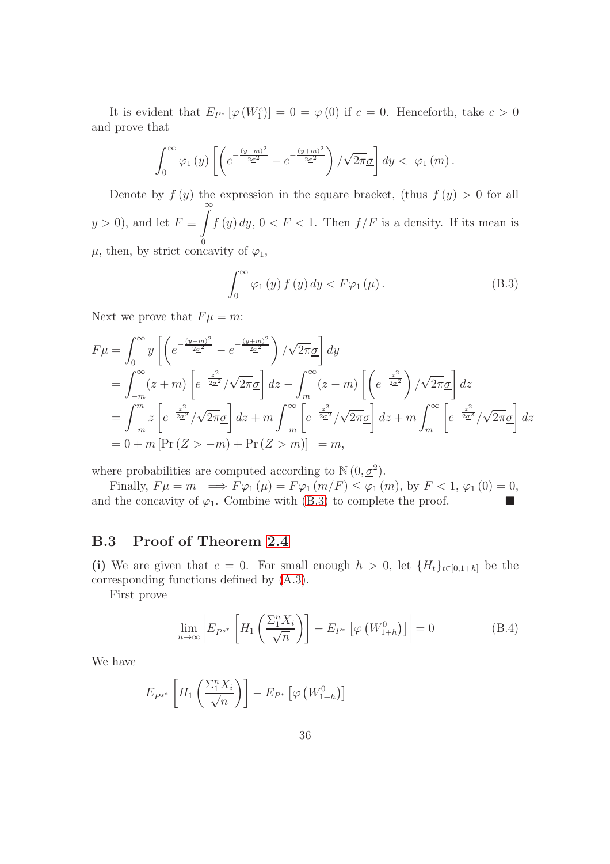It is evident that  $E_{P^*}[\varphi(W_1^c)] = 0 = \varphi(0)$  if  $c = 0$ . Henceforth, take  $c > 0$ and prove that

$$
\int_0^\infty \varphi_1\left(y\right) \left[ \left( e^{-\frac{(y-m)^2}{2\underline{\sigma}^2}} - e^{-\frac{(y+m)^2}{2\underline{\sigma}^2}} \right) / \sqrt{2\pi} \underline{\sigma} \right] dy < \varphi_1\left(m\right).
$$

Denote by  $f(y)$  the expression in the square bracket, (thus  $f(y) > 0$  for all  $y > 0$ , and let  $F \equiv$  $\int_0^\infty$  $\theta$  $f(y) dy, 0 < F < 1$ . Then  $f/F$  is a density. If its mean is  $\mu$ , then, by strict concavity of  $\varphi_1$ ,

<span id="page-35-0"></span>
$$
\int_0^\infty \varphi_1(y) f(y) dy < F \varphi_1(\mu).
$$
 (B.3)

Next we prove that  $F\mu = m$ :

$$
F\mu = \int_0^\infty y \left[ \left( e^{-\frac{(y-m)^2}{2\sigma^2}} - e^{-\frac{(y+m)^2}{2\sigma^2}} \right) / \sqrt{2\pi}\sigma \right] dy
$$
  
\n
$$
= \int_{-m}^\infty (z+m) \left[ e^{-\frac{z^2}{2\sigma^2}} / \sqrt{2\pi}\sigma \right] dz - \int_m^\infty (z-m) \left[ \left( e^{-\frac{z^2}{2\sigma^2}} \right) / \sqrt{2\pi}\sigma \right] dz
$$
  
\n
$$
= \int_{-m}^m z \left[ e^{-\frac{z^2}{2\sigma^2}} / \sqrt{2\pi}\sigma \right] dz + m \int_{-m}^\infty \left[ e^{-\frac{z^2}{2\sigma^2}} / \sqrt{2\pi}\sigma \right] dz + m \int_m^\infty \left[ e^{-\frac{z^2}{2\sigma^2}} / \sqrt{2\pi}\sigma \right] dz
$$
  
\n
$$
= 0 + m \left[ \Pr(Z > -m) + \Pr(Z > m) \right] = m,
$$

where probabilities are computed according to  $\mathbb{N}(0, \underline{\sigma}^2)$ .

Finally,  $F\mu = m \implies F\varphi_1(\mu) = F\varphi_1(m/F) \leq \varphi_1(m)$ , by  $F < 1$ ,  $\varphi_1(0) = 0$ , and the concavity of  $\varphi_1$ . Combine with [\(B.3\)](#page-35-0) to complete the proof.

### B.3 Proof of Theorem [2.4](#page-14-1)

(i) We are given that  $c = 0$ . For small enough  $h > 0$ , let  $\{H_t\}_{t\in[0,1+h]}$  be the corresponding functions defined by [\(A.3\)](#page-26-0).

First prove

<span id="page-35-1"></span>
$$
\lim_{n \to \infty} \left| E_{P^{s^*}} \left[ H_1 \left( \frac{\Sigma_1^n X_i}{\sqrt{n}} \right) \right] - E_{P^*} \left[ \varphi \left( W_{1+h}^0 \right) \right] \right| = 0 \tag{B.4}
$$

We have

$$
E_{P^{s^*}}\left[H_1\left(\frac{\sum_{1}^{n}X_i}{\sqrt{n}}\right)\right] - E_{P^*}\left[\varphi\left(W_{1+h}^0\right)\right]
$$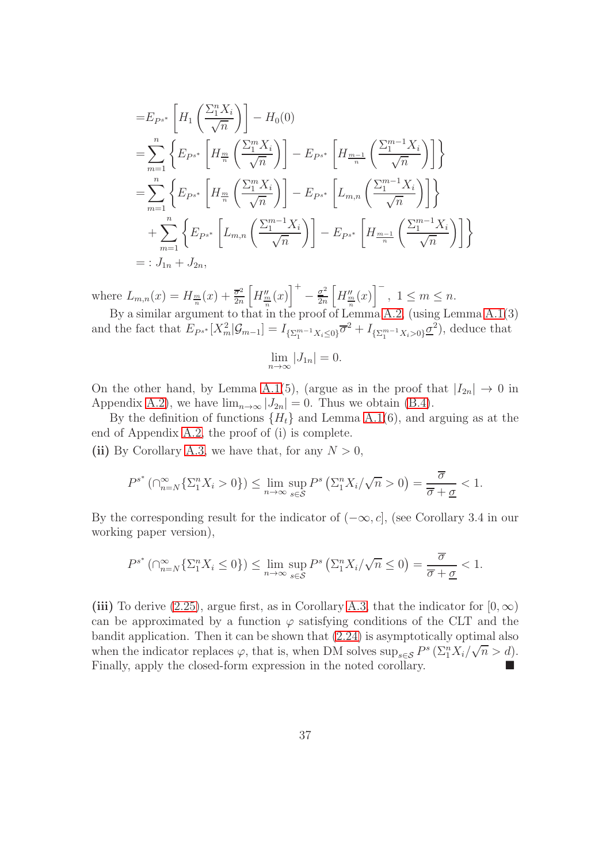$$
=E_{P^{s^*}}\left[H_1\left(\frac{\sum_{1}^{n}X_i}{\sqrt{n}}\right)\right]-H_0(0)
$$
  
\n
$$
=\sum_{m=1}^{n}\left\{E_{P^{s^*}}\left[H_{\frac{m}{n}}\left(\frac{\sum_{1}^{m}X_i}{\sqrt{n}}\right)\right]-E_{P^{s^*}}\left[H_{\frac{m-1}{n}}\left(\frac{\sum_{1}^{m-1}X_i}{\sqrt{n}}\right)\right]\right\}
$$
  
\n
$$
=\sum_{m=1}^{n}\left\{E_{P^{s^*}}\left[H_{\frac{m}{n}}\left(\frac{\sum_{1}^{m}X_i}{\sqrt{n}}\right)\right]-E_{P^{s^*}}\left[L_{m,n}\left(\frac{\sum_{1}^{m-1}X_i}{\sqrt{n}}\right)\right]\right\}
$$
  
\n
$$
+\sum_{m=1}^{n}\left\{E_{P^{s^*}}\left[L_{m,n}\left(\frac{\sum_{1}^{m-1}X_i}{\sqrt{n}}\right)\right]-E_{P^{s^*}}\left[H_{\frac{m-1}{n}}\left(\frac{\sum_{1}^{m-1}X_i}{\sqrt{n}}\right)\right]\right\}
$$
  
\n
$$
=:J_{1n}+J_{2n},
$$

where  $L_{m,n}(x) = H_{\frac{m}{n}}(x) + \frac{\overline{\sigma}^2}{2n}$  $2n$  $\left[H_{\frac{m}{n}}^{\prime\prime}(x)\right]^{+}$  $-\frac{\sigma^2}{2n}$  $2n$  $\left[H_{\frac{m}{n}}^{\prime\prime}(x)\right]^{-}$ ,  $1 \leq m \leq n$ .

By a similar argument to that in the proof of Lemma [A.2,](#page-29-2) (using Lemma [A.1\(](#page-26-2)3) and the fact that  $E_{P^{s^*}}[X_m^2|\mathcal{G}_{m-1}] = I_{\{\Sigma_1^{m-1}X_i \leq 0\}}\overline{\sigma}^2 + I_{\{\Sigma_1^{m-1}X_i > 0\}}\underline{\sigma}^2$ , deduce that

$$
\lim_{n \to \infty} |J_{1n}| = 0.
$$

On the other hand, by Lemma [A.1\(](#page-26-2)5), (argue as in the proof that  $|I_{2n}| \to 0$  in Appendix [A.2\)](#page-30-1), we have  $\lim_{n\to\infty} |J_{2n}| = 0$ . Thus we obtain [\(B.4\)](#page-35-1).

By the definition of functions  ${H<sub>t</sub>}$  and Lemma [A.1\(](#page-26-2)6), and arguing as at the end of Appendix [A.2,](#page-30-1) the proof of (i) is complete.

(ii) By Corollary [A.3,](#page-32-2) we have that, for any  $N > 0$ ,

$$
P^{s^*}(\bigcap_{n=N}^{\infty}\left\{\Sigma_1^nX_i>0\right\})\leq \lim_{n\to\infty}\sup_{s\in\mathcal{S}}P^s\left(\Sigma_1^nX_i/\sqrt{n}>0\right)=\frac{\overline{\sigma}}{\overline{\sigma}+\underline{\sigma}}<1.
$$

By the corresponding result for the indicator of  $(-\infty, c]$ , (see Corollary 3.4 in our working paper version),

$$
P^{s^*}(\bigcap_{n=N}^{\infty} \{ \Sigma_1^n X_i \le 0 \}) \le \lim_{n \to \infty} \sup_{s \in \mathcal{S}} P^s \left( \Sigma_1^n X_i / \sqrt{n} \le 0 \right) = \frac{\overline{\sigma}}{\overline{\sigma} + \underline{\sigma}} < 1.
$$

(iii) To derive [\(2.25\)](#page-14-2), argue first, as in Corollary [A.3,](#page-32-2) that the indicator for  $[0, \infty)$ can be approximated by a function  $\varphi$  satisfying conditions of the CLT and the bandit application. Then it can be shown that [\(2.24\)](#page-14-3) is asymptotically optimal also when the indicator replaces  $\varphi$ , that is, when DM solves  $\sup_{s\in\mathcal{S}} P^s \left( \sum_{1}^{n} X_i / \sqrt{n} > d \right)$ . Finally, apply the closed-form expression in the noted corollary.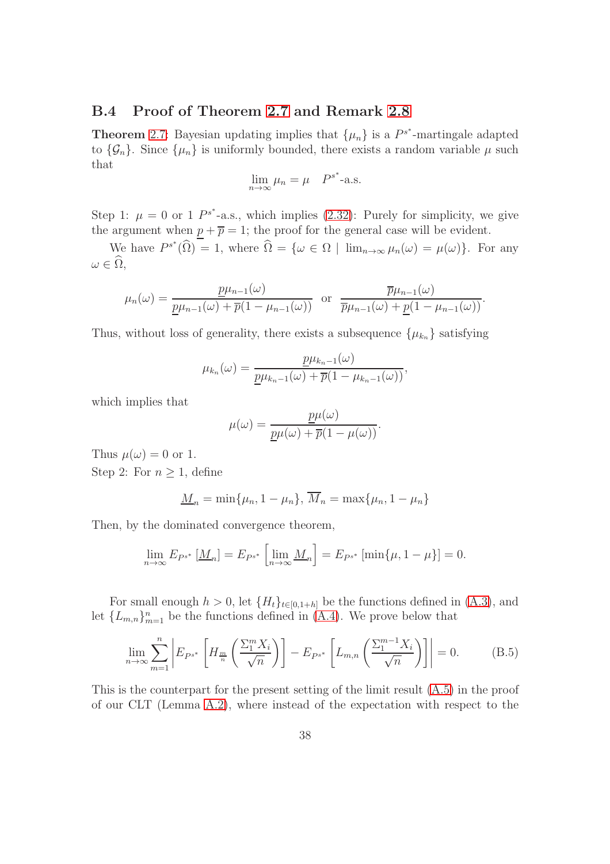### B.4 Proof of Theorem [2.7](#page-18-0) and Remark [2.8](#page-18-4)

**Theorem** [2.7:](#page-18-0) Bayesian updating implies that  $\{\mu_n\}$  is a  $P^{s^*}$ -martingale adapted to  $\{\mathcal{G}_n\}$ . Since  $\{\mu_n\}$  is uniformly bounded, there exists a random variable  $\mu$  such that

$$
\lim_{n \to \infty} \mu_n = \mu \quad P^{s^*} \text{-a.s.}
$$

Step 1:  $\mu = 0$  or 1  $P^{s^*}$ -a.s., which implies [\(2.32\)](#page-18-2): Purely for simplicity, we give the argument when  $p + \overline{p} = 1$ ; the proof for the general case will be evident.

We have  $P^{s^*}(\widehat{\Omega}) = 1$ , where  $\widehat{\Omega} = {\omega \in \Omega \mid \lim_{n \to \infty} \mu_n(\omega) = \mu(\omega)}$ . For any  $\omega \in \Omega,$ 

$$
\mu_n(\omega) = \frac{\underline{p}\mu_{n-1}(\omega)}{\underline{p}\mu_{n-1}(\omega) + \overline{p}(1 - \mu_{n-1}(\omega))} \text{ or } \frac{\overline{p}\mu_{n-1}(\omega)}{\overline{p}\mu_{n-1}(\omega) + \underline{p}(1 - \mu_{n-1}(\omega))}.
$$

Thus, without loss of generality, there exists a subsequence  $\{\mu_{k_n}\}$  satisfying

$$
\mu_{k_n}(\omega) = \frac{\underline{p}\mu_{k_n-1}(\omega)}{\underline{p}\mu_{k_n-1}(\omega) + \overline{p}(1-\mu_{k_n-1}(\omega))},
$$

which implies that

$$
\mu(\omega) = \frac{p\mu(\omega)}{\underline{p}\mu(\omega) + \overline{p}(1 - \mu(\omega))}.
$$

Thus  $\mu(\omega) = 0$  or 1. Step 2: For  $n \geq 1$ , define

$$
\underline{M}_n = \min\{\mu_n, 1 - \mu_n\}, \overline{M}_n = \max\{\mu_n, 1 - \mu_n\}
$$

Then, by the dominated convergence theorem,

$$
\lim_{n \to \infty} E_{P^{s^*}} \left[ \underline{M}_n \right] = E_{P^{s^*}} \left[ \lim_{n \to \infty} \underline{M}_n \right] = E_{P^{s^*}} \left[ \min \{ \mu, 1 - \mu \} \right] = 0.
$$

For small enough  $h > 0$ , let  $\{H_t\}_{t \in [0,1+h]}$  be the functions defined in  $(A.3)$ , and let  $\{L_{m,n}\}_{m=1}^n$  be the functions defined in  $(A.4)$ . We prove below that

<span id="page-37-0"></span>
$$
\lim_{n \to \infty} \sum_{m=1}^{n} \left| E_{P^{s^*}} \left[ H_{\frac{m}{n}} \left( \frac{\sum_{1}^{m} X_i}{\sqrt{n}} \right) \right] - E_{P^{s^*}} \left[ L_{m,n} \left( \frac{\sum_{1}^{m-1} X_i}{\sqrt{n}} \right) \right] \right| = 0. \tag{B.5}
$$

This is the counterpart for the present setting of the limit result [\(A.5\)](#page-29-4) in the proof of our CLT (Lemma [A.2\)](#page-29-2), where instead of the expectation with respect to the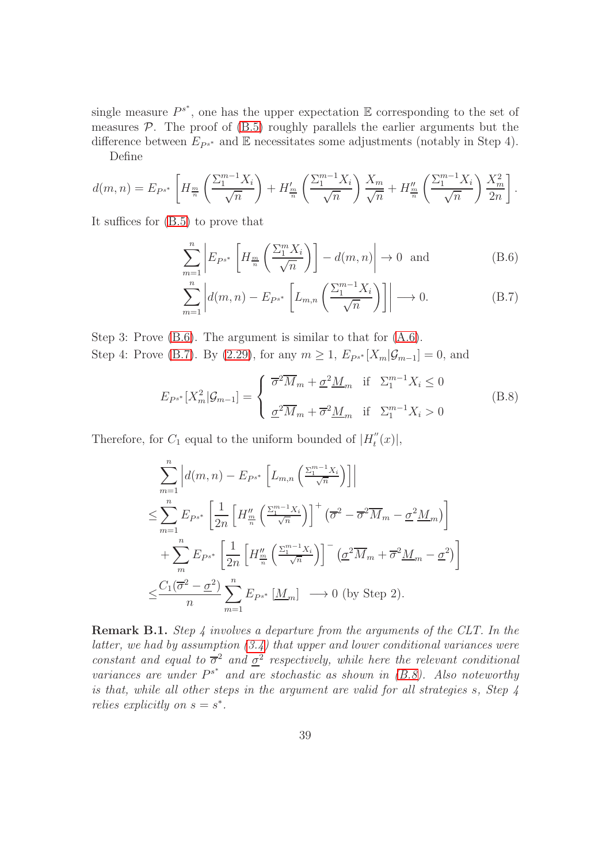single measure  $P^{s^*}$ , one has the upper expectation  $\mathbb E$  corresponding to the set of measures  $P$ . The proof of  $(B.5)$  roughly parallels the earlier arguments but the difference between  $E_{P^{s^*}}$  and  $E$  necessitates some adjustments (notably in Step 4).

Define

$$
d(m,n) = E_{P^{s^*}}\left[H_{\frac{m}{n}}\left(\frac{\sum_{1}^{m-1}X_i}{\sqrt{n}}\right) + H'_{\frac{m}{n}}\left(\frac{\sum_{1}^{m-1}X_i}{\sqrt{n}}\right)\frac{X_m}{\sqrt{n}} + H''_{\frac{m}{n}}\left(\frac{\sum_{1}^{m-1}X_i}{\sqrt{n}}\right)\frac{X_m^2}{2n}\right].
$$

It suffices for [\(B.5\)](#page-37-0) to prove that

<span id="page-38-0"></span>
$$
\sum_{m=1}^{n} \left| E_{P^{s^*}} \left[ H_{\frac{m}{n}} \left( \frac{\sum_{1}^{m} X_i}{\sqrt{n}} \right) \right] - d(m, n) \right| \to 0 \text{ and } (B.6)
$$

<span id="page-38-1"></span>
$$
\sum_{m=1}^{n} \left| d(m,n) - E_{P^{s^*}} \left[ L_{m,n} \left( \frac{\sum_{1}^{m-1} X_i}{\sqrt{n}} \right) \right] \right| \longrightarrow 0. \tag{B.7}
$$

Step 3: Prove [\(B.6\)](#page-38-0). The argument is similar to that for [\(A.6\)](#page-29-0). Step 4: Prove [\(B.7\)](#page-38-1). By [\(2.29\)](#page-16-1), for any  $m \ge 1$ ,  $E_{P^{s^*}}[X_m|\mathcal{G}_{m-1}] = 0$ , and

<span id="page-38-2"></span>
$$
E_{P^{s^*}}[X_m^2|\mathcal{G}_{m-1}] = \begin{cases} \overline{\sigma}^2 \overline{M}_m + \underline{\sigma}^2 \underline{M}_m & \text{if } \Sigma_1^{m-1} X_i \le 0 \\ \underline{\sigma}^2 \overline{M}_m + \overline{\sigma}^2 \underline{M}_m & \text{if } \Sigma_1^{m-1} X_i > 0 \end{cases}
$$
(B.8)

Therefore, for  $C_1$  equal to the uniform bounded of  $|H_t''|$  $t''_t(x)|,$ 

$$
\sum_{m=1}^{n} \left| d(m,n) - E_{P^{s^*}} \left[ L_{m,n} \left( \frac{\Sigma_1^{m-1} X_i}{\sqrt{n}} \right) \right] \right|
$$
\n
$$
\leq \sum_{m=1}^{n} E_{P^{s^*}} \left[ \frac{1}{2n} \left[ H_{\frac{m}{n}}'' \left( \frac{\Sigma_1^{m-1} X_i}{\sqrt{n}} \right) \right]^{+} \left( \overline{\sigma}^2 - \overline{\sigma}^2 \overline{M}_m - \underline{\sigma}^2 \underline{M}_m \right) \right]
$$
\n
$$
+ \sum_{m}^{n} E_{P^{s^*}} \left[ \frac{1}{2n} \left[ H_{\frac{m}{n}}'' \left( \frac{\Sigma_1^{m-1} X_i}{\sqrt{n}} \right) \right]^{-} \left( \underline{\sigma}^2 \overline{M}_m + \overline{\sigma}^2 \underline{M}_m - \underline{\sigma}^2 \right) \right]
$$
\n
$$
\leq \frac{C_1 (\overline{\sigma}^2 - \underline{\sigma}^2)}{n} \sum_{m=1}^{n} E_{P^{s^*}} \left[ \underline{M}_m \right] \longrightarrow 0 \text{ (by Step 2)}.
$$

**Remark B.1.** Step 4 involves a departure from the arguments of the CLT. In the latter, we had by assumption  $(3.4)$  that upper and lower conditional variances were constant and equal to  $\bar{\sigma}^2$  and  $\underline{\sigma}^2$  respectively, while here the relevant conditional variances are under  $P^{s^*}$  and are stochastic as shown in [\(B.8\)](#page-38-2). Also noteworthy is that, while all other steps in the argument are valid for all strategies s, Step 4 relies explicitly on  $s = s^*$ .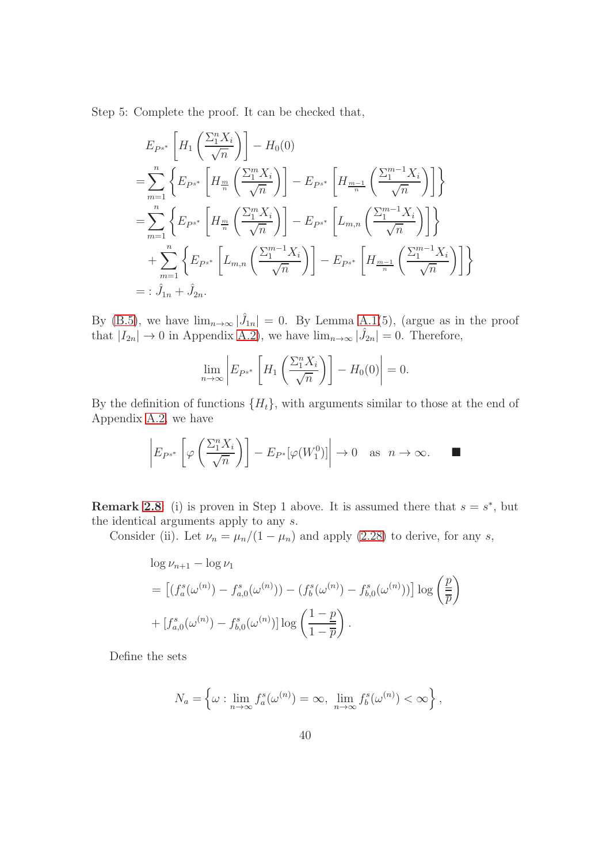Step 5: Complete the proof. It can be checked that,

$$
E_{P^{s^*}}\left[H_1\left(\frac{\sum_{1}^{n}X_i}{\sqrt{n}}\right)\right] - H_0(0)
$$
  
\n
$$
= \sum_{m=1}^{n} \left\{ E_{P^{s^*}}\left[H_{\frac{m}{n}}\left(\frac{\sum_{1}^{m}X_i}{\sqrt{n}}\right)\right] - E_{P^{s^*}}\left[H_{\frac{m-1}{n}}\left(\frac{\sum_{1}^{m-1}X_i}{\sqrt{n}}\right)\right] \right\}
$$
  
\n
$$
= \sum_{m=1}^{n} \left\{ E_{P^{s^*}}\left[H_{\frac{m}{n}}\left(\frac{\sum_{1}^{m}X_i}{\sqrt{n}}\right)\right] - E_{P^{s^*}}\left[L_{m,n}\left(\frac{\sum_{1}^{m-1}X_i}{\sqrt{n}}\right)\right] \right\}
$$
  
\n
$$
+ \sum_{m=1}^{n} \left\{ E_{P^{s^*}}\left[L_{m,n}\left(\frac{\sum_{1}^{m-1}X_i}{\sqrt{n}}\right)\right] - E_{P^{s^*}}\left[H_{\frac{m-1}{n}}\left(\frac{\sum_{1}^{m-1}X_i}{\sqrt{n}}\right)\right] \right\}
$$
  
\n
$$
=:\hat{J}_{1n} + \hat{J}_{2n}.
$$

By [\(B.5\)](#page-37-0), we have  $\lim_{n\to\infty} |\hat{J}_{1n}| = 0$ . By Lemma [A.1\(](#page-26-2)5), (argue as in the proof that  $|I_{2n}| \to 0$  in Appendix [A.2\)](#page-30-1), we have  $\lim_{n\to\infty} |\hat{J}_{2n}| = 0$ . Therefore,

$$
\lim_{n \to \infty} \left| E_{P^{s^*}} \left[ H_1 \left( \frac{\Sigma_1^n X_i}{\sqrt{n}} \right) \right] - H_0(0) \right| = 0.
$$

By the definition of functions  $\{H_t\}$ , with arguments similar to those at the end of Appendix [A.2,](#page-30-1) we have

$$
\left| E_{P^{s^*}}\left[\varphi\left(\frac{\Sigma_1^n X_i}{\sqrt{n}}\right)\right] - E_{P^*}[\varphi(W_1^0)]\right| \to 0 \quad \text{as} \quad n \to \infty. \qquad \blacksquare
$$

**Remark [2.8](#page-18-4)**: (i) is proven in Step 1 above. It is assumed there that  $s = s^*$ , but the identical arguments apply to any s.

Consider (ii). Let  $\nu_n = \mu_n/(1 - \mu_n)$  and apply [\(2.28\)](#page-16-2) to derive, for any s,

$$
\log \nu_{n+1} - \log \nu_1
$$
  
=  $\left[ (f_a^s(\omega^{(n)}) - f_{a,0}^s(\omega^{(n)})) - (f_b^s(\omega^{(n)}) - f_{b,0}^s(\omega^{(n)})) \right] \log \left( \frac{p}{\overline{p}} \right)$   
+  $[f_{a,0}^s(\omega^{(n)}) - f_{b,0}^s(\omega^{(n)})] \log \left( \frac{1-p}{1-\overline{p}} \right).$ 

Define the sets

$$
N_a = \left\{ \omega : \lim_{n \to \infty} f_a^s(\omega^{(n)}) = \infty, \ \lim_{n \to \infty} f_b^s(\omega^{(n)}) < \infty \right\},\,
$$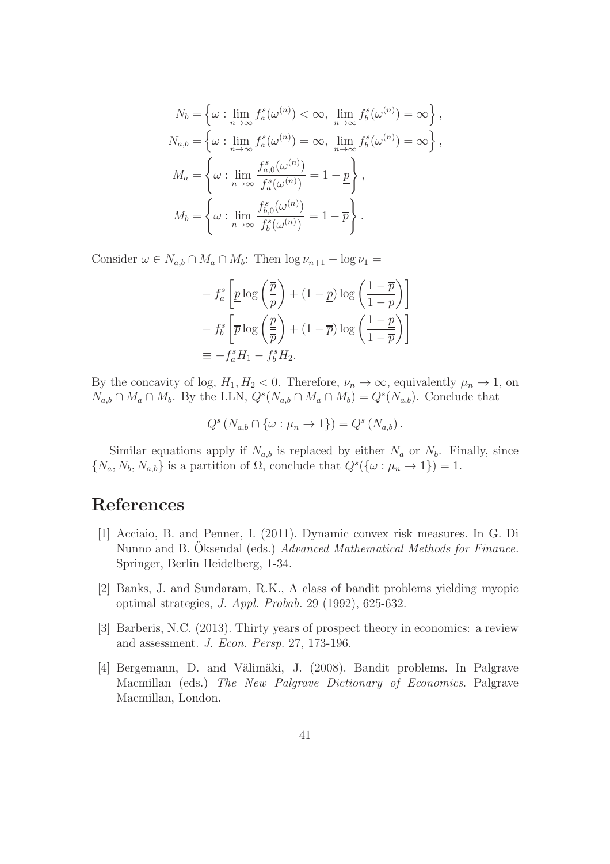$$
N_b = \left\{ \omega : \lim_{n \to \infty} f_a^s(\omega^{(n)}) < \infty, \lim_{n \to \infty} f_b^s(\omega^{(n)}) = \infty \right\},
$$
  
\n
$$
N_{a,b} = \left\{ \omega : \lim_{n \to \infty} f_a^s(\omega^{(n)}) = \infty, \lim_{n \to \infty} f_b^s(\omega^{(n)}) = \infty \right\},
$$
  
\n
$$
M_a = \left\{ \omega : \lim_{n \to \infty} \frac{f_{a,0}^s(\omega^{(n)})}{f_a^s(\omega^{(n)})} = 1 - \frac{p}{p} \right\},
$$
  
\n
$$
M_b = \left\{ \omega : \lim_{n \to \infty} \frac{f_{b,0}^s(\omega^{(n)})}{f_b^s(\omega^{(n)})} = 1 - \overline{p} \right\}.
$$

Consider  $\omega \in N_{a,b} \cap M_a \cap M_b$ : Then  $\log \nu_{n+1} - \log \nu_1 =$ 

$$
- f_a^s \left[ \underline{p} \log \left( \frac{\overline{p}}{\underline{p}} \right) + (1 - \underline{p}) \log \left( \frac{1 - \overline{p}}{1 - \underline{p}} \right) \right]
$$
  

$$
- f_b^s \left[ \overline{p} \log \left( \frac{\underline{p}}{\overline{p}} \right) + (1 - \overline{p}) \log \left( \frac{1 - \underline{p}}{1 - \overline{p}} \right) \right]
$$
  

$$
\equiv -f_a^s H_1 - f_b^s H_2.
$$

By the concavity of log,  $H_1, H_2 < 0$ . Therefore,  $\nu_n \to \infty$ , equivalently  $\mu_n \to 1$ , on  $N_{a,b} \cap M_a \cap M_b$ . By the LLN,  $Q^s(N_{a,b} \cap M_a \cap M_b) = Q^s(N_{a,b})$ . Conclude that

$$
Q^{s}\left(N_{a,b}\cap \{\omega:\mu_{n}\to 1\}\right)=Q^{s}\left(N_{a,b}\right).
$$

Similar equations apply if  $N_{a,b}$  is replaced by either  $N_a$  or  $N_b$ . Finally, since  $\{N_a, N_b, N_{a,b}\}\$ is a partition of  $\Omega$ , conclude that  $Q^s(\{\omega : \mu_n \to 1\}) = 1$ .

## References

- [1] Acciaio, B. and Penner, I. (2011). Dynamic convex risk measures. In G. Di Nunno and B. Oksendal (eds.) Advanced Mathematical Methods for Finance. Springer, Berlin Heidelberg, 1-34.
- [2] Banks, J. and Sundaram, R.K., A class of bandit problems yielding myopic optimal strategies, J. Appl. Probab. 29 (1992), 625-632.
- [3] Barberis, N.C. (2013). Thirty years of prospect theory in economics: a review and assessment. J. Econ. Persp. 27, 173-196.
- [4] Bergemann, D. and Välimäki, J. (2008). Bandit problems. In Palgrave Macmillan (eds.) The New Palgrave Dictionary of Economics. Palgrave Macmillan, London.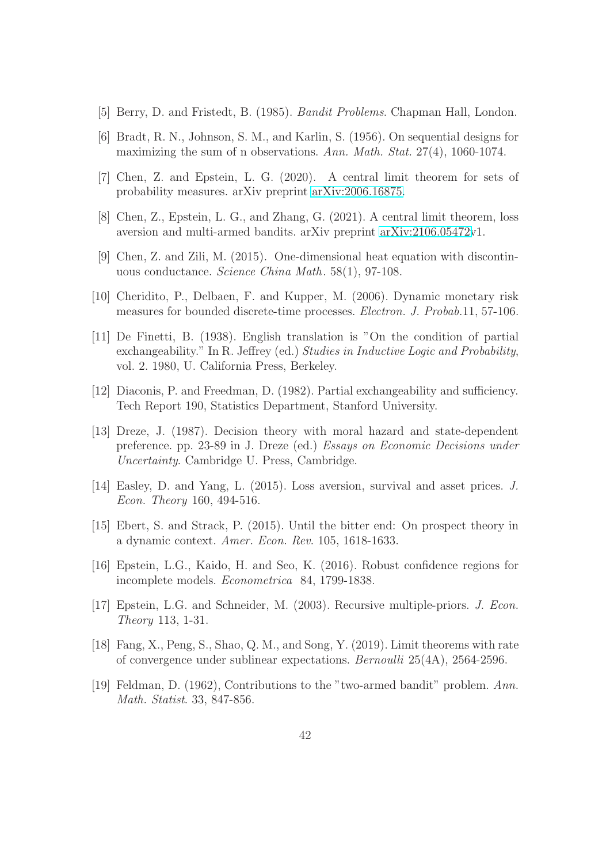- [5] Berry, D. and Fristedt, B. (1985). Bandit Problems. Chapman Hall, London.
- [6] Bradt, R. N., Johnson, S. M., and Karlin, S. (1956). On sequential designs for maximizing the sum of n observations. Ann. Math. Stat. 27(4), 1060-1074.
- [7] Chen, Z. and Epstein, L. G. (2020). A central limit theorem for sets of probability measures. arXiv preprint [arXiv:2006.16875.](http://arxiv.org/abs/2006.16875)
- [8] Chen, Z., Epstein, L. G., and Zhang, G. (2021). A central limit theorem, loss aversion and multi-armed bandits. arXiv preprint [arXiv:2106.05472v](http://arxiv.org/abs/2106.05472)1.
- [9] Chen, Z. and Zili, M. (2015). One-dimensional heat equation with discontinuous conductance. Science China Math. 58(1), 97-108.
- [10] Cheridito, P., Delbaen, F. and Kupper, M. (2006). Dynamic monetary risk measures for bounded discrete-time processes. Electron. J. Probab.11, 57-106.
- [11] De Finetti, B. (1938). English translation is "On the condition of partial exchangeability." In R. Jeffrey (ed.) Studies in Inductive Logic and Probability, vol. 2. 1980, U. California Press, Berkeley.
- [12] Diaconis, P. and Freedman, D. (1982). Partial exchangeability and sufficiency. Tech Report 190, Statistics Department, Stanford University.
- [13] Dreze, J. (1987). Decision theory with moral hazard and state-dependent preference. pp. 23-89 in J. Dreze (ed.) Essays on Economic Decisions under Uncertainty. Cambridge U. Press, Cambridge.
- [14] Easley, D. and Yang, L. (2015). Loss aversion, survival and asset prices. J. Econ. Theory 160, 494-516.
- [15] Ebert, S. and Strack, P. (2015). Until the bitter end: On prospect theory in a dynamic context. Amer. Econ. Rev. 105, 1618-1633.
- [16] Epstein, L.G., Kaido, H. and Seo, K. (2016). Robust confidence regions for incomplete models. Econometrica 84, 1799-1838.
- [17] Epstein, L.G. and Schneider, M. (2003). Recursive multiple-priors. J. Econ. Theory 113, 1-31.
- [18] Fang, X., Peng, S., Shao, Q. M., and Song, Y. (2019). Limit theorems with rate of convergence under sublinear expectations. Bernoulli 25(4A), 2564-2596.
- [19] Feldman, D. (1962), Contributions to the "two-armed bandit" problem. Ann. Math. Statist. 33, 847-856.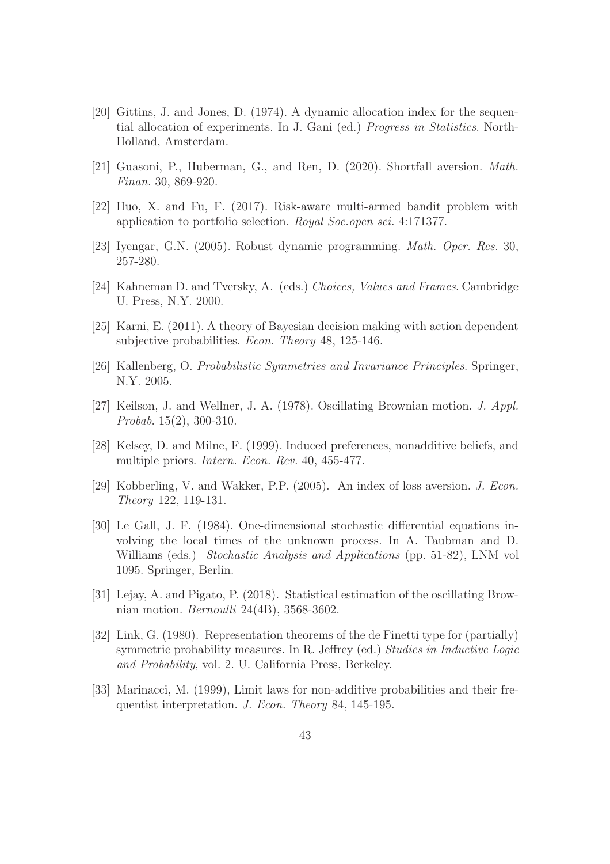- [20] Gittins, J. and Jones, D. (1974). A dynamic allocation index for the sequential allocation of experiments. In J. Gani (ed.) Progress in Statistics. North-Holland, Amsterdam.
- [21] Guasoni, P., Huberman, G., and Ren, D. (2020). Shortfall aversion. Math. Finan. 30, 869-920.
- [22] Huo, X. and Fu, F. (2017). Risk-aware multi-armed bandit problem with application to portfolio selection. Royal Soc.open sci. 4:171377.
- [23] Iyengar, G.N. (2005). Robust dynamic programming. Math. Oper. Res. 30, 257-280.
- [24] Kahneman D. and Tversky, A. (eds.) Choices, Values and Frames. Cambridge U. Press, N.Y. 2000.
- [25] Karni, E. (2011). A theory of Bayesian decision making with action dependent subjective probabilities. *Econ. Theory* 48, 125-146.
- [26] Kallenberg, O. Probabilistic Symmetries and Invariance Principles. Springer, N.Y. 2005.
- [27] Keilson, J. and Wellner, J. A. (1978). Oscillating Brownian motion. J. Appl. Probab. 15(2), 300-310.
- [28] Kelsey, D. and Milne, F. (1999). Induced preferences, nonadditive beliefs, and multiple priors. Intern. Econ. Rev. 40, 455-477.
- [29] Kobberling, V. and Wakker, P.P. (2005). An index of loss aversion. J. Econ. Theory 122, 119-131.
- [30] Le Gall, J. F. (1984). One-dimensional stochastic differential equations involving the local times of the unknown process. In A. Taubman and D. Williams (eds.) Stochastic Analysis and Applications (pp. 51-82), LNM vol 1095. Springer, Berlin.
- [31] Lejay, A. and Pigato, P. (2018). Statistical estimation of the oscillating Brownian motion. Bernoulli 24(4B), 3568-3602.
- [32] Link, G. (1980). Representation theorems of the de Finetti type for (partially) symmetric probability measures. In R. Jeffrey (ed.) Studies in Inductive Logic and Probability, vol. 2. U. California Press, Berkeley.
- [33] Marinacci, M. (1999), Limit laws for non-additive probabilities and their frequentist interpretation. J. Econ. Theory 84, 145-195.